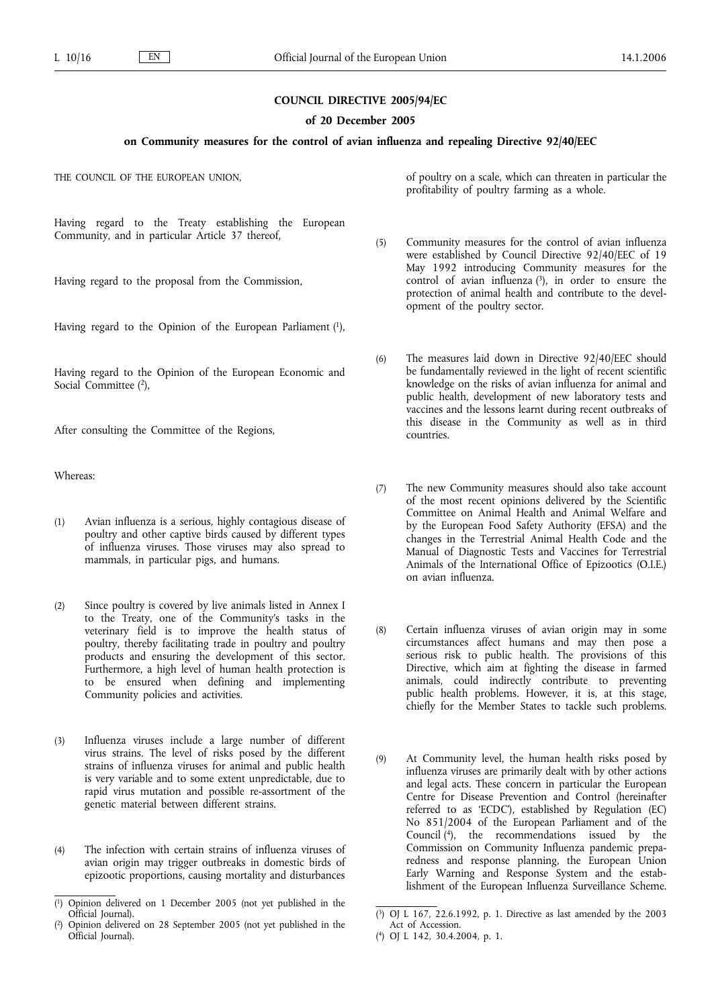## **COUNCIL DIRECTIVE 2005/94/EC**

#### **of 20 December 2005**

## **on Community measures for the control of avian influenza and repealing Directive 92/40/EEC**

THE COUNCIL OF THE EUROPEAN UNION,

Having regard to the Treaty establishing the European Community, and in particular Article 37 thereof,

Having regard to the proposal from the Commission,

Having regard to the Opinion of the European Parliament (1),

Having regard to the Opinion of the European Economic and Social Committee (2),

After consulting the Committee of the Regions,

Whereas:

- (1) Avian influenza is a serious, highly contagious disease of poultry and other captive birds caused by different types of influenza viruses. Those viruses may also spread to mammals, in particular pigs, and humans.
- (2) Since poultry is covered by live animals listed in Annex I to the Treaty, one of the Community's tasks in the veterinary field is to improve the health status of poultry, thereby facilitating trade in poultry and poultry products and ensuring the development of this sector. Furthermore, a high level of human health protection is to be ensured when defining and implementing Community policies and activities.
- (3) Influenza viruses include a large number of different virus strains. The level of risks posed by the different strains of influenza viruses for animal and public health is very variable and to some extent unpredictable, due to rapid virus mutation and possible re-assortment of the genetic material between different strains.
- (4) The infection with certain strains of influenza viruses of avian origin may trigger outbreaks in domestic birds of epizootic proportions, causing mortality and disturbances

of poultry on a scale, which can threaten in particular the profitability of poultry farming as a whole.

- (5) Community measures for the control of avian influenza were established by Council Directive 92/40/EEC of 19 May 1992 introducing Community measures for the control of avian influenza  $(3)$ , in order to ensure the protection of animal health and contribute to the development of the poultry sector.
- (6) The measures laid down in Directive 92/40/EEC should be fundamentally reviewed in the light of recent scientific knowledge on the risks of avian influenza for animal and public health, development of new laboratory tests and vaccines and the lessons learnt during recent outbreaks of this disease in the Community as well as in third countries.
- (7) The new Community measures should also take account of the most recent opinions delivered by the Scientific Committee on Animal Health and Animal Welfare and by the European Food Safety Authority (EFSA) and the changes in the Terrestrial Animal Health Code and the Manual of Diagnostic Tests and Vaccines for Terrestrial Animals of the International Office of Epizootics (O.I.E.) on avian influenza.
- (8) Certain influenza viruses of avian origin may in some circumstances affect humans and may then pose a serious risk to public health. The provisions of this Directive, which aim at fighting the disease in farmed animals, could indirectly contribute to preventing public health problems. However, it is, at this stage, chiefly for the Member States to tackle such problems.
- (9) At Community level, the human health risks posed by influenza viruses are primarily dealt with by other actions and legal acts. These concern in particular the European Centre for Disease Prevention and Control (hereinafter referred to as 'ECDC'), established by Regulation (EC) No 851/2004 of the European Parliament and of the Council (4), the recommendations issued by the Commission on Community Influenza pandemic preparedness and response planning, the European Union Early Warning and Response System and the establishment of the European Influenza Surveillance Scheme.

<sup>(</sup> 1) Opinion delivered on 1 December 2005 (not yet published in the Official Journal).

<sup>(</sup> 2) Opinion delivered on 28 September 2005 (not yet published in the Official Journal).

<sup>(</sup> 3) OJ L 167, 22.6.1992, p. 1. Directive as last amended by the 2003 Act of Accession.

<sup>(</sup> 4) OJ L 142, 30.4.2004, p. 1.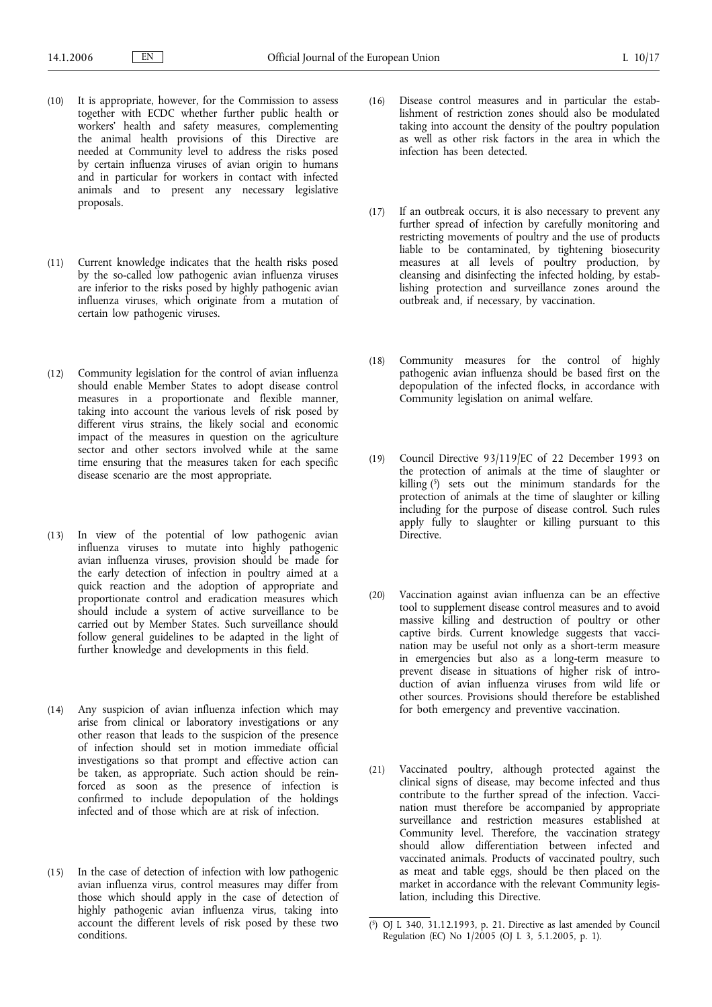- (10) It is appropriate, however, for the Commission to assess together with ECDC whether further public health or workers' health and safety measures, complementing the animal health provisions of this Directive are needed at Community level to address the risks posed by certain influenza viruses of avian origin to humans and in particular for workers in contact with infected animals and to present any necessary legislative proposals.
- (11) Current knowledge indicates that the health risks posed by the so-called low pathogenic avian influenza viruses are inferior to the risks posed by highly pathogenic avian influenza viruses, which originate from a mutation of certain low pathogenic viruses.
- (12) Community legislation for the control of avian influenza should enable Member States to adopt disease control measures in a proportionate and flexible manner, taking into account the various levels of risk posed by different virus strains, the likely social and economic impact of the measures in question on the agriculture sector and other sectors involved while at the same time ensuring that the measures taken for each specific disease scenario are the most appropriate.
- (13) In view of the potential of low pathogenic avian influenza viruses to mutate into highly pathogenic avian influenza viruses, provision should be made for the early detection of infection in poultry aimed at a quick reaction and the adoption of appropriate and proportionate control and eradication measures which should include a system of active surveillance to be carried out by Member States. Such surveillance should follow general guidelines to be adapted in the light of further knowledge and developments in this field.
- (14) Any suspicion of avian influenza infection which may arise from clinical or laboratory investigations or any other reason that leads to the suspicion of the presence of infection should set in motion immediate official investigations so that prompt and effective action can be taken, as appropriate. Such action should be reinforced as soon as the presence of infection is confirmed to include depopulation of the holdings infected and of those which are at risk of infection.
- (15) In the case of detection of infection with low pathogenic avian influenza virus, control measures may differ from those which should apply in the case of detection of highly pathogenic avian influenza virus, taking into account the different levels of risk posed by these two conditions.
- (16) Disease control measures and in particular the establishment of restriction zones should also be modulated taking into account the density of the poultry population as well as other risk factors in the area in which the infection has been detected.
- (17) If an outbreak occurs, it is also necessary to prevent any further spread of infection by carefully monitoring and restricting movements of poultry and the use of products liable to be contaminated, by tightening biosecurity measures at all levels of poultry production, by cleansing and disinfecting the infected holding, by establishing protection and surveillance zones around the outbreak and, if necessary, by vaccination.
- (18) Community measures for the control of highly pathogenic avian influenza should be based first on the depopulation of the infected flocks, in accordance with Community legislation on animal welfare.
- (19) Council Directive 93/119/EC of 22 December 1993 on the protection of animals at the time of slaughter or killing (5) sets out the minimum standards for the protection of animals at the time of slaughter or killing including for the purpose of disease control. Such rules apply fully to slaughter or killing pursuant to this Directive
- (20) Vaccination against avian influenza can be an effective tool to supplement disease control measures and to avoid massive killing and destruction of poultry or other captive birds. Current knowledge suggests that vaccination may be useful not only as a short-term measure in emergencies but also as a long-term measure to prevent disease in situations of higher risk of introduction of avian influenza viruses from wild life or other sources. Provisions should therefore be established for both emergency and preventive vaccination.
- (21) Vaccinated poultry, although protected against the clinical signs of disease, may become infected and thus contribute to the further spread of the infection. Vaccination must therefore be accompanied by appropriate surveillance and restriction measures established at Community level. Therefore, the vaccination strategy should allow differentiation between infected and vaccinated animals. Products of vaccinated poultry, such as meat and table eggs, should be then placed on the market in accordance with the relevant Community legislation, including this Directive.

<sup>(</sup> 5) OJ L 340, 31.12.1993, p. 21. Directive as last amended by Council Regulation (EC) No 1/2005 (OJ L 3, 5.1.2005, p. 1).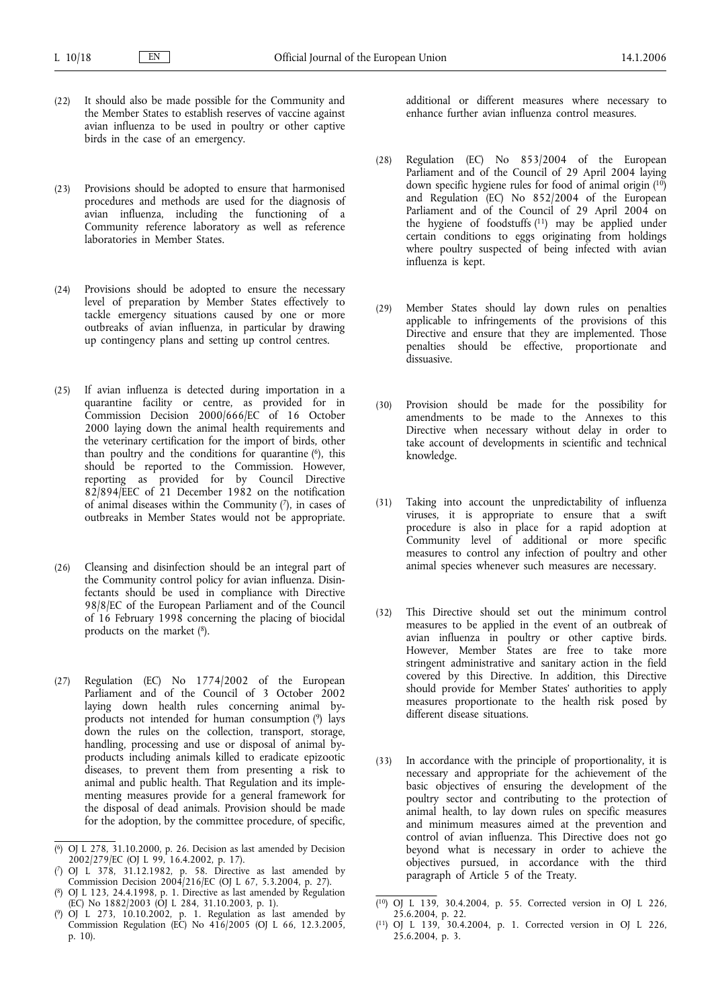- (22) It should also be made possible for the Community and the Member States to establish reserves of vaccine against avian influenza to be used in poultry or other captive birds in the case of an emergency.
- (23) Provisions should be adopted to ensure that harmonised procedures and methods are used for the diagnosis of avian influenza, including the functioning of a Community reference laboratory as well as reference laboratories in Member States.
- (24) Provisions should be adopted to ensure the necessary level of preparation by Member States effectively to tackle emergency situations caused by one or more outbreaks of avian influenza, in particular by drawing up contingency plans and setting up control centres.
- (25) If avian influenza is detected during importation in a quarantine facility or centre, as provided for in Commission Decision 2000/666/EC of 16 October 2000 laying down the animal health requirements and the veterinary certification for the import of birds, other than poultry and the conditions for quarantine  $(6)$ , this should be reported to the Commission. However, reporting as provided for by Council Directive 82/894/EEC of 21 December 1982 on the notification of animal diseases within the Community  $(7)$ , in cases of outbreaks in Member States would not be appropriate.
- (26) Cleansing and disinfection should be an integral part of the Community control policy for avian influenza. Disinfectants should be used in compliance with Directive 98/8/EC of the European Parliament and of the Council of 16 February 1998 concerning the placing of biocidal products on the market (8).
- (27) Regulation (EC) No 1774/2002 of the European Parliament and of the Council of 3 October 2002 laying down health rules concerning animal byproducts not intended for human consumption (9) lays down the rules on the collection, transport, storage, handling, processing and use or disposal of animal byproducts including animals killed to eradicate epizootic diseases, to prevent them from presenting a risk to animal and public health. That Regulation and its implementing measures provide for a general framework for the disposal of dead animals. Provision should be made for the adoption, by the committee procedure, of specific,

additional or different measures where necessary to enhance further avian influenza control measures.

- (28) Regulation (EC) No 853/2004 of the European Parliament and of the Council of 29 April 2004 laying down specific hygiene rules for food of animal origin (10) and Regulation (EC) No 852/2004 of the European Parliament and of the Council of 29 April 2004 on the hygiene of foodstuffs  $(11)$  may be applied under certain conditions to eggs originating from holdings where poultry suspected of being infected with avian influenza is kept.
- (29) Member States should lay down rules on penalties applicable to infringements of the provisions of this Directive and ensure that they are implemented. Those penalties should be effective, proportionate and dissuasive.
- (30) Provision should be made for the possibility for amendments to be made to the Annexes to this Directive when necessary without delay in order to take account of developments in scientific and technical knowledge.
- (31) Taking into account the unpredictability of influenza viruses, it is appropriate to ensure that a swift procedure is also in place for a rapid adoption at Community level of additional or more specific measures to control any infection of poultry and other animal species whenever such measures are necessary.
- (32) This Directive should set out the minimum control measures to be applied in the event of an outbreak of avian influenza in poultry or other captive birds. However, Member States are free to take more stringent administrative and sanitary action in the field covered by this Directive. In addition, this Directive should provide for Member States' authorities to apply measures proportionate to the health risk posed by different disease situations.
- (33) In accordance with the principle of proportionality, it is necessary and appropriate for the achievement of the basic objectives of ensuring the development of the poultry sector and contributing to the protection of animal health, to lay down rules on specific measures and minimum measures aimed at the prevention and control of avian influenza. This Directive does not go beyond what is necessary in order to achieve the objectives pursued, in accordance with the third paragraph of Article 5 of the Treaty.

<sup>(</sup> 6) OJ L 278, 31.10.2000, p. 26. Decision as last amended by Decision 2002/279/EC (OJ L 99, 16.4.2002, p. 17).

<sup>(</sup> 7) OJ L 378, 31.12.1982, p. 58. Directive as last amended by Commission Decision 2004/216/EC (OJ L 67, 5.3.2004, p. 27).

<sup>(</sup> 8) OJ L 123, 24.4.1998, p. 1. Directive as last amended by Regulation (EC) No 1882/2003 (OJ L 284, 31.10.2003, p. 1).

<sup>(</sup> 9) OJ L 273, 10.10.2002, p. 1. Regulation as last amended by Commission Regulation (EC) No 416/2005 (OJ L 66, 12.3.2005, p. 10).

<sup>(</sup> 10) OJ L 139, 30.4.2004, p. 55. Corrected version in OJ L 226, 25.6.2004, p. 22.

<sup>(</sup> 11) OJ L 139, 30.4.2004, p. 1. Corrected version in OJ L 226, 25.6.2004, p. 3.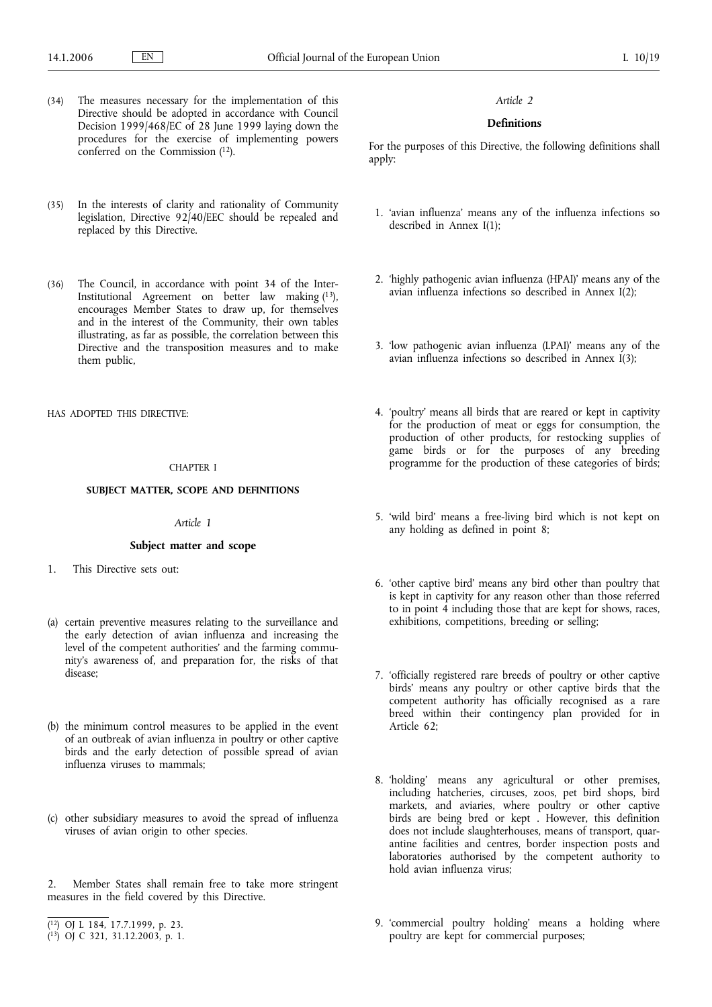- (34) The measures necessary for the implementation of this Directive should be adopted in accordance with Council Decision 1999/468/EC of 28 June 1999 laying down the procedures for the exercise of implementing powers conferred on the Commission  $(12)$ .
- (35) In the interests of clarity and rationality of Community legislation, Directive 92/40/EEC should be repealed and replaced by this Directive.
- (36) The Council, in accordance with point 34 of the Inter-Institutional Agreement on better law making  $(13)$ , encourages Member States to draw up, for themselves and in the interest of the Community, their own tables illustrating, as far as possible, the correlation between this Directive and the transposition measures and to make them public,

HAS ADOPTED THIS DIRECTIVE:

## CHAPTER I

## **SUBJECT MATTER, SCOPE AND DEFINITIONS**

## *Article 1*

### **Subject matter and scope**

- 1. This Directive sets out:
- (a) certain preventive measures relating to the surveillance and the early detection of avian influenza and increasing the level of the competent authorities' and the farming community's awareness of, and preparation for, the risks of that disease;
- (b) the minimum control measures to be applied in the event of an outbreak of avian influenza in poultry or other captive birds and the early detection of possible spread of avian influenza viruses to mammals;
- (c) other subsidiary measures to avoid the spread of influenza viruses of avian origin to other species.
- 2. Member States shall remain free to take more stringent measures in the field covered by this Directive.

#### *Article 2*

# **Definitions**

For the purposes of this Directive, the following definitions shall apply:

- 1. 'avian influenza' means any of the influenza infections so described in Annex I(1);
- 2. 'highly pathogenic avian influenza (HPAI)' means any of the avian influenza infections so described in Annex I(2);
- 3. 'low pathogenic avian influenza (LPAI)' means any of the avian influenza infections so described in Annex I(3);
- 4. 'poultry' means all birds that are reared or kept in captivity for the production of meat or eggs for consumption, the production of other products, for restocking supplies of game birds or for the purposes of any breeding programme for the production of these categories of birds;
- 5. 'wild bird' means a free-living bird which is not kept on any holding as defined in point 8;
- 6. 'other captive bird' means any bird other than poultry that is kept in captivity for any reason other than those referred to in point  $\hat{4}$  including those that are kept for shows, races, exhibitions, competitions, breeding or selling;
- 7. 'officially registered rare breeds of poultry or other captive birds' means any poultry or other captive birds that the competent authority has officially recognised as a rare breed within their contingency plan provided for in Article 62;
- 8. 'holding' means any agricultural or other premises, including hatcheries, circuses, zoos, pet bird shops, bird markets, and aviaries, where poultry or other captive birds are being bred or kept . However, this definition does not include slaughterhouses, means of transport, quarantine facilities and centres, border inspection posts and laboratories authorised by the competent authority to hold avian influenza virus;
- 9. 'commercial poultry holding' means a holding where poultry are kept for commercial purposes;

<sup>(</sup> 12) OJ L 184, 17.7.1999, p. 23.

<sup>(</sup> 13) OJ C 321, 31.12.2003, p. 1.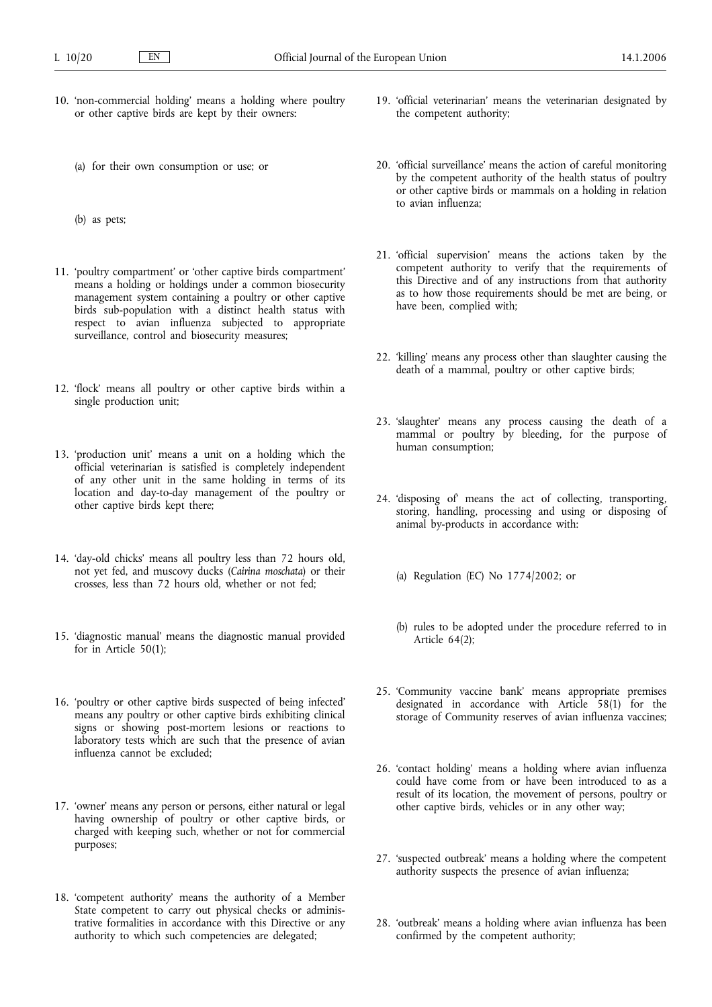- 10. 'non-commercial holding' means a holding where poultry or other captive birds are kept by their owners:
	- (a) for their own consumption or use; or
	- (b) as pets;
- 11. 'poultry compartment' or 'other captive birds compartment' means a holding or holdings under a common biosecurity management system containing a poultry or other captive birds sub-population with a distinct health status with respect to avian influenza subjected to appropriate surveillance, control and biosecurity measures;
- 12. 'flock' means all poultry or other captive birds within a single production unit;
- 13. 'production unit' means a unit on a holding which the official veterinarian is satisfied is completely independent of any other unit in the same holding in terms of its location and day-to-day management of the poultry or other captive birds kept there;
- 14. 'day-old chicks' means all poultry less than 72 hours old, not yet fed, and muscovy ducks (*Cairina moschata*) or their crosses, less than 72 hours old, whether or not fed;
- 15. 'diagnostic manual' means the diagnostic manual provided for in Article 50(1);
- 16. 'poultry or other captive birds suspected of being infected' means any poultry or other captive birds exhibiting clinical signs or showing post-mortem lesions or reactions to laboratory tests which are such that the presence of avian influenza cannot be excluded;
- 17. 'owner' means any person or persons, either natural or legal having ownership of poultry or other captive birds, or charged with keeping such, whether or not for commercial purposes;
- 18. 'competent authority' means the authority of a Member State competent to carry out physical checks or administrative formalities in accordance with this Directive or any authority to which such competencies are delegated;
- 19. 'official veterinarian' means the veterinarian designated by the competent authority;
- 20. 'official surveillance' means the action of careful monitoring by the competent authority of the health status of poultry or other captive birds or mammals on a holding in relation to avian influenza;
- 21. 'official supervision' means the actions taken by the competent authority to verify that the requirements of this Directive and of any instructions from that authority as to how those requirements should be met are being, or have been, complied with;
- 22. 'killing' means any process other than slaughter causing the death of a mammal, poultry or other captive birds;
- 23. 'slaughter' means any process causing the death of a mammal or poultry by bleeding, for the purpose of human consumption;
- 24. 'disposing of' means the act of collecting, transporting, storing, handling, processing and using or disposing of animal by-products in accordance with:
	- (a) Regulation (EC) No 1774/2002; or
	- (b) rules to be adopted under the procedure referred to in Article 64(2);
- 25. 'Community vaccine bank' means appropriate premises designated in accordance with Article 58(1) for the storage of Community reserves of avian influenza vaccines;
- 26. 'contact holding' means a holding where avian influenza could have come from or have been introduced to as a result of its location, the movement of persons, poultry or other captive birds, vehicles or in any other way;
- 27. 'suspected outbreak' means a holding where the competent authority suspects the presence of avian influenza;
- 28. 'outbreak' means a holding where avian influenza has been confirmed by the competent authority;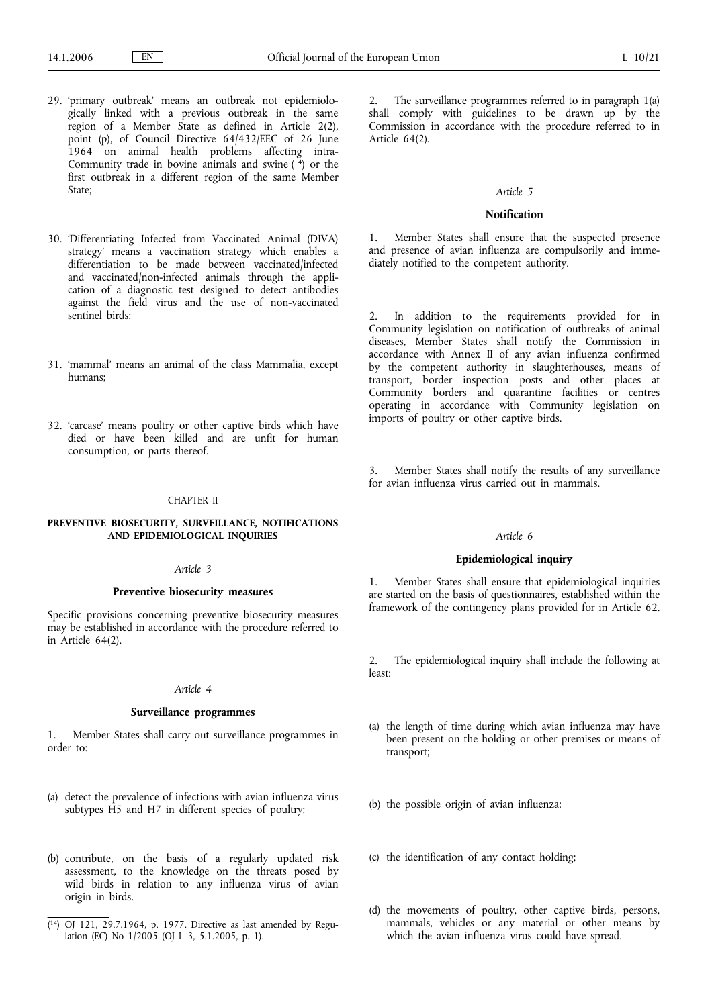- 29. 'primary outbreak' means an outbreak not epidemiologically linked with a previous outbreak in the same region of a Member State as defined in Article  $2(2)$ , point (p), of Council Directive 64/432/EEC of 26 June 1964 on animal health problems affecting intra-Community trade in bovine animals and swine  $(14)$  or the first outbreak in a different region of the same Member State;
- 30. 'Differentiating Infected from Vaccinated Animal (DIVA) strategy' means a vaccination strategy which enables a differentiation to be made between vaccinated/infected and vaccinated/non-infected animals through the application of a diagnostic test designed to detect antibodies against the field virus and the use of non-vaccinated sentinel birds;
- 31. 'mammal' means an animal of the class Mammalia, except humans;
- 32. 'carcase' means poultry or other captive birds which have died or have been killed and are unfit for human consumption, or parts thereof.

### CHAPTER II

## **PREVENTIVE BIOSECURITY, SURVEILLANCE, NOTIFICATIONS AND EPIDEMIOLOGICAL INQUIRIES**

#### *Article 3*

#### **Preventive biosecurity measures**

Specific provisions concerning preventive biosecurity measures may be established in accordance with the procedure referred to in Article 64(2).

### *Article 4*

# **Surveillance programmes**

1. Member States shall carry out surveillance programmes in order to:

- (a) detect the prevalence of infections with avian influenza virus subtypes  $\overrightarrow{H}$  and H7 in different species of poultry;
- (b) contribute, on the basis of a regularly updated risk assessment, to the knowledge on the threats posed by wild birds in relation to any influenza virus of avian origin in birds.

2. The surveillance programmes referred to in paragraph 1(a) shall comply with guidelines to be drawn up by the Commission in accordance with the procedure referred to in Article 64(2).

### *Article 5*

## **Notification**

1. Member States shall ensure that the suspected presence and presence of avian influenza are compulsorily and immediately notified to the competent authority.

2. In addition to the requirements provided for in Community legislation on notification of outbreaks of animal diseases, Member States shall notify the Commission in accordance with Annex II of any avian influenza confirmed by the competent authority in slaughterhouses, means of transport, border inspection posts and other places at Community borders and quarantine facilities or centres operating in accordance with Community legislation on imports of poultry or other captive birds.

3. Member States shall notify the results of any surveillance for avian influenza virus carried out in mammals.

### *Article 6*

#### **Epidemiological inquiry**

1. Member States shall ensure that epidemiological inquiries are started on the basis of questionnaires, established within the framework of the contingency plans provided for in Article 62.

2. The epidemiological inquiry shall include the following at least:

- (a) the length of time during which avian influenza may have been present on the holding or other premises or means of transport;
- (b) the possible origin of avian influenza;
- (c) the identification of any contact holding;
- (d) the movements of poultry, other captive birds, persons, mammals, vehicles or any material or other means by which the avian influenza virus could have spread.

<sup>(</sup> 14) OJ 121, 29.7.1964, p. 1977. Directive as last amended by Regulation (EC) No 1/2005 (OJ L 3, 5.1.2005, p. 1).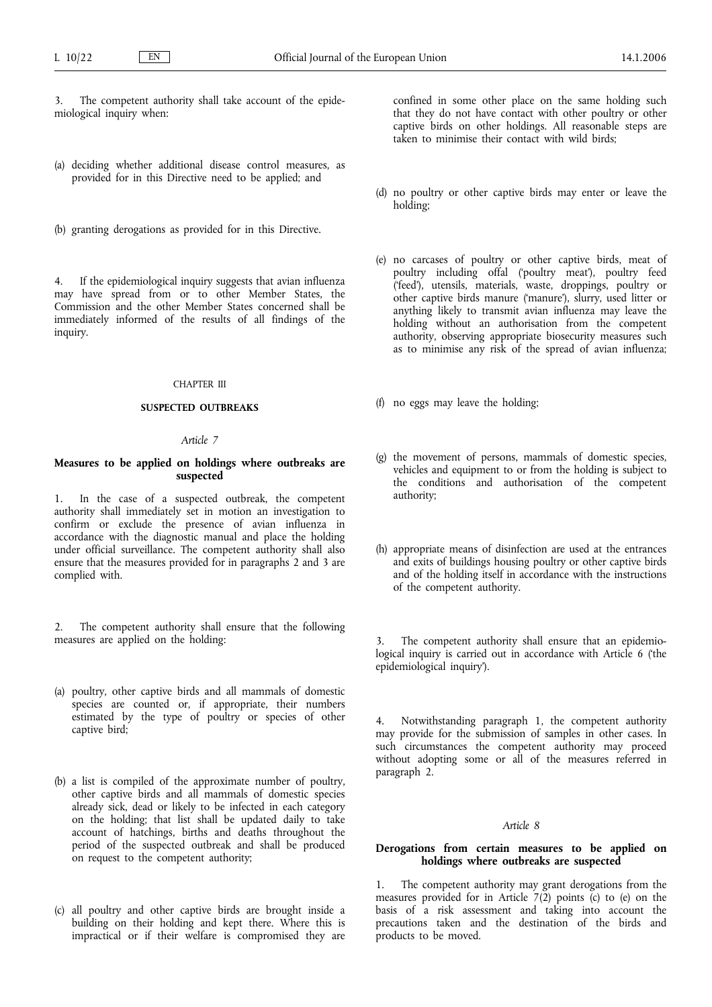The competent authority shall take account of the epidemiological inquiry when:

- (a) deciding whether additional disease control measures, as provided for in this Directive need to be applied; and
- (b) granting derogations as provided for in this Directive.

4. If the epidemiological inquiry suggests that avian influenza may have spread from or to other Member States, the Commission and the other Member States concerned shall be immediately informed of the results of all findings of the inquiry.

## CHAPTER III

### **SUSPECTED OUTBREAKS**

## *Article 7*

## **Measures to be applied on holdings where outbreaks are suspected**

1. In the case of a suspected outbreak, the competent authority shall immediately set in motion an investigation to confirm or exclude the presence of avian influenza in accordance with the diagnostic manual and place the holding under official surveillance. The competent authority shall also ensure that the measures provided for in paragraphs 2 and 3 are complied with.

2. The competent authority shall ensure that the following measures are applied on the holding:

- (a) poultry, other captive birds and all mammals of domestic species are counted or, if appropriate, their numbers estimated by the type of poultry or species of other captive bird;
- (b) a list is compiled of the approximate number of poultry, other captive birds and all mammals of domestic species already sick, dead or likely to be infected in each category on the holding; that list shall be updated daily to take account of hatchings, births and deaths throughout the period of the suspected outbreak and shall be produced on request to the competent authority;
- (c) all poultry and other captive birds are brought inside a building on their holding and kept there. Where this is impractical or if their welfare is compromised they are

confined in some other place on the same holding such that they do not have contact with other poultry or other captive birds on other holdings. All reasonable steps are taken to minimise their contact with wild birds;

- (d) no poultry or other captive birds may enter or leave the holding;
- (e) no carcases of poultry or other captive birds, meat of poultry including offal ('poultry meat'), poultry feed ('feed'), utensils, materials, waste, droppings, poultry or other captive birds manure ('manure'), slurry, used litter or anything likely to transmit avian influenza may leave the holding without an authorisation from the competent authority, observing appropriate biosecurity measures such as to minimise any risk of the spread of avian influenza;
- (f) no eggs may leave the holding;
- (g) the movement of persons, mammals of domestic species, vehicles and equipment to or from the holding is subject to the conditions and authorisation of the competent authority;
- (h) appropriate means of disinfection are used at the entrances and exits of buildings housing poultry or other captive birds and of the holding itself in accordance with the instructions of the competent authority.

The competent authority shall ensure that an epidemiological inquiry is carried out in accordance with Article 6 ('the epidemiological inquiry').

4. Notwithstanding paragraph 1, the competent authority may provide for the submission of samples in other cases. In such circumstances the competent authority may proceed without adopting some or all of the measures referred in paragraph 2.

#### *Article 8*

## **Derogations from certain measures to be applied on holdings where outbreaks are suspected**

The competent authority may grant derogations from the measures provided for in Article  $7(2)$  points (c) to (e) on the basis of a risk assessment and taking into account the precautions taken and the destination of the birds and products to be moved.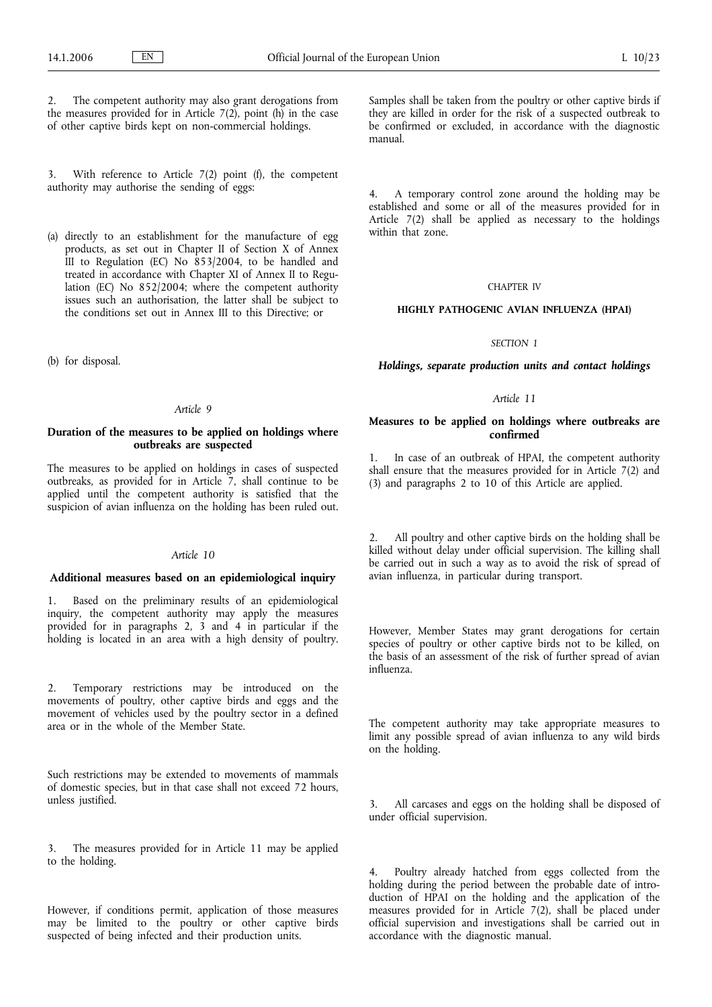The competent authority may also grant derogations from the measures provided for in Article  $7(2)$ , point (h) in the case of other captive birds kept on non-commercial holdings.

3. With reference to Article 7(2) point (f), the competent authority may authorise the sending of eggs:

(a) directly to an establishment for the manufacture of egg products, as set out in Chapter II of Section X of Annex III to Regulation (EC) No 853/2004, to be handled and treated in accordance with Chapter XI of Annex II to Regulation (EC) No 852/2004; where the competent authority issues such an authorisation, the latter shall be subject to the conditions set out in Annex III to this Directive; or

(b) for disposal.

#### *Article 9*

## **Duration of the measures to be applied on holdings where outbreaks are suspected**

The measures to be applied on holdings in cases of suspected outbreaks, as provided for in Article 7, shall continue to be applied until the competent authority is satisfied that the suspicion of avian influenza on the holding has been ruled out.

# *Article 10*

## **Additional measures based on an epidemiological inquiry**

1. Based on the preliminary results of an epidemiological inquiry, the competent authority may apply the measures provided for in paragraphs 2, 3 and 4 in particular if the holding is located in an area with a high density of poultry.

2. Temporary restrictions may be introduced on the movements of poultry, other captive birds and eggs and the movement of vehicles used by the poultry sector in a defined area or in the whole of the Member State.

Such restrictions may be extended to movements of mammals of domestic species, but in that case shall not exceed 72 hours, unless justified.

3. The measures provided for in Article 11 may be applied to the holding.

However, if conditions permit, application of those measures may be limited to the poultry or other captive birds suspected of being infected and their production units.

Samples shall be taken from the poultry or other captive birds if they are killed in order for the risk of a suspected outbreak to be confirmed or excluded, in accordance with the diagnostic manual.

4. A temporary control zone around the holding may be established and some or all of the measures provided for in Article 7(2) shall be applied as necessary to the holdings within that zone.

# CHAPTER IV

### **HIGHLY PATHOGENIC AVIAN INFLUENZA (HPAI)**

## *SECTION 1*

*Holdings, separate production units and contact holdings*

### *Article 11*

### **Measures to be applied on holdings where outbreaks are confirmed**

1. In case of an outbreak of HPAI, the competent authority shall ensure that the measures provided for in Article 7(2) and (3) and paragraphs 2 to 10 of this Article are applied.

2. All poultry and other captive birds on the holding shall be killed without delay under official supervision. The killing shall be carried out in such a way as to avoid the risk of spread of avian influenza, in particular during transport.

However, Member States may grant derogations for certain species of poultry or other captive birds not to be killed, on the basis of an assessment of the risk of further spread of avian influenza.

The competent authority may take appropriate measures to limit any possible spread of avian influenza to any wild birds on the holding.

3. All carcases and eggs on the holding shall be disposed of under official supervision.

Poultry already hatched from eggs collected from the holding during the period between the probable date of introduction of HPAI on the holding and the application of the measures provided for in Article  $7(2)$ , shall be placed under official supervision and investigations shall be carried out in accordance with the diagnostic manual.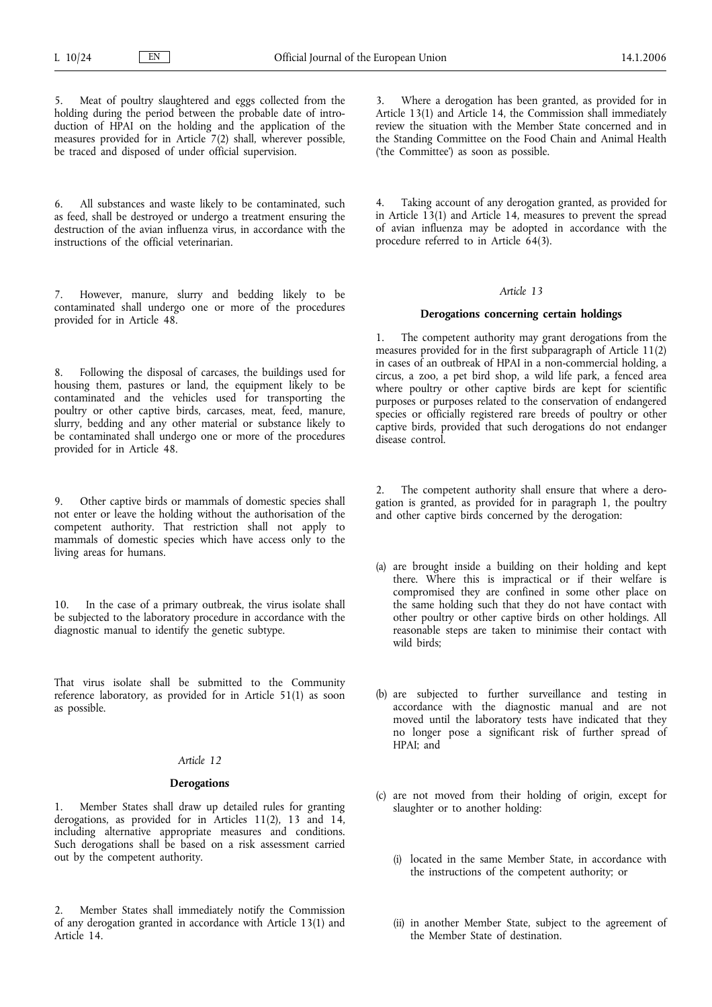Meat of poultry slaughtered and eggs collected from the holding during the period between the probable date of introduction of HPAI on the holding and the application of the measures provided for in Article 7(2) shall, wherever possible, be traced and disposed of under official supervision.

6. All substances and waste likely to be contaminated, such as feed, shall be destroyed or undergo a treatment ensuring the destruction of the avian influenza virus, in accordance with the instructions of the official veterinarian.

7. However, manure, slurry and bedding likely to be contaminated shall undergo one or more of the procedures provided for in Article 48.

8. Following the disposal of carcases, the buildings used for housing them, pastures or land, the equipment likely to be contaminated and the vehicles used for transporting the poultry or other captive birds, carcases, meat, feed, manure, slurry, bedding and any other material or substance likely to be contaminated shall undergo one or more of the procedures provided for in Article 48.

9. Other captive birds or mammals of domestic species shall not enter or leave the holding without the authorisation of the competent authority. That restriction shall not apply to mammals of domestic species which have access only to the living areas for humans.

10. In the case of a primary outbreak, the virus isolate shall be subjected to the laboratory procedure in accordance with the diagnostic manual to identify the genetic subtype.

That virus isolate shall be submitted to the Community reference laboratory, as provided for in Article 51(1) as soon as possible.

## *Article 12*

### **Derogations**

1. Member States shall draw up detailed rules for granting derogations, as provided for in Articles 11(2), 13 and 14, including alternative appropriate measures and conditions. Such derogations shall be based on a risk assessment carried out by the competent authority.

2. Member States shall immediately notify the Commission of any derogation granted in accordance with Article 13(1) and Article 14.

Where a derogation has been granted, as provided for in Article 13(1) and Article 14, the Commission shall immediately review the situation with the Member State concerned and in the Standing Committee on the Food Chain and Animal Health ('the Committee') as soon as possible.

4. Taking account of any derogation granted, as provided for in Article 13(1) and Article 14, measures to prevent the spread of avian influenza may be adopted in accordance with the procedure referred to in Article  $64(3)$ .

#### *Article 13*

#### **Derogations concerning certain holdings**

1. The competent authority may grant derogations from the measures provided for in the first subparagraph of Article 11(2) in cases of an outbreak of HPAI in a non-commercial holding, a circus, a zoo, a pet bird shop, a wild life park, a fenced area where poultry or other captive birds are kept for scientific purposes or purposes related to the conservation of endangered species or officially registered rare breeds of poultry or other captive birds, provided that such derogations do not endanger disease control.

2. The competent authority shall ensure that where a derogation is granted, as provided for in paragraph 1, the poultry and other captive birds concerned by the derogation:

- (a) are brought inside a building on their holding and kept there. Where this is impractical or if their welfare is compromised they are confined in some other place on the same holding such that they do not have contact with other poultry or other captive birds on other holdings. All reasonable steps are taken to minimise their contact with wild birds;
- (b) are subjected to further surveillance and testing in accordance with the diagnostic manual and are not moved until the laboratory tests have indicated that they no longer pose a significant risk of further spread of HPAI; and
- (c) are not moved from their holding of origin, except for slaughter or to another holding:
	- (i) located in the same Member State, in accordance with the instructions of the competent authority; or
	- (ii) in another Member State, subject to the agreement of the Member State of destination.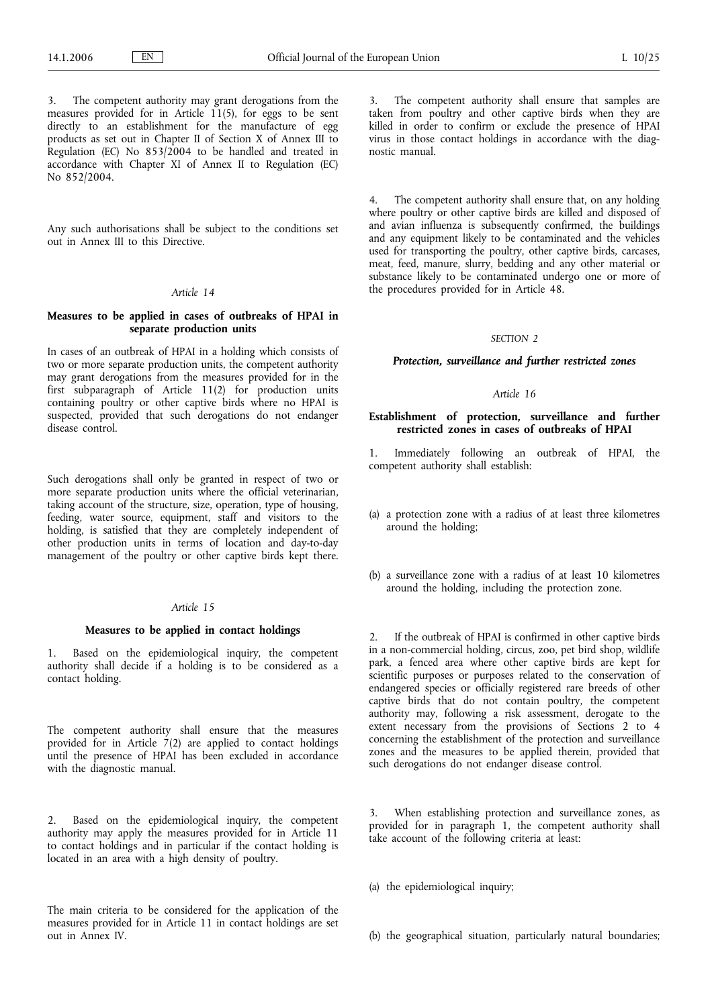The competent authority may grant derogations from the measures provided for in Article 11(5), for eggs to be sent directly to an establishment for the manufacture of egg products as set out in Chapter II of Section X of Annex III to Regulation (EC) No 853/2004 to be handled and treated in accordance with Chapter XI of Annex II to Regulation (EC) No 852/2004.

Any such authorisations shall be subject to the conditions set out in Annex III to this Directive.

## *Article 14*

## **Measures to be applied in cases of outbreaks of HPAI in separate production units**

In cases of an outbreak of HPAI in a holding which consists of two or more separate production units, the competent authority may grant derogations from the measures provided for in the first subparagraph of Article 11(2) for production units containing poultry or other captive birds where no HPAI is suspected, provided that such derogations do not endanger disease control.

Such derogations shall only be granted in respect of two or more separate production units where the official veterinarian, taking account of the structure, size, operation, type of housing, feeding, water source, equipment, staff and visitors to the holding, is satisfied that they are completely independent of other production units in terms of location and day-to-day management of the poultry or other captive birds kept there.

## *Article 15*

#### **Measures to be applied in contact holdings**

1. Based on the epidemiological inquiry, the competent authority shall decide if a holding is to be considered as a contact holding.

The competent authority shall ensure that the measures provided for in Article  $\tilde{7}(2)$  are applied to contact holdings until the presence of HPAI has been excluded in accordance with the diagnostic manual.

2. Based on the epidemiological inquiry, the competent authority may apply the measures provided for in Article 11 to contact holdings and in particular if the contact holding is located in an area with a high density of poultry.

The main criteria to be considered for the application of the measures provided for in Article 11 in contact holdings are set out in Annex IV.

3. The competent authority shall ensure that samples are taken from poultry and other captive birds when they are killed in order to confirm or exclude the presence of HPAI virus in those contact holdings in accordance with the diagnostic manual.

The competent authority shall ensure that, on any holding where poultry or other captive birds are killed and disposed of and avian influenza is subsequently confirmed, the buildings and any equipment likely to be contaminated and the vehicles used for transporting the poultry, other captive birds, carcases, meat, feed, manure, slurry, bedding and any other material or substance likely to be contaminated undergo one or more of the procedures provided for in Article 48.

## *SECTION 2*

### *Protection, surveillance and further restricted zones*

#### *Article 16*

# **Establishment of protection, surveillance and further restricted zones in cases of outbreaks of HPAI**

1. Immediately following an outbreak of HPAI, the competent authority shall establish:

- (a) a protection zone with a radius of at least three kilometres around the holding;
- (b) a surveillance zone with a radius of at least 10 kilometres around the holding, including the protection zone.

2. If the outbreak of HPAI is confirmed in other captive birds in a non-commercial holding, circus, zoo, pet bird shop, wildlife park, a fenced area where other captive birds are kept for scientific purposes or purposes related to the conservation of endangered species or officially registered rare breeds of other captive birds that do not contain poultry, the competent authority may, following a risk assessment, derogate to the extent necessary from the provisions of Sections 2 to 4 concerning the establishment of the protection and surveillance zones and the measures to be applied therein, provided that such derogations do not endanger disease control.

3. When establishing protection and surveillance zones, as provided for in paragraph 1, the competent authority shall take account of the following criteria at least:

(a) the epidemiological inquiry;

(b) the geographical situation, particularly natural boundaries;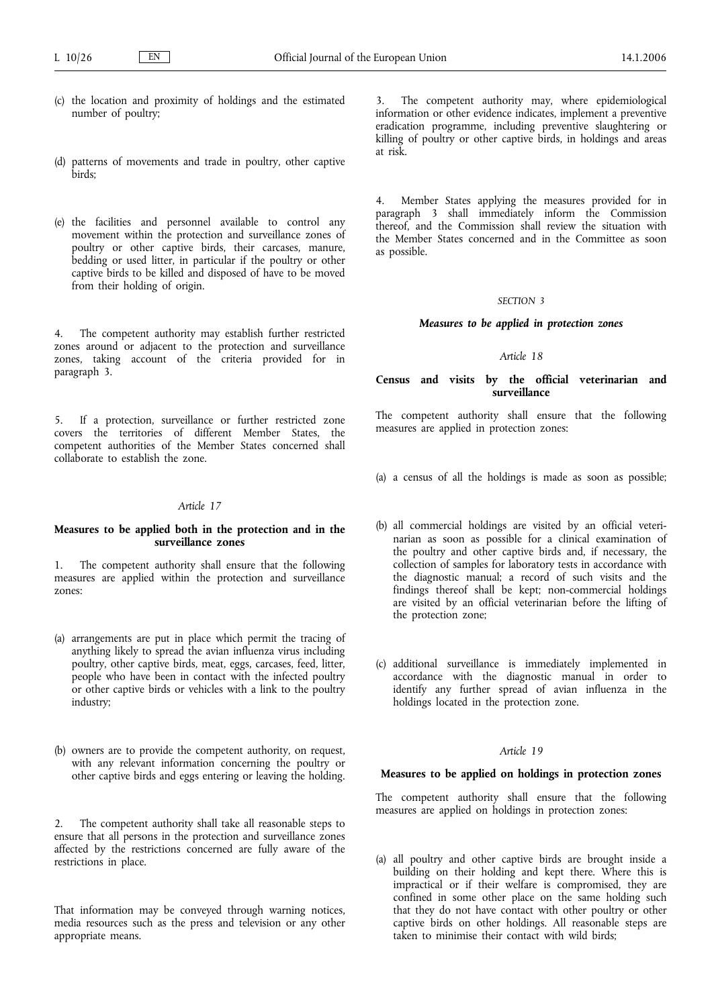- (c) the location and proximity of holdings and the estimated number of poultry;
- (d) patterns of movements and trade in poultry, other captive birds;
- (e) the facilities and personnel available to control any movement within the protection and surveillance zones of poultry or other captive birds, their carcases, manure, bedding or used litter, in particular if the poultry or other captive birds to be killed and disposed of have to be moved from their holding of origin.

4. The competent authority may establish further restricted zones around or adjacent to the protection and surveillance zones, taking account of the criteria provided for in paragraph 3.

5. If a protection, surveillance or further restricted zone covers the territories of different Member States, the competent authorities of the Member States concerned shall collaborate to establish the zone.

## *Article 17*

## **Measures to be applied both in the protection and in the surveillance zones**

1. The competent authority shall ensure that the following measures are applied within the protection and surveillance zones:

- (a) arrangements are put in place which permit the tracing of anything likely to spread the avian influenza virus including poultry, other captive birds, meat, eggs, carcases, feed, litter, people who have been in contact with the infected poultry or other captive birds or vehicles with a link to the poultry industry;
- (b) owners are to provide the competent authority, on request, with any relevant information concerning the poultry or other captive birds and eggs entering or leaving the holding.

2. The competent authority shall take all reasonable steps to ensure that all persons in the protection and surveillance zones affected by the restrictions concerned are fully aware of the restrictions in place.

That information may be conveyed through warning notices, media resources such as the press and television or any other appropriate means.

The competent authority may, where epidemiological information or other evidence indicates, implement a preventive eradication programme, including preventive slaughtering or killing of poultry or other captive birds, in holdings and areas at risk.

Member States applying the measures provided for in paragraph 3 shall immediately inform the Commission thereof, and the Commission shall review the situation with the Member States concerned and in the Committee as soon as possible.

#### *SECTION 3*

## *Measures to be applied in protection zones*

## *Article 18*

## **Census and visits by the official veterinarian and surveillance**

The competent authority shall ensure that the following measures are applied in protection zones:

- (a) a census of all the holdings is made as soon as possible;
- (b) all commercial holdings are visited by an official veterinarian as soon as possible for a clinical examination of the poultry and other captive birds and, if necessary, the collection of samples for laboratory tests in accordance with the diagnostic manual; a record of such visits and the findings thereof shall be kept; non-commercial holdings are visited by an official veterinarian before the lifting of the protection zone;
- (c) additional surveillance is immediately implemented in accordance with the diagnostic manual in order to identify any further spread of avian influenza in the holdings located in the protection zone.

## *Article 19*

### **Measures to be applied on holdings in protection zones**

The competent authority shall ensure that the following measures are applied on holdings in protection zones:

(a) all poultry and other captive birds are brought inside a building on their holding and kept there. Where this is impractical or if their welfare is compromised, they are confined in some other place on the same holding such that they do not have contact with other poultry or other captive birds on other holdings. All reasonable steps are taken to minimise their contact with wild birds;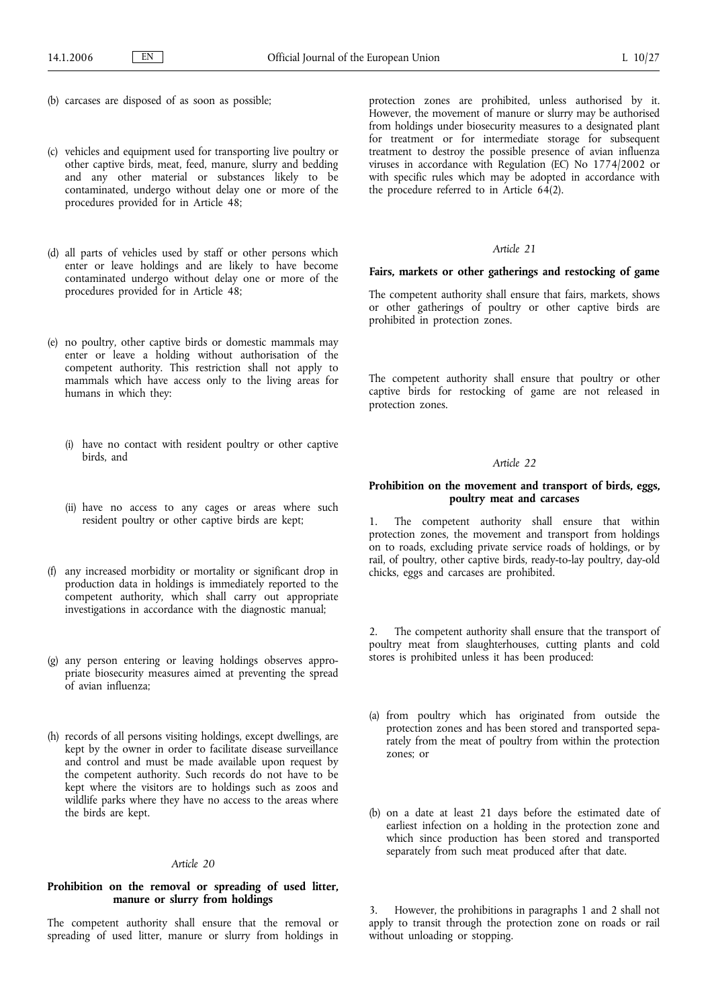- (b) carcases are disposed of as soon as possible;
- (c) vehicles and equipment used for transporting live poultry or other captive birds, meat, feed, manure, slurry and bedding and any other material or substances likely to be contaminated, undergo without delay one or more of the procedures provided for in Article 48;
- (d) all parts of vehicles used by staff or other persons which enter or leave holdings and are likely to have become contaminated undergo without delay one or more of the procedures provided for in Article 48;
- (e) no poultry, other captive birds or domestic mammals may enter or leave a holding without authorisation of the competent authority. This restriction shall not apply to mammals which have access only to the living areas for humans in which they:
	- (i) have no contact with resident poultry or other captive birds, and
	- (ii) have no access to any cages or areas where such resident poultry or other captive birds are kept;
- (f) any increased morbidity or mortality or significant drop in production data in holdings is immediately reported to the competent authority, which shall carry out appropriate investigations in accordance with the diagnostic manual;
- (g) any person entering or leaving holdings observes appropriate biosecurity measures aimed at preventing the spread of avian influenza;
- (h) records of all persons visiting holdings, except dwellings, are kept by the owner in order to facilitate disease surveillance and control and must be made available upon request by the competent authority. Such records do not have to be kept where the visitors are to holdings such as zoos and wildlife parks where they have no access to the areas where the birds are kept.

#### *Article 20*

## **Prohibition on the removal or spreading of used litter, manure or slurry from holdings**

The competent authority shall ensure that the removal or spreading of used litter, manure or slurry from holdings in

protection zones are prohibited, unless authorised by it. However, the movement of manure or slurry may be authorised from holdings under biosecurity measures to a designated plant for treatment or for intermediate storage for subsequent treatment to destroy the possible presence of avian influenza viruses in accordance with Regulation (EC) No 1774/2002 or with specific rules which may be adopted in accordance with the procedure referred to in Article 64(2).

#### *Article 21*

#### **Fairs, markets or other gatherings and restocking of game**

The competent authority shall ensure that fairs, markets, shows or other gatherings of poultry or other captive birds are prohibited in protection zones.

The competent authority shall ensure that poultry or other captive birds for restocking of game are not released in protection zones.

# *Article 22*

## **Prohibition on the movement and transport of birds, eggs, poultry meat and carcases**

1. The competent authority shall ensure that within protection zones, the movement and transport from holdings on to roads, excluding private service roads of holdings, or by rail, of poultry, other captive birds, ready-to-lay poultry, day-old chicks, eggs and carcases are prohibited.

2. The competent authority shall ensure that the transport of poultry meat from slaughterhouses, cutting plants and cold stores is prohibited unless it has been produced:

- (a) from poultry which has originated from outside the protection zones and has been stored and transported separately from the meat of poultry from within the protection zones; or
- (b) on a date at least 21 days before the estimated date of earliest infection on a holding in the protection zone and which since production has been stored and transported separately from such meat produced after that date.

3. However, the prohibitions in paragraphs 1 and 2 shall not apply to transit through the protection zone on roads or rail without unloading or stopping.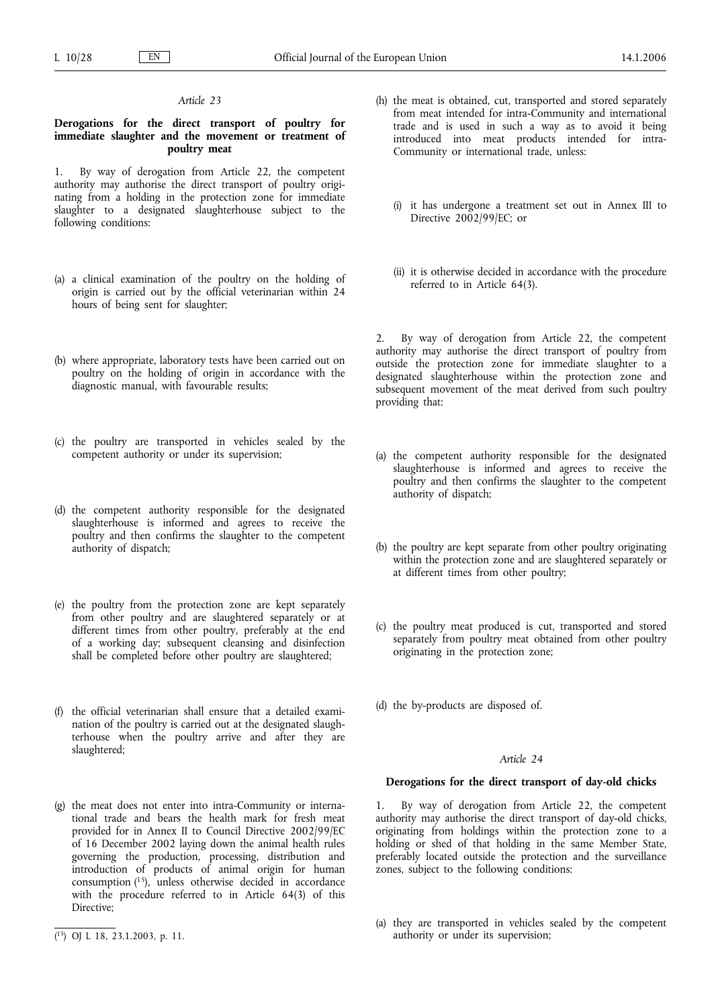## *Article 23*

## **Derogations for the direct transport of poultry for immediate slaughter and the movement or treatment of poultry meat**

1. By way of derogation from Article 22, the competent authority may authorise the direct transport of poultry originating from a holding in the protection zone for immediate slaughter to a designated slaughterhouse subject to the following conditions:

- (a) a clinical examination of the poultry on the holding of origin is carried out by the official veterinarian within 24 hours of being sent for slaughter;
- (b) where appropriate, laboratory tests have been carried out on poultry on the holding of origin in accordance with the diagnostic manual, with favourable results;
- (c) the poultry are transported in vehicles sealed by the competent authority or under its supervision;
- (d) the competent authority responsible for the designated slaughterhouse is informed and agrees to receive the poultry and then confirms the slaughter to the competent authority of dispatch;
- (e) the poultry from the protection zone are kept separately from other poultry and are slaughtered separately or at different times from other poultry, preferably at the end of a working day; subsequent cleansing and disinfection shall be completed before other poultry are slaughtered;
- (f) the official veterinarian shall ensure that a detailed examination of the poultry is carried out at the designated slaughterhouse when the poultry arrive and after they are slaughtered;
- (g) the meat does not enter into intra-Community or international trade and bears the health mark for fresh meat provided for in Annex II to Council Directive 2002/99/EC of 16 December 2002 laying down the animal health rules governing the production, processing, distribution and introduction of products of animal origin for human consumption (15), unless otherwise decided in accordance with the procedure referred to in Article 64(3) of this Directive;
- (h) the meat is obtained, cut, transported and stored separately from meat intended for intra-Community and international trade and is used in such a way as to avoid it being introduced into meat products intended for intra-Community or international trade, unless:
	- (i) it has undergone a treatment set out in Annex III to Directive 2002/99/EC: or
	- (ii) it is otherwise decided in accordance with the procedure referred to in Article 64(3).

2. By way of derogation from Article 22, the competent authority may authorise the direct transport of poultry from outside the protection zone for immediate slaughter to a designated slaughterhouse within the protection zone and subsequent movement of the meat derived from such poultry providing that:

- (a) the competent authority responsible for the designated slaughterhouse is informed and agrees to receive the poultry and then confirms the slaughter to the competent authority of dispatch;
- (b) the poultry are kept separate from other poultry originating within the protection zone and are slaughtered separately or at different times from other poultry;
- (c) the poultry meat produced is cut, transported and stored separately from poultry meat obtained from other poultry originating in the protection zone;

(d) the by-products are disposed of.

# *Article 24*

## **Derogations for the direct transport of day-old chicks**

1. By way of derogation from Article 22, the competent authority may authorise the direct transport of day-old chicks, originating from holdings within the protection zone to a holding or shed of that holding in the same Member State, preferably located outside the protection and the surveillance zones, subject to the following conditions:

(a) they are transported in vehicles sealed by the competent authority or under its supervision;

<sup>(</sup> 15) OJ L 18, 23.1.2003, p. 11.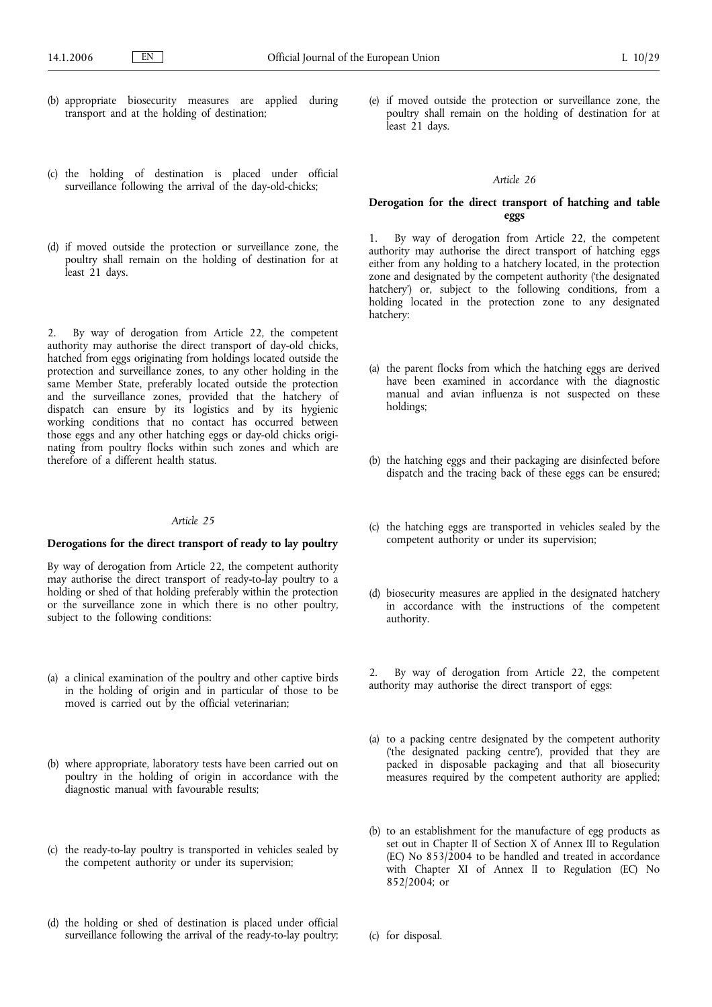- (b) appropriate biosecurity measures are applied during transport and at the holding of destination;
- (c) the holding of destination is placed under official surveillance following the arrival of the day-old-chicks;
- (d) if moved outside the protection or surveillance zone, the poultry shall remain on the holding of destination for at least 21 days.

2. By way of derogation from Article 22, the competent authority may authorise the direct transport of day-old chicks, hatched from eggs originating from holdings located outside the protection and surveillance zones, to any other holding in the same Member State, preferably located outside the protection and the surveillance zones, provided that the hatchery of dispatch can ensure by its logistics and by its hygienic working conditions that no contact has occurred between those eggs and any other hatching eggs or day-old chicks originating from poultry flocks within such zones and which are therefore of a different health status.

## *Article 25*

## **Derogations for the direct transport of ready to lay poultry**

By way of derogation from Article 22, the competent authority may authorise the direct transport of ready-to-lay poultry to a holding or shed of that holding preferably within the protection or the surveillance zone in which there is no other poultry, subject to the following conditions:

- (a) a clinical examination of the poultry and other captive birds in the holding of origin and in particular of those to be moved is carried out by the official veterinarian;
- (b) where appropriate, laboratory tests have been carried out on poultry in the holding of origin in accordance with the diagnostic manual with favourable results;
- (c) the ready-to-lay poultry is transported in vehicles sealed by the competent authority or under its supervision;
- (d) the holding or shed of destination is placed under official surveillance following the arrival of the ready-to-lay poultry;

(e) if moved outside the protection or surveillance zone, the poultry shall remain on the holding of destination for at least 21 days.

## *Article 26*

# **Derogation for the direct transport of hatching and table eggs**

1. By way of derogation from Article 22, the competent authority may authorise the direct transport of hatching eggs either from any holding to a hatchery located, in the protection zone and designated by the competent authority ('the designated hatchery') or, subject to the following conditions, from a holding located in the protection zone to any designated hatchery:

- (a) the parent flocks from which the hatching eggs are derived have been examined in accordance with the diagnostic manual and avian influenza is not suspected on these holdings;
- (b) the hatching eggs and their packaging are disinfected before dispatch and the tracing back of these eggs can be ensured;
- (c) the hatching eggs are transported in vehicles sealed by the competent authority or under its supervision;
- (d) biosecurity measures are applied in the designated hatchery in accordance with the instructions of the competent authority.

2. By way of derogation from Article 22, the competent authority may authorise the direct transport of eggs:

- (a) to a packing centre designated by the competent authority ('the designated packing centre'), provided that they are packed in disposable packaging and that all biosecurity measures required by the competent authority are applied;
- (b) to an establishment for the manufacture of egg products as set out in Chapter II of Section X of Annex III to Regulation (EC) No  $853/2004$  to be handled and treated in accordance with Chapter XI of Annex II to Regulation (EC) No 852/2004; or

(c) for disposal.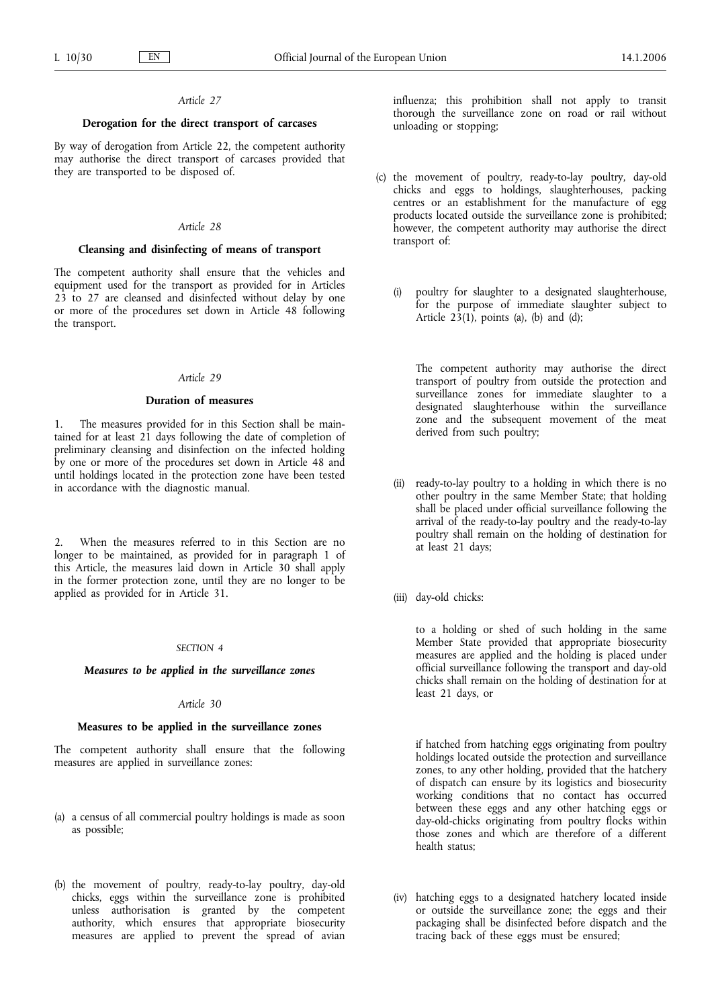## *Article 27*

## **Derogation for the direct transport of carcases**

By way of derogation from Article 22, the competent authority may authorise the direct transport of carcases provided that they are transported to be disposed of.

### *Article 28*

## **Cleansing and disinfecting of means of transport**

The competent authority shall ensure that the vehicles and equipment used for the transport as provided for in Articles 23 to 27 are cleansed and disinfected without delay by one or more of the procedures set down in Article 48 following the transport.

### *Article 29*

## **Duration of measures**

1. The measures provided for in this Section shall be maintained for at least 21 days following the date of completion of preliminary cleansing and disinfection on the infected holding by one or more of the procedures set down in Article 48 and until holdings located in the protection zone have been tested in accordance with the diagnostic manual.

2. When the measures referred to in this Section are no longer to be maintained, as provided for in paragraph 1 of this Article, the measures laid down in Article 30 shall apply in the former protection zone, until they are no longer to be applied as provided for in Article 31.

### *SECTION 4*

#### *Measures to be applied in the surveillance zones*

#### *Article 30*

### **Measures to be applied in the surveillance zones**

The competent authority shall ensure that the following measures are applied in surveillance zones:

- (a) a census of all commercial poultry holdings is made as soon as possible;
- (b) the movement of poultry, ready-to-lay poultry, day-old chicks, eggs within the surveillance zone is prohibited unless authorisation is granted by the competent authority, which ensures that appropriate biosecurity measures are applied to prevent the spread of avian

influenza; this prohibition shall not apply to transit thorough the surveillance zone on road or rail without unloading or stopping;

- (c) the movement of poultry, ready-to-lay poultry, day-old chicks and eggs to holdings, slaughterhouses, packing centres or an establishment for the manufacture of egg products located outside the surveillance zone is prohibited; however, the competent authority may authorise the direct transport of:
	- (i) poultry for slaughter to a designated slaughterhouse, for the purpose of immediate slaughter subject to Article  $23(1)$ , points (a), (b) and (d);

The competent authority may authorise the direct transport of poultry from outside the protection and surveillance zones for immediate slaughter to a designated slaughterhouse within the surveillance zone and the subsequent movement of the meat derived from such poultry;

- (ii) ready-to-lay poultry to a holding in which there is no other poultry in the same Member State; that holding shall be placed under official surveillance following the arrival of the ready-to-lay poultry and the ready-to-lay poultry shall remain on the holding of destination for at least 21 days;
- (iii) day-old chicks:

to a holding or shed of such holding in the same Member State provided that appropriate biosecurity measures are applied and the holding is placed under official surveillance following the transport and day-old chicks shall remain on the holding of destination for at least 21 days, or

if hatched from hatching eggs originating from poultry holdings located outside the protection and surveillance zones, to any other holding, provided that the hatchery of dispatch can ensure by its logistics and biosecurity working conditions that no contact has occurred between these eggs and any other hatching eggs or day-old-chicks originating from poultry flocks within those zones and which are therefore of a different health status;

(iv) hatching eggs to a designated hatchery located inside or outside the surveillance zone; the eggs and their packaging shall be disinfected before dispatch and the tracing back of these eggs must be ensured;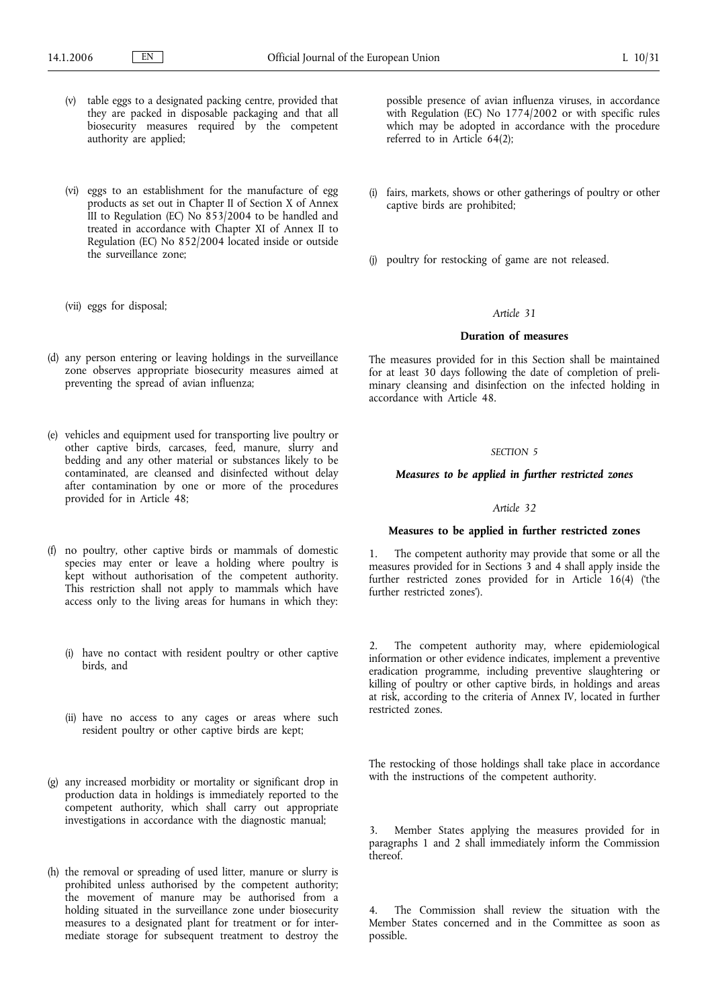- (v) table eggs to a designated packing centre, provided that they are packed in disposable packaging and that all biosecurity measures required by the competent authority are applied;
- (vi) eggs to an establishment for the manufacture of egg products as set out in Chapter II of Section X of Annex III to Regulation (EC) No  $853/2004$  to be handled and treated in accordance with Chapter XI of Annex II to Regulation (EC) No 852/2004 located inside or outside the surveillance zone;
- (vii) eggs for disposal;
- (d) any person entering or leaving holdings in the surveillance zone observes appropriate biosecurity measures aimed at preventing the spread of avian influenza;
- (e) vehicles and equipment used for transporting live poultry or other captive birds, carcases, feed, manure, slurry and bedding and any other material or substances likely to be contaminated, are cleansed and disinfected without delay after contamination by one or more of the procedures provided for in Article 48;
- (f) no poultry, other captive birds or mammals of domestic species may enter or leave a holding where poultry is kept without authorisation of the competent authority. This restriction shall not apply to mammals which have access only to the living areas for humans in which they:
	- (i) have no contact with resident poultry or other captive birds, and
	- (ii) have no access to any cages or areas where such resident poultry or other captive birds are kept;
- (g) any increased morbidity or mortality or significant drop in production data in holdings is immediately reported to the competent authority, which shall carry out appropriate investigations in accordance with the diagnostic manual;
- (h) the removal or spreading of used litter, manure or slurry is prohibited unless authorised by the competent authority; the movement of manure may be authorised from a holding situated in the surveillance zone under biosecurity measures to a designated plant for treatment or for intermediate storage for subsequent treatment to destroy the

possible presence of avian influenza viruses, in accordance with Regulation (EC) No 1774/2002 or with specific rules which may be adopted in accordance with the procedure referred to in Article 64(2);

- (i) fairs, markets, shows or other gatherings of poultry or other captive birds are prohibited;
- (j) poultry for restocking of game are not released.

## *Article 31*

## **Duration of measures**

The measures provided for in this Section shall be maintained for at least 30 days following the date of completion of preliminary cleansing and disinfection on the infected holding in accordance with Article 48.

### *SECTION 5*

#### *Measures to be applied in further restricted zones*

# *Article 32*

## **Measures to be applied in further restricted zones**

1. The competent authority may provide that some or all the measures provided for in Sections 3 and 4 shall apply inside the further restricted zones provided for in Article 16(4) ('the further restricted zones').

2. The competent authority may, where epidemiological information or other evidence indicates, implement a preventive eradication programme, including preventive slaughtering or killing of poultry or other captive birds, in holdings and areas at risk, according to the criteria of Annex IV, located in further restricted zones.

The restocking of those holdings shall take place in accordance with the instructions of the competent authority.

3. Member States applying the measures provided for in paragraphs 1 and 2 shall immediately inform the Commission thereof.

The Commission shall review the situation with the Member States concerned and in the Committee as soon as possible.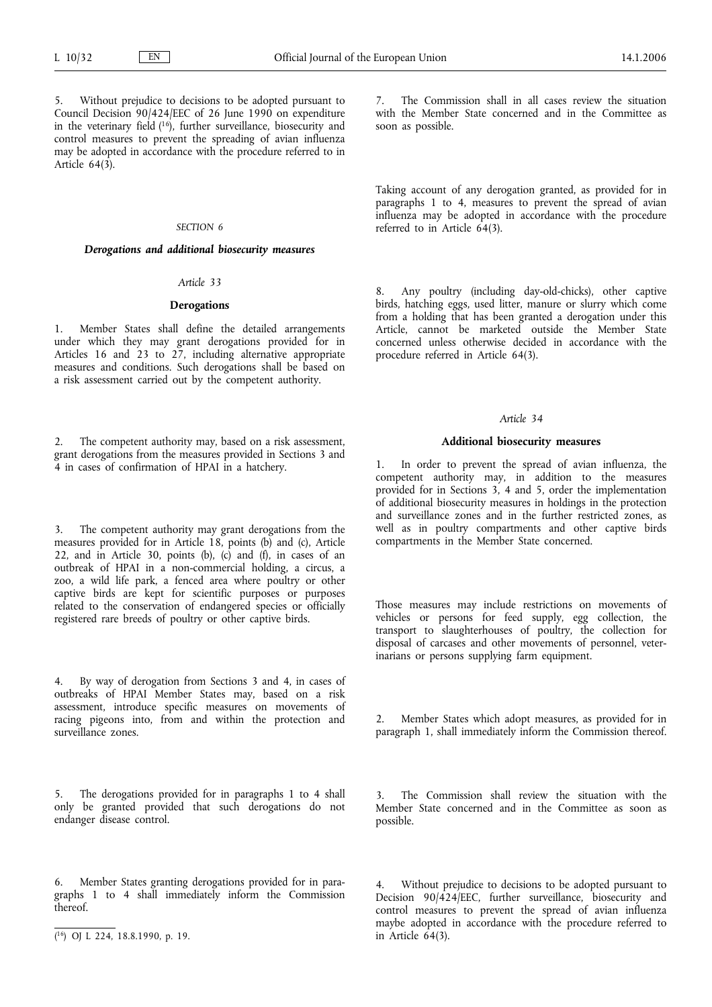Without prejudice to decisions to be adopted pursuant to Council Decision 90/424/EEC of 26 June 1990 on expenditure in the veterinary field  $(16)$ , further surveillance, biosecurity and control measures to prevent the spreading of avian influenza may be adopted in accordance with the procedure referred to in Article 64(3).

## *SECTION 6*

## *Derogations and additional biosecurity measures*

## *Article 33*

## **Derogations**

1. Member States shall define the detailed arrangements under which they may grant derogations provided for in Articles 16 and 23 to 27, including alternative appropriate measures and conditions. Such derogations shall be based on a risk assessment carried out by the competent authority.

2. The competent authority may, based on a risk assessment, grant derogations from the measures provided in Sections 3 and 4 in cases of confirmation of HPAI in a hatchery.

3. The competent authority may grant derogations from the measures provided for in Article 18, points (b) and (c), Article 22, and in Article 30, points (b), (c) and (f), in cases of an outbreak of HPAI in a non-commercial holding, a circus, a zoo, a wild life park, a fenced area where poultry or other captive birds are kept for scientific purposes or purposes related to the conservation of endangered species or officially registered rare breeds of poultry or other captive birds.

4. By way of derogation from Sections 3 and 4, in cases of outbreaks of HPAI Member States may, based on a risk assessment, introduce specific measures on movements of racing pigeons into, from and within the protection and surveillance zones.

5. The derogations provided for in paragraphs 1 to 4 shall only be granted provided that such derogations do not endanger disease control.

6. Member States granting derogations provided for in paragraphs 1 to 4 shall immediately inform the Commission thereof.

The Commission shall in all cases review the situation with the Member State concerned and in the Committee as soon as possible.

Taking account of any derogation granted, as provided for in paragraphs 1 to 4, measures to prevent the spread of avian influenza may be adopted in accordance with the procedure referred to in Article 64(3).

8. Any poultry (including day-old-chicks), other captive birds, hatching eggs, used litter, manure or slurry which come from a holding that has been granted a derogation under this Article, cannot be marketed outside the Member State concerned unless otherwise decided in accordance with the procedure referred in Article 64(3).

#### *Article 34*

### **Additional biosecurity measures**

1. In order to prevent the spread of avian influenza, the competent authority may, in addition to the measures provided for in Sections 3, 4 and 5, order the implementation of additional biosecurity measures in holdings in the protection and surveillance zones and in the further restricted zones, as well as in poultry compartments and other captive birds compartments in the Member State concerned.

Those measures may include restrictions on movements of vehicles or persons for feed supply, egg collection, the transport to slaughterhouses of poultry, the collection for disposal of carcases and other movements of personnel, veterinarians or persons supplying farm equipment.

2. Member States which adopt measures, as provided for in paragraph 1, shall immediately inform the Commission thereof.

The Commission shall review the situation with the Member State concerned and in the Committee as soon as possible.

Without prejudice to decisions to be adopted pursuant to Decision 90/424/EEC, further surveillance, biosecurity and control measures to prevent the spread of avian influenza maybe adopted in accordance with the procedure referred to in Article 64(3).

<sup>(</sup> 16) OJ L 224, 18.8.1990, p. 19.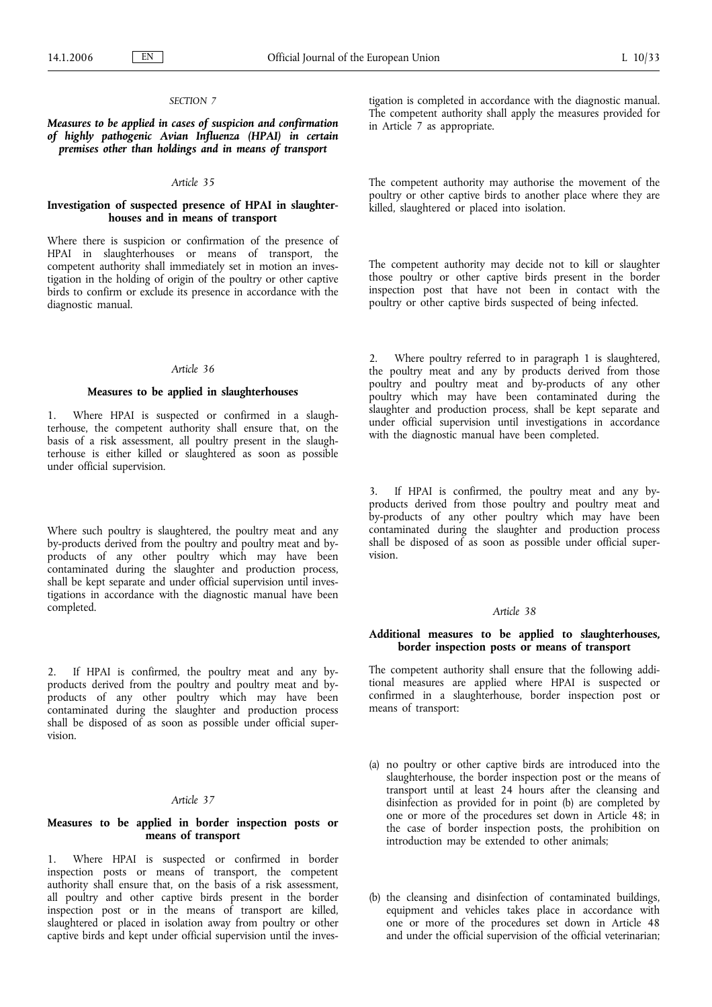## *SECTION 7*

*Measures to be applied in cases of suspicion and confirmation of highly pathogenic Avian Influenza (HPAI) in certain premises other than holdings and in means of transport*

## *Article 35*

## **Investigation of suspected presence of HPAI in slaughterhouses and in means of transport**

Where there is suspicion or confirmation of the presence of HPAI in slaughterhouses or means of transport, the competent authority shall immediately set in motion an investigation in the holding of origin of the poultry or other captive birds to confirm or exclude its presence in accordance with the diagnostic manual.

#### *Article 36*

#### **Measures to be applied in slaughterhouses**

1. Where HPAI is suspected or confirmed in a slaughterhouse, the competent authority shall ensure that, on the basis of a risk assessment, all poultry present in the slaughterhouse is either killed or slaughtered as soon as possible under official supervision.

Where such poultry is slaughtered, the poultry meat and any by-products derived from the poultry and poultry meat and byproducts of any other poultry which may have been contaminated during the slaughter and production process, shall be kept separate and under official supervision until investigations in accordance with the diagnostic manual have been completed.

2. If HPAI is confirmed, the poultry meat and any byproducts derived from the poultry and poultry meat and byproducts of any other poultry which may have been contaminated during the slaughter and production process shall be disposed of as soon as possible under official supervision.

## *Article 37*

## **Measures to be applied in border inspection posts or means of transport**

1. Where HPAI is suspected or confirmed in border inspection posts or means of transport, the competent authority shall ensure that, on the basis of a risk assessment, all poultry and other captive birds present in the border inspection post or in the means of transport are killed, slaughtered or placed in isolation away from poultry or other captive birds and kept under official supervision until the inves-

tigation is completed in accordance with the diagnostic manual. The competent authority shall apply the measures provided for in Article 7 as appropriate.

The competent authority may authorise the movement of the poultry or other captive birds to another place where they are killed, slaughtered or placed into isolation.

The competent authority may decide not to kill or slaughter those poultry or other captive birds present in the border inspection post that have not been in contact with the poultry or other captive birds suspected of being infected.

2. Where poultry referred to in paragraph 1 is slaughtered, the poultry meat and any by products derived from those poultry and poultry meat and by-products of any other poultry which may have been contaminated during the slaughter and production process, shall be kept separate and under official supervision until investigations in accordance with the diagnostic manual have been completed.

3. If HPAI is confirmed, the poultry meat and any byproducts derived from those poultry and poultry meat and by-products of any other poultry which may have been contaminated during the slaughter and production process shall be disposed of as soon as possible under official supervision.

## *Article 38*

## **Additional measures to be applied to slaughterhouses, border inspection posts or means of transport**

The competent authority shall ensure that the following additional measures are applied where HPAI is suspected or confirmed in a slaughterhouse, border inspection post or means of transport:

- (a) no poultry or other captive birds are introduced into the slaughterhouse, the border inspection post or the means of transport until at least 24 hours after the cleansing and disinfection as provided for in point (b) are completed by one or more of the procedures set down in Article 48; in the case of border inspection posts, the prohibition on introduction may be extended to other animals;
- (b) the cleansing and disinfection of contaminated buildings, equipment and vehicles takes place in accordance with one or more of the procedures set down in Article 48 and under the official supervision of the official veterinarian;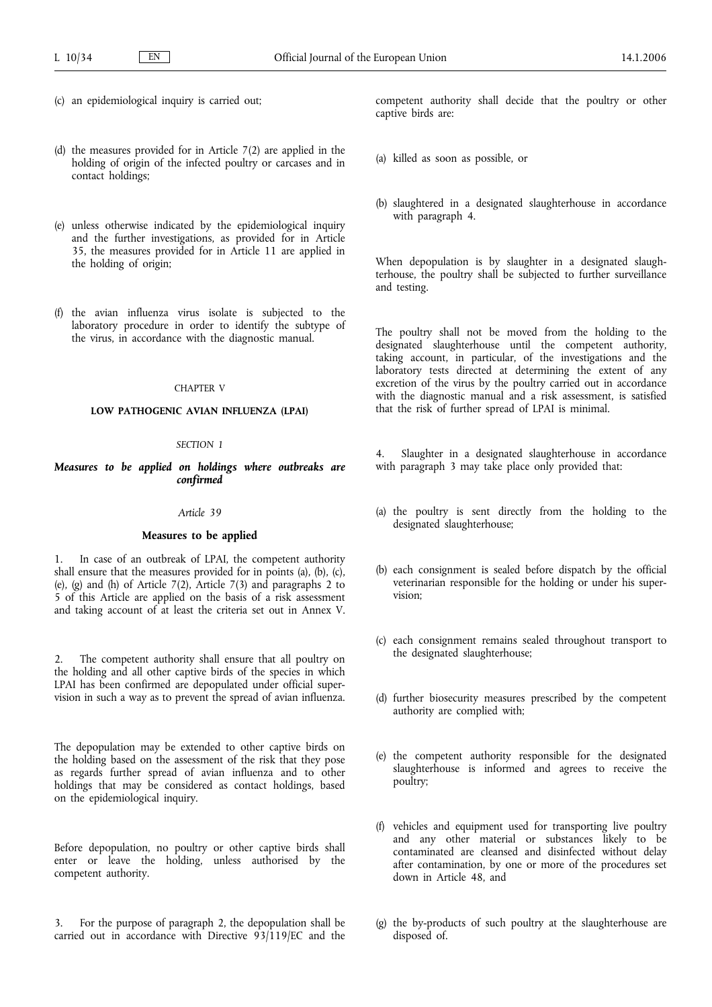- (c) an epidemiological inquiry is carried out;
- (d) the measures provided for in Article 7(2) are applied in the holding of origin of the infected poultry or carcases and in contact holdings;
- (e) unless otherwise indicated by the epidemiological inquiry and the further investigations, as provided for in Article 35, the measures provided for in Article 11 are applied in the holding of origin;
- (f) the avian influenza virus isolate is subjected to the laboratory procedure in order to identify the subtype of the virus, in accordance with the diagnostic manual.

## CHAPTER V

## **LOW PATHOGENIC AVIAN INFLUENZA (LPAI)**

## *SECTION 1*

## *Measures to be applied on holdings where outbreaks are confirmed*

#### *Article 39*

## **Measures to be applied**

1. In case of an outbreak of LPAI, the competent authority shall ensure that the measures provided for in points (a), (b), (c), (e), (g) and (h) of Article  $7(2)$ , Article  $7(3)$  and paragraphs 2 to 5 of this Article are applied on the basis of a risk assessment and taking account of at least the criteria set out in Annex V.

2. The competent authority shall ensure that all poultry on the holding and all other captive birds of the species in which LPAI has been confirmed are depopulated under official supervision in such a way as to prevent the spread of avian influenza.

The depopulation may be extended to other captive birds on the holding based on the assessment of the risk that they pose as regards further spread of avian influenza and to other holdings that may be considered as contact holdings, based on the epidemiological inquiry.

Before depopulation, no poultry or other captive birds shall enter or leave the holding, unless authorised by the competent authority.

For the purpose of paragraph 2, the depopulation shall be carried out in accordance with Directive 93/119/EC and the competent authority shall decide that the poultry or other captive birds are:

- (a) killed as soon as possible, or
- (b) slaughtered in a designated slaughterhouse in accordance with paragraph 4.

When depopulation is by slaughter in a designated slaughterhouse, the poultry shall be subjected to further surveillance and testing.

The poultry shall not be moved from the holding to the designated slaughterhouse until the competent authority, taking account, in particular, of the investigations and the laboratory tests directed at determining the extent of any excretion of the virus by the poultry carried out in accordance with the diagnostic manual and a risk assessment, is satisfied that the risk of further spread of LPAI is minimal.

4. Slaughter in a designated slaughterhouse in accordance with paragraph 3 may take place only provided that:

- (a) the poultry is sent directly from the holding to the designated slaughterhouse;
- (b) each consignment is sealed before dispatch by the official veterinarian responsible for the holding or under his supervision;
- (c) each consignment remains sealed throughout transport to the designated slaughterhouse;
- (d) further biosecurity measures prescribed by the competent authority are complied with;
- (e) the competent authority responsible for the designated slaughterhouse is informed and agrees to receive the poultry;
- (f) vehicles and equipment used for transporting live poultry and any other material or substances likely to be contaminated are cleansed and disinfected without delay after contamination, by one or more of the procedures set down in Article 48, and
- (g) the by-products of such poultry at the slaughterhouse are disposed of.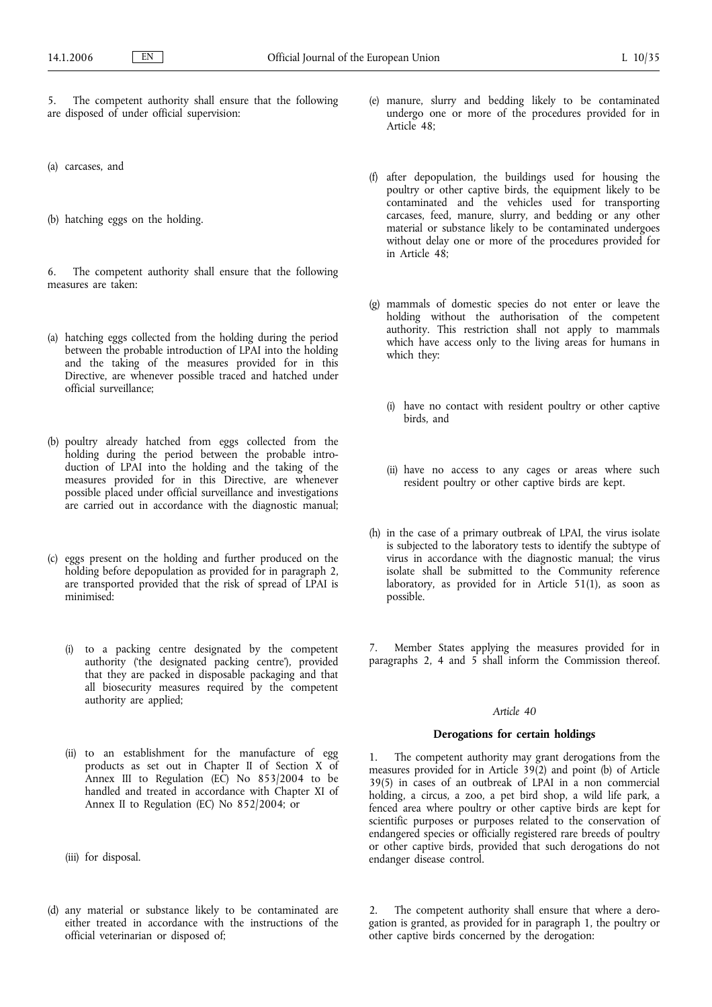5. The competent authority shall ensure that the following are disposed of under official supervision:

(a) carcases, and

(b) hatching eggs on the holding.

6. The competent authority shall ensure that the following measures are taken:

- (a) hatching eggs collected from the holding during the period between the probable introduction of LPAI into the holding and the taking of the measures provided for in this Directive, are whenever possible traced and hatched under official surveillance;
- (b) poultry already hatched from eggs collected from the holding during the period between the probable introduction of LPAI into the holding and the taking of the measures provided for in this Directive, are whenever possible placed under official surveillance and investigations are carried out in accordance with the diagnostic manual;
- (c) eggs present on the holding and further produced on the holding before depopulation as provided for in paragraph 2, are transported provided that the risk of spread of LPAI is minimised:
	- (i) to a packing centre designated by the competent authority ('the designated packing centre'), provided that they are packed in disposable packaging and that all biosecurity measures required by the competent authority are applied;
	- (ii) to an establishment for the manufacture of egg products as set out in Chapter II of Section X of Annex III to Regulation (EC) No 853/2004 to be handled and treated in accordance with Chapter XI of Annex II to Regulation (EC) No 852/2004; or
	- (iii) for disposal.
- (d) any material or substance likely to be contaminated are either treated in accordance with the instructions of the official veterinarian or disposed of;
- (e) manure, slurry and bedding likely to be contaminated undergo one or more of the procedures provided for in Article 48;
- (f) after depopulation, the buildings used for housing the poultry or other captive birds, the equipment likely to be contaminated and the vehicles used for transporting carcases, feed, manure, slurry, and bedding or any other material or substance likely to be contaminated undergoes without delay one or more of the procedures provided for in Article 48;
- (g) mammals of domestic species do not enter or leave the holding without the authorisation of the competent authority. This restriction shall not apply to mammals which have access only to the living areas for humans in which they:
	- (i) have no contact with resident poultry or other captive birds, and
	- (ii) have no access to any cages or areas where such resident poultry or other captive birds are kept.
- (h) in the case of a primary outbreak of LPAI, the virus isolate is subjected to the laboratory tests to identify the subtype of virus in accordance with the diagnostic manual; the virus isolate shall be submitted to the Community reference laboratory, as provided for in Article 51(1), as soon as possible.

7. Member States applying the measures provided for in paragraphs 2, 4 and 5 shall inform the Commission thereof.

#### *Article 40*

### **Derogations for certain holdings**

1. The competent authority may grant derogations from the measures provided for in Article 39(2) and point (b) of Article 39(5) in cases of an outbreak of LPAI in a non commercial holding, a circus, a zoo, a pet bird shop, a wild life park, a fenced area where poultry or other captive birds are kept for scientific purposes or purposes related to the conservation of endangered species or officially registered rare breeds of poultry or other captive birds, provided that such derogations do not endanger disease control.

2. The competent authority shall ensure that where a derogation is granted, as provided for in paragraph 1, the poultry or other captive birds concerned by the derogation: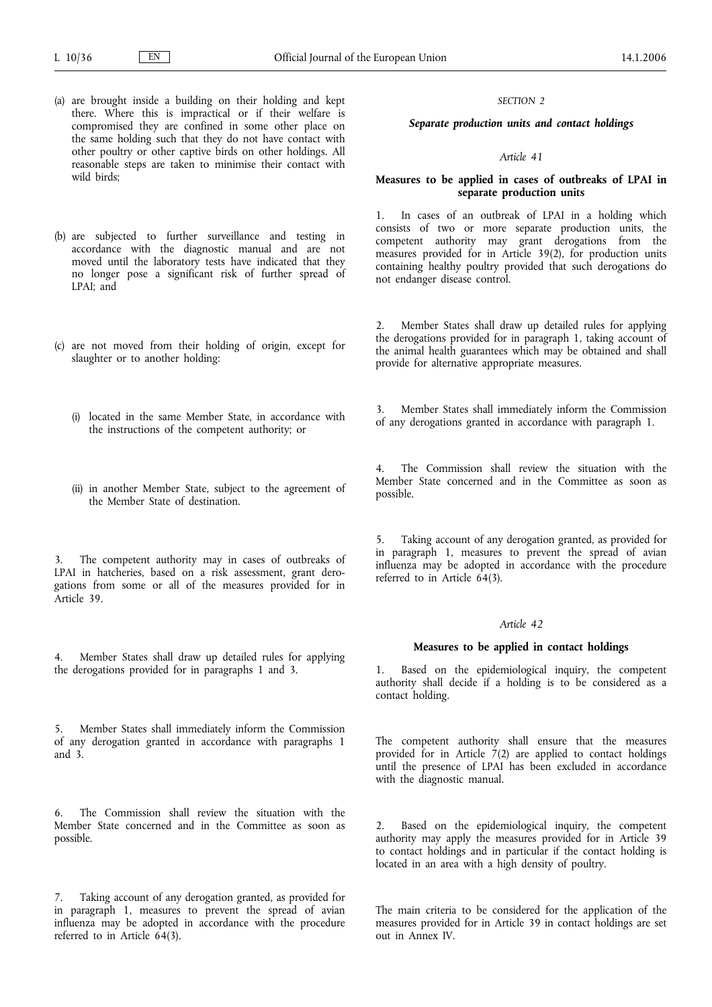- (a) are brought inside a building on their holding and kept there. Where this is impractical or if their welfare is compromised they are confined in some other place on the same holding such that they do not have contact with other poultry or other captive birds on other holdings. All reasonable steps are taken to minimise their contact with wild birds;
- (b) are subjected to further surveillance and testing in accordance with the diagnostic manual and are not moved until the laboratory tests have indicated that they no longer pose a significant risk of further spread of LPAI; and
- (c) are not moved from their holding of origin, except for slaughter or to another holding:
	- (i) located in the same Member State, in accordance with the instructions of the competent authority; or
	- (ii) in another Member State, subject to the agreement of the Member State of destination.

The competent authority may in cases of outbreaks of LPAI in hatcheries, based on a risk assessment, grant derogations from some or all of the measures provided for in Article 39.

Member States shall draw up detailed rules for applying the derogations provided for in paragraphs 1 and 3.

5. Member States shall immediately inform the Commission of any derogation granted in accordance with paragraphs 1 and 3.

6. The Commission shall review the situation with the Member State concerned and in the Committee as soon as possible.

7. Taking account of any derogation granted, as provided for in paragraph 1, measures to prevent the spread of avian influenza may be adopted in accordance with the procedure referred to in Article 64(3).

#### *SECTION 2*

## *Separate production units and contact holdings*

#### *Article 41*

## **Measures to be applied in cases of outbreaks of LPAI in separate production units**

1. In cases of an outbreak of LPAI in a holding which consists of two or more separate production units, the competent authority may grant derogations from the measures provided for in Article 39(2), for production units containing healthy poultry provided that such derogations do not endanger disease control.

Member States shall draw up detailed rules for applying the derogations provided for in paragraph 1, taking account of the animal health guarantees which may be obtained and shall provide for alternative appropriate measures.

3. Member States shall immediately inform the Commission of any derogations granted in accordance with paragraph 1.

4. The Commission shall review the situation with the Member State concerned and in the Committee as soon as possible.

Taking account of any derogation granted, as provided for in paragraph 1, measures to prevent the spread of avian influenza may be adopted in accordance with the procedure referred to in Article 64(3).

#### *Article 42*

### **Measures to be applied in contact holdings**

1. Based on the epidemiological inquiry, the competent authority shall decide if a holding is to be considered as a contact holding.

The competent authority shall ensure that the measures provided for in Article  $7(2)$  are applied to contact holdings until the presence of LPAI has been excluded in accordance with the diagnostic manual.

2. Based on the epidemiological inquiry, the competent authority may apply the measures provided for in Article 39 to contact holdings and in particular if the contact holding is located in an area with a high density of poultry.

The main criteria to be considered for the application of the measures provided for in Article 39 in contact holdings are set out in Annex IV.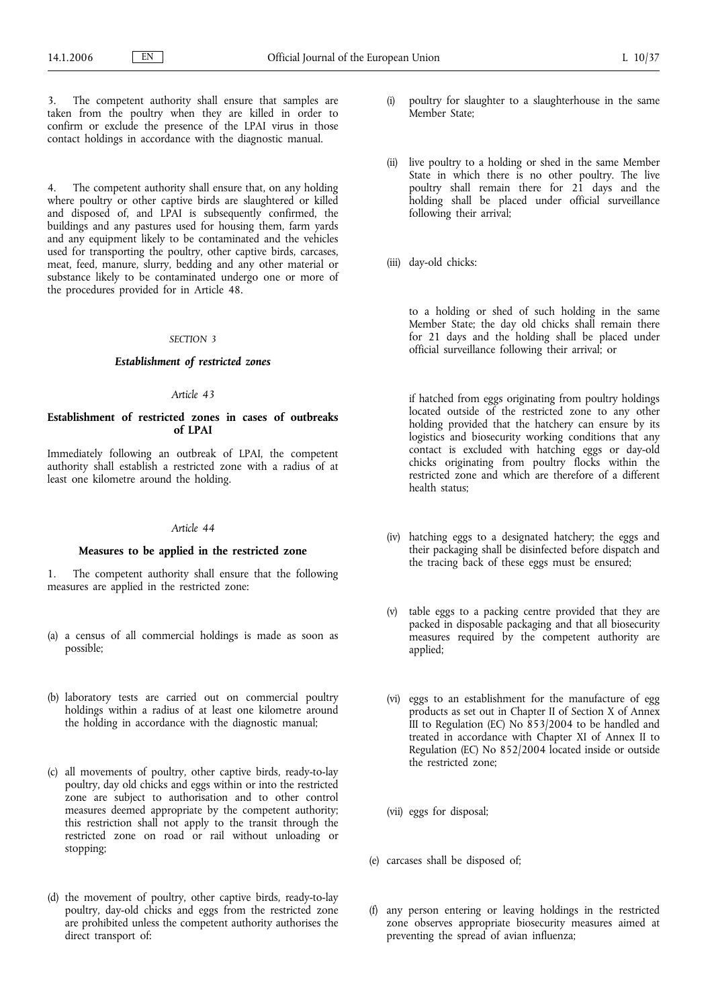The competent authority shall ensure that samples are taken from the poultry when they are killed in order to confirm or exclude the presence of the LPAI virus in those contact holdings in accordance with the diagnostic manual.

4. The competent authority shall ensure that, on any holding where poultry or other captive birds are slaughtered or killed and disposed of, and LPAI is subsequently confirmed, the buildings and any pastures used for housing them, farm yards and any equipment likely to be contaminated and the vehicles used for transporting the poultry, other captive birds, carcases, meat, feed, manure, slurry, bedding and any other material or substance likely to be contaminated undergo one or more of the procedures provided for in Article 48.

## *SECTION 3*

## *Establishment of restricted zones*

#### *Article 43*

# **Establishment of restricted zones in cases of outbreaks of LPAI**

Immediately following an outbreak of LPAI, the competent authority shall establish a restricted zone with a radius of at least one kilometre around the holding.

#### *Article 44*

### **Measures to be applied in the restricted zone**

1. The competent authority shall ensure that the following measures are applied in the restricted zone:

- (a) a census of all commercial holdings is made as soon as possible;
- (b) laboratory tests are carried out on commercial poultry holdings within a radius of at least one kilometre around the holding in accordance with the diagnostic manual;
- (c) all movements of poultry, other captive birds, ready-to-lay poultry, day old chicks and eggs within or into the restricted zone are subject to authorisation and to other control measures deemed appropriate by the competent authority; this restriction shall not apply to the transit through the restricted zone on road or rail without unloading or stopping;
- (d) the movement of poultry, other captive birds, ready-to-lay poultry, day-old chicks and eggs from the restricted zone are prohibited unless the competent authority authorises the direct transport of:
- (i) poultry for slaughter to a slaughterhouse in the same Member State;
- (ii) live poultry to a holding or shed in the same Member State in which there is no other poultry. The live poultry shall remain there for 21 days and the holding shall be placed under official surveillance following their arrival;
- (iii) day-old chicks:

to a holding or shed of such holding in the same Member State; the day old chicks shall remain there for 21 days and the holding shall be placed under official surveillance following their arrival; or

if hatched from eggs originating from poultry holdings located outside of the restricted zone to any other holding provided that the hatchery can ensure by its logistics and biosecurity working conditions that any contact is excluded with hatching eggs or day-old chicks originating from poultry flocks within the restricted zone and which are therefore of a different health status;

- (iv) hatching eggs to a designated hatchery; the eggs and their packaging shall be disinfected before dispatch and the tracing back of these eggs must be ensured;
- (v) table eggs to a packing centre provided that they are packed in disposable packaging and that all biosecurity measures required by the competent authority are applied;
- (vi) eggs to an establishment for the manufacture of egg products as set out in Chapter II of Section X of Annex III to Regulation (EC) No 853/2004 to be handled and treated in accordance with Chapter XI of Annex II to Regulation (EC) No 852/2004 located inside or outside the restricted zone;
- (vii) eggs for disposal;
- (e) carcases shall be disposed of;
- (f) any person entering or leaving holdings in the restricted zone observes appropriate biosecurity measures aimed at preventing the spread of avian influenza;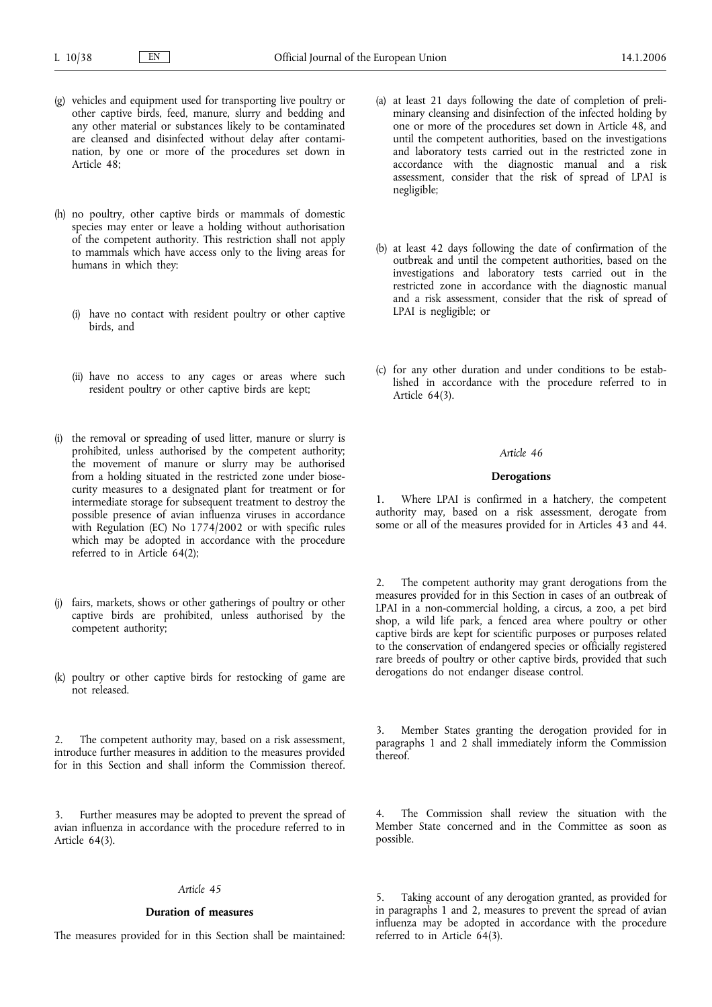- (g) vehicles and equipment used for transporting live poultry or other captive birds, feed, manure, slurry and bedding and any other material or substances likely to be contaminated are cleansed and disinfected without delay after contamination, by one or more of the procedures set down in Article 48;
- (h) no poultry, other captive birds or mammals of domestic species may enter or leave a holding without authorisation of the competent authority. This restriction shall not apply to mammals which have access only to the living areas for humans in which they:
	- (i) have no contact with resident poultry or other captive birds, and
	- (ii) have no access to any cages or areas where such resident poultry or other captive birds are kept;
- (i) the removal or spreading of used litter, manure or slurry is prohibited, unless authorised by the competent authority; the movement of manure or slurry may be authorised from a holding situated in the restricted zone under biosecurity measures to a designated plant for treatment or for intermediate storage for subsequent treatment to destroy the possible presence of avian influenza viruses in accordance with Regulation (EC) No 1774/2002 or with specific rules which may be adopted in accordance with the procedure referred to in Article 64(2);
- (j) fairs, markets, shows or other gatherings of poultry or other captive birds are prohibited, unless authorised by the competent authority;
- (k) poultry or other captive birds for restocking of game are not released.

2. The competent authority may, based on a risk assessment, introduce further measures in addition to the measures provided for in this Section and shall inform the Commission thereof.

3. Further measures may be adopted to prevent the spread of avian influenza in accordance with the procedure referred to in Article 64(3).

#### *Article 45*

### **Duration of measures**

The measures provided for in this Section shall be maintained:

- (a) at least 21 days following the date of completion of preliminary cleansing and disinfection of the infected holding by one or more of the procedures set down in Article 48, and until the competent authorities, based on the investigations and laboratory tests carried out in the restricted zone in accordance with the diagnostic manual and a risk assessment, consider that the risk of spread of LPAI is negligible;
- (b) at least 42 days following the date of confirmation of the outbreak and until the competent authorities, based on the investigations and laboratory tests carried out in the restricted zone in accordance with the diagnostic manual and a risk assessment, consider that the risk of spread of LPAI is negligible; or
- (c) for any other duration and under conditions to be established in accordance with the procedure referred to in Article 64(3).

## *Article 46*

## **Derogations**

Where LPAI is confirmed in a hatchery, the competent authority may, based on a risk assessment, derogate from some or all of the measures provided for in Articles 43 and 44.

The competent authority may grant derogations from the measures provided for in this Section in cases of an outbreak of LPAI in a non-commercial holding, a circus, a zoo, a pet bird shop, a wild life park, a fenced area where poultry or other captive birds are kept for scientific purposes or purposes related to the conservation of endangered species or officially registered rare breeds of poultry or other captive birds, provided that such derogations do not endanger disease control.

3. Member States granting the derogation provided for in paragraphs 1 and 2 shall immediately inform the Commission thereof.

4. The Commission shall review the situation with the Member State concerned and in the Committee as soon as possible.

5. Taking account of any derogation granted, as provided for in paragraphs 1 and 2, measures to prevent the spread of avian influenza may be adopted in accordance with the procedure referred to in Article 64(3).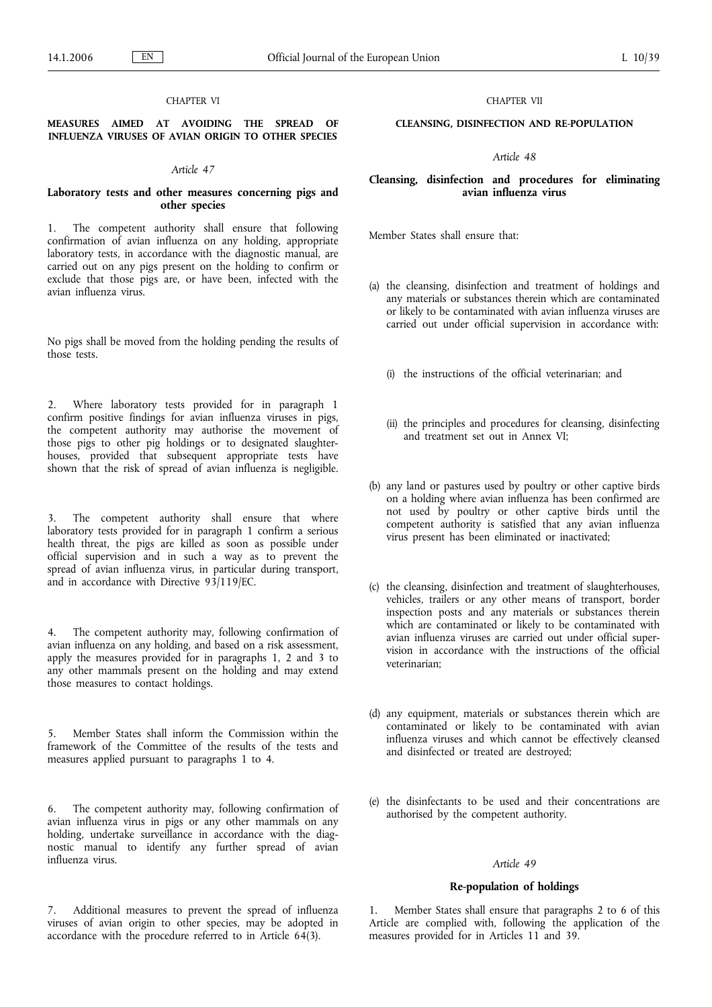## CHAPTER VI

## **MEASURES AIMED AT AVOIDING THE SPREAD OF INFLUENZA VIRUSES OF AVIAN ORIGIN TO OTHER SPECIES**

### *Article 47*

### **Laboratory tests and other measures concerning pigs and other species**

1. The competent authority shall ensure that following confirmation of avian influenza on any holding, appropriate laboratory tests, in accordance with the diagnostic manual, are carried out on any pigs present on the holding to confirm or exclude that those pigs are, or have been, infected with the avian influenza virus.

No pigs shall be moved from the holding pending the results of those tests.

2. Where laboratory tests provided for in paragraph 1 confirm positive findings for avian influenza viruses in pigs, the competent authority may authorise the movement of those pigs to other pig holdings or to designated slaughterhouses, provided that subsequent appropriate tests have shown that the risk of spread of avian influenza is negligible.

3. The competent authority shall ensure that where laboratory tests provided for in paragraph 1 confirm a serious health threat, the pigs are killed as soon as possible under official supervision and in such a way as to prevent the spread of avian influenza virus, in particular during transport, and in accordance with Directive 93/119/EC.

4. The competent authority may, following confirmation of avian influenza on any holding, and based on a risk assessment, apply the measures provided for in paragraphs 1, 2 and 3 to any other mammals present on the holding and may extend those measures to contact holdings.

5. Member States shall inform the Commission within the framework of the Committee of the results of the tests and measures applied pursuant to paragraphs 1 to 4.

6. The competent authority may, following confirmation of avian influenza virus in pigs or any other mammals on any holding, undertake surveillance in accordance with the diagnostic manual to identify any further spread of avian influenza virus.

7. Additional measures to prevent the spread of influenza viruses of avian origin to other species, may be adopted in accordance with the procedure referred to in Article 64(3).

### CHAPTER VII

## **CLEANSING, DISINFECTION AND RE-POPULATION**

*Article 48*

## **Cleansing, disinfection and procedures for eliminating avian influenza virus**

Member States shall ensure that:

- (a) the cleansing, disinfection and treatment of holdings and any materials or substances therein which are contaminated or likely to be contaminated with avian influenza viruses are carried out under official supervision in accordance with:
	- (i) the instructions of the official veterinarian; and
	- (ii) the principles and procedures for cleansing, disinfecting and treatment set out in Annex VI;
- (b) any land or pastures used by poultry or other captive birds on a holding where avian influenza has been confirmed are not used by poultry or other captive birds until the competent authority is satisfied that any avian influenza virus present has been eliminated or inactivated;
- (c) the cleansing, disinfection and treatment of slaughterhouses, vehicles, trailers or any other means of transport, border inspection posts and any materials or substances therein which are contaminated or likely to be contaminated with avian influenza viruses are carried out under official supervision in accordance with the instructions of the official veterinarian;
- (d) any equipment, materials or substances therein which are contaminated or likely to be contaminated with avian influenza viruses and which cannot be effectively cleansed and disinfected or treated are destroyed;
- (e) the disinfectants to be used and their concentrations are authorised by the competent authority.

## *Article 49*

#### **Re-population of holdings**

1. Member States shall ensure that paragraphs 2 to 6 of this Article are complied with, following the application of the measures provided for in Articles 11 and 39.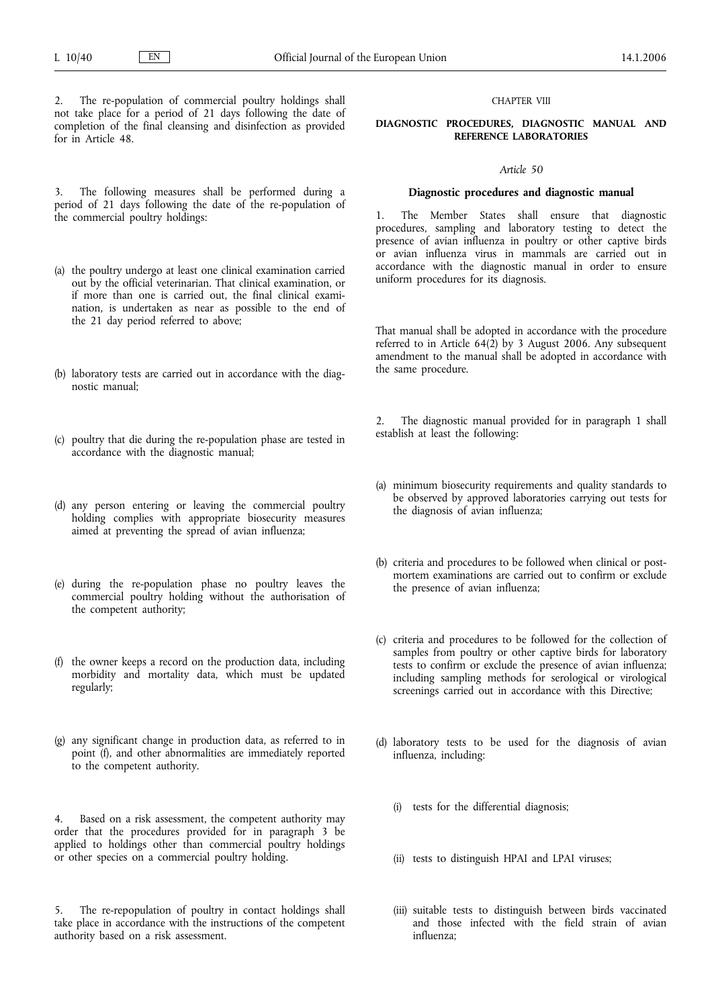2. The re-population of commercial poultry holdings shall not take place for a period of 21 days following the date of completion of the final cleansing and disinfection as provided for in Article 48.

## 3. The following measures shall be performed during a period of 21 days following the date of the re-population of the commercial poultry holdings:

- (a) the poultry undergo at least one clinical examination carried out by the official veterinarian. That clinical examination, or if more than one is carried out, the final clinical examination, is undertaken as near as possible to the end of the 21 day period referred to above;
- (b) laboratory tests are carried out in accordance with the diagnostic manual;
- (c) poultry that die during the re-population phase are tested in accordance with the diagnostic manual;
- (d) any person entering or leaving the commercial poultry holding complies with appropriate biosecurity measures aimed at preventing the spread of avian influenza;
- (e) during the re-population phase no poultry leaves the commercial poultry holding without the authorisation of the competent authority;
- (f) the owner keeps a record on the production data, including morbidity and mortality data, which must be updated regularly;
- (g) any significant change in production data, as referred to in point (f), and other abnormalities are immediately reported to the competent authority.

4. Based on a risk assessment, the competent authority may order that the procedures provided for in paragraph 3 be applied to holdings other than commercial poultry holdings or other species on a commercial poultry holding.

The re-repopulation of poultry in contact holdings shall take place in accordance with the instructions of the competent authority based on a risk assessment.

### CHAPTER VIII

## **DIAGNOSTIC PROCEDURES, DIAGNOSTIC MANUAL AND REFERENCE LABORATORIES**

## *Article 50*

#### **Diagnostic procedures and diagnostic manual**

1. The Member States shall ensure that diagnostic procedures, sampling and laboratory testing to detect the presence of avian influenza in poultry or other captive birds or avian influenza virus in mammals are carried out in accordance with the diagnostic manual in order to ensure uniform procedures for its diagnosis.

That manual shall be adopted in accordance with the procedure referred to in Article  $64(\overline{2})$  by 3 August 2006. Any subsequent amendment to the manual shall be adopted in accordance with the same procedure.

2. The diagnostic manual provided for in paragraph 1 shall establish at least the following:

- (a) minimum biosecurity requirements and quality standards to be observed by approved laboratories carrying out tests for the diagnosis of avian influenza;
- (b) criteria and procedures to be followed when clinical or postmortem examinations are carried out to confirm or exclude the presence of avian influenza;
- (c) criteria and procedures to be followed for the collection of samples from poultry or other captive birds for laboratory tests to confirm or exclude the presence of avian influenza; including sampling methods for serological or virological screenings carried out in accordance with this Directive;
- (d) laboratory tests to be used for the diagnosis of avian influenza, including:
	- (i) tests for the differential diagnosis;
	- (ii) tests to distinguish HPAI and LPAI viruses;
	- (iii) suitable tests to distinguish between birds vaccinated and those infected with the field strain of avian influenza;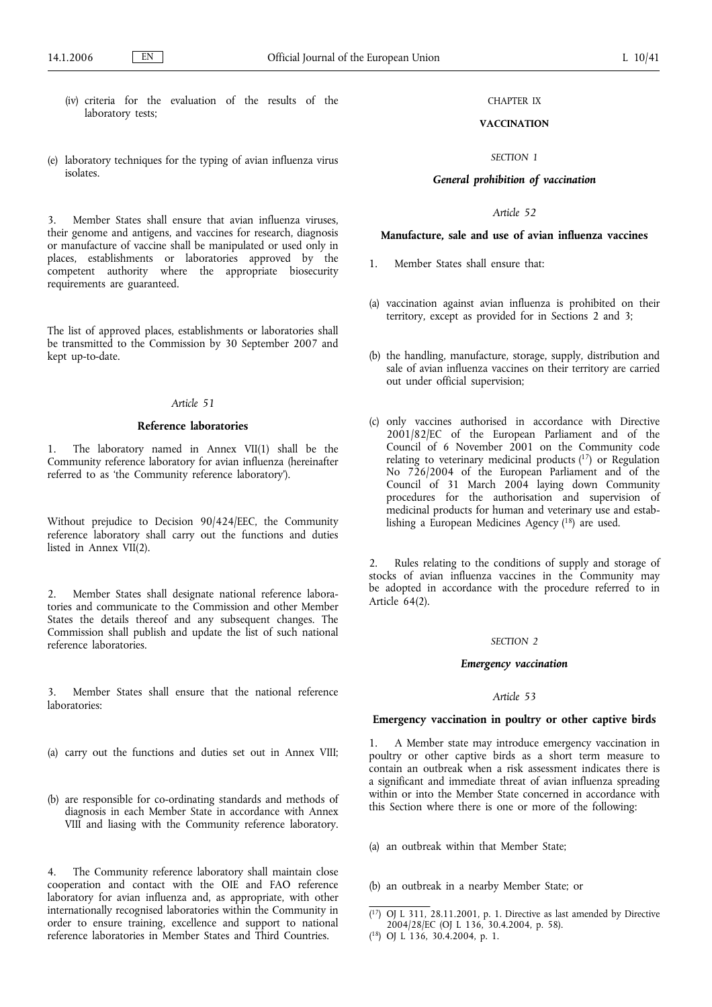- (iv) criteria for the evaluation of the results of the laboratory tests;
- (e) laboratory techniques for the typing of avian influenza virus isolates.

Member States shall ensure that avian influenza viruses, their genome and antigens, and vaccines for research, diagnosis or manufacture of vaccine shall be manipulated or used only in places, establishments or laboratories approved by the competent authority where the appropriate biosecurity requirements are guaranteed.

The list of approved places, establishments or laboratories shall be transmitted to the Commission by 30 September 2007 and kept up-to-date.

## *Article 51*

## **Reference laboratories**

The laboratory named in Annex VII $(1)$  shall be the Community reference laboratory for avian influenza (hereinafter referred to as 'the Community reference laboratory').

Without prejudice to Decision 90/424/EEC, the Community reference laboratory shall carry out the functions and duties listed in Annex VII(2).

2. Member States shall designate national reference laboratories and communicate to the Commission and other Member States the details thereof and any subsequent changes. The Commission shall publish and update the list of such national reference laboratories.

3. Member States shall ensure that the national reference laboratories:

- (a) carry out the functions and duties set out in Annex VIII;
- (b) are responsible for co-ordinating standards and methods of diagnosis in each Member State in accordance with Annex VIII and liasing with the Community reference laboratory.

4. The Community reference laboratory shall maintain close cooperation and contact with the OIE and FAO reference laboratory for avian influenza and, as appropriate, with other internationally recognised laboratories within the Community in order to ensure training, excellence and support to national reference laboratories in Member States and Third Countries.

## CHAPTER IX

# **VACCINATION**

### *SECTION 1*

## *General prohibition of vaccination*

*Article 52*

# **Manufacture, sale and use of avian influenza vaccines**

- 1. Member States shall ensure that:
- (a) vaccination against avian influenza is prohibited on their territory, except as provided for in Sections 2 and 3;
- (b) the handling, manufacture, storage, supply, distribution and sale of avian influenza vaccines on their territory are carried out under official supervision;
- (c) only vaccines authorised in accordance with Directive 2001/82/EC of the European Parliament and of the Council of 6 November 2001 on the Community code relating to veterinary medicinal products  $(17)$  or Regulation No 726/2004 of the European Parliament and of the Council of 31 March 2004 laying down Community procedures for the authorisation and supervision of medicinal products for human and veterinary use and establishing a European Medicines Agency (18) are used.

Rules relating to the conditions of supply and storage of stocks of avian influenza vaccines in the Community may be adopted in accordance with the procedure referred to in Article 64(2).

#### *SECTION 2*

#### *Emergency vaccination*

### *Article 53*

### **Emergency vaccination in poultry or other captive birds**

1. A Member state may introduce emergency vaccination in poultry or other captive birds as a short term measure to contain an outbreak when a risk assessment indicates there is a significant and immediate threat of avian influenza spreading within or into the Member State concerned in accordance with this Section where there is one or more of the following:

- (a) an outbreak within that Member State;
- (b) an outbreak in a nearby Member State; or

 $(17)$ 17) OJ L 311, 28.11.2001, p. 1. Directive as last amended by Directive 2004/28/EC (OJ L 136, 30.4.2004, p. 58).

<sup>(</sup> 18) OJ L 136, 30.4.2004, p. 1.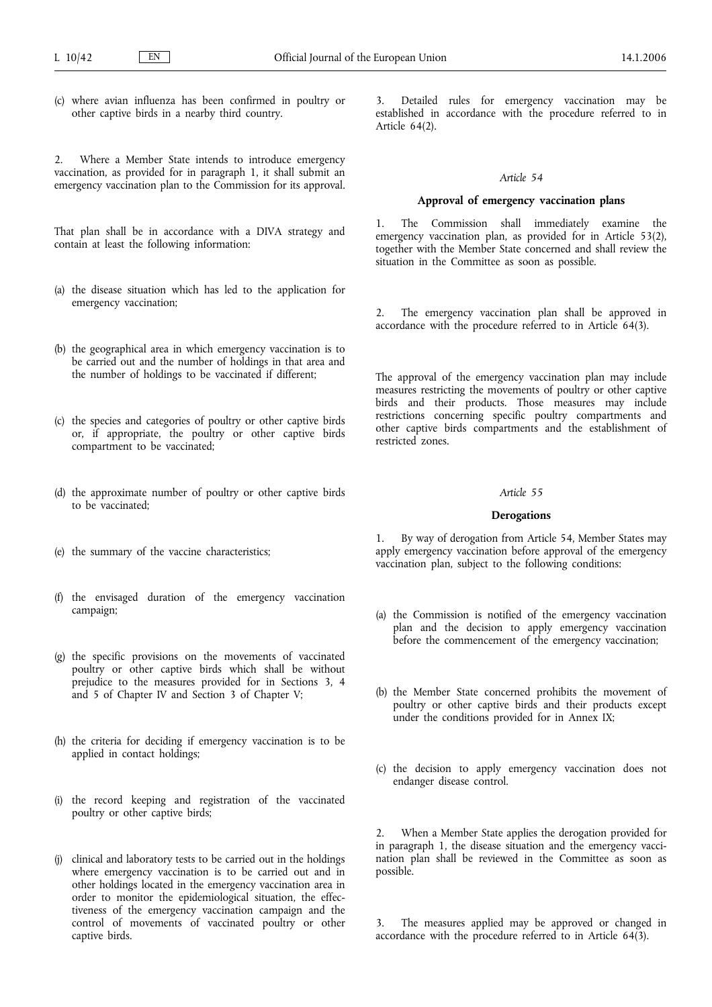(c) where avian influenza has been confirmed in poultry or other captive birds in a nearby third country.

2. Where a Member State intends to introduce emergency vaccination, as provided for in paragraph 1, it shall submit an emergency vaccination plan to the Commission for its approval.

That plan shall be in accordance with a DIVA strategy and contain at least the following information:

- (a) the disease situation which has led to the application for emergency vaccination;
- (b) the geographical area in which emergency vaccination is to be carried out and the number of holdings in that area and the number of holdings to be vaccinated if different;
- (c) the species and categories of poultry or other captive birds or, if appropriate, the poultry or other captive birds compartment to be vaccinated;
- (d) the approximate number of poultry or other captive birds to be vaccinated;
- (e) the summary of the vaccine characteristics;
- (f) the envisaged duration of the emergency vaccination campaign;
- (g) the specific provisions on the movements of vaccinated poultry or other captive birds which shall be without prejudice to the measures provided for in Sections 3, 4 and 5 of Chapter IV and Section 3 of Chapter V;
- (h) the criteria for deciding if emergency vaccination is to be applied in contact holdings;
- (i) the record keeping and registration of the vaccinated poultry or other captive birds;
- (j) clinical and laboratory tests to be carried out in the holdings where emergency vaccination is to be carried out and in other holdings located in the emergency vaccination area in order to monitor the epidemiological situation, the effectiveness of the emergency vaccination campaign and the control of movements of vaccinated poultry or other captive birds.

3. Detailed rules for emergency vaccination may be established in accordance with the procedure referred to in Article 64(2).

#### *Article 54*

#### **Approval of emergency vaccination plans**

1. The Commission shall immediately examine the emergency vaccination plan, as provided for in Article 53(2), together with the Member State concerned and shall review the situation in the Committee as soon as possible.

2. The emergency vaccination plan shall be approved in accordance with the procedure referred to in Article 64(3).

The approval of the emergency vaccination plan may include measures restricting the movements of poultry or other captive birds and their products. Those measures may include restrictions concerning specific poultry compartments and other captive birds compartments and the establishment of restricted zones.

## *Article 55*

#### **Derogations**

1. By way of derogation from Article 54, Member States may apply emergency vaccination before approval of the emergency vaccination plan, subject to the following conditions:

- (a) the Commission is notified of the emergency vaccination plan and the decision to apply emergency vaccination before the commencement of the emergency vaccination;
- (b) the Member State concerned prohibits the movement of poultry or other captive birds and their products except under the conditions provided for in Annex IX;
- (c) the decision to apply emergency vaccination does not endanger disease control.

2. When a Member State applies the derogation provided for in paragraph 1, the disease situation and the emergency vaccination plan shall be reviewed in the Committee as soon as possible.

The measures applied may be approved or changed in accordance with the procedure referred to in Article 64(3).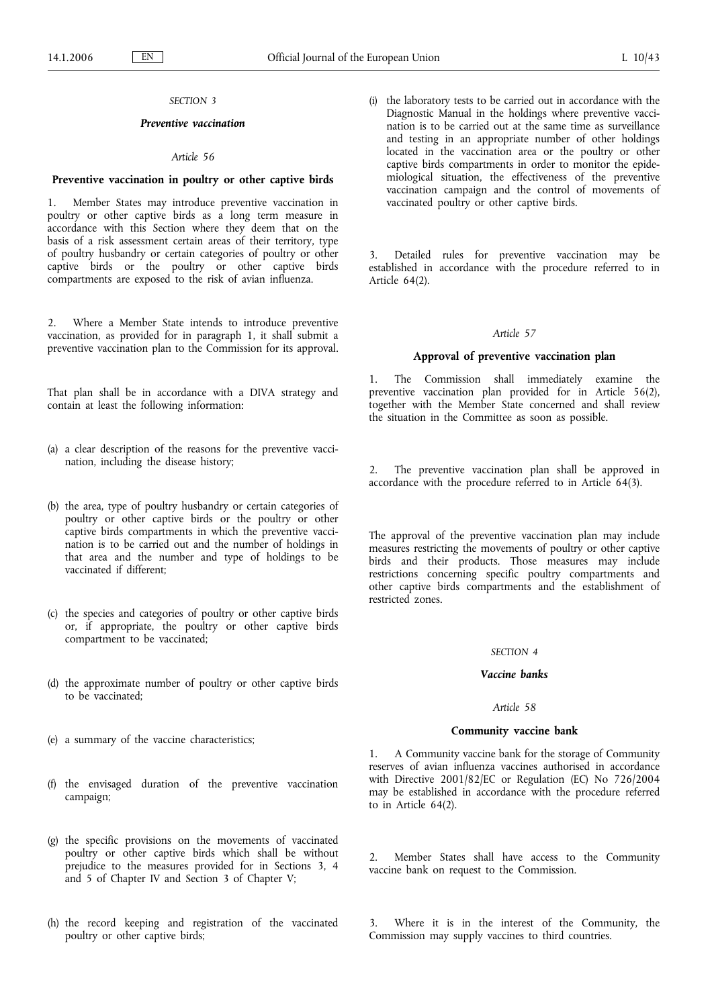## *SECTION 3*

## *Preventive vaccination*

### *Article 56*

### **Preventive vaccination in poultry or other captive birds**

1. Member States may introduce preventive vaccination in poultry or other captive birds as a long term measure in accordance with this Section where they deem that on the basis of a risk assessment certain areas of their territory, type of poultry husbandry or certain categories of poultry or other captive birds or the poultry or other captive birds compartments are exposed to the risk of avian influenza.

2. Where a Member State intends to introduce preventive vaccination, as provided for in paragraph 1, it shall submit a preventive vaccination plan to the Commission for its approval.

That plan shall be in accordance with a DIVA strategy and contain at least the following information:

- (a) a clear description of the reasons for the preventive vaccination, including the disease history;
- (b) the area, type of poultry husbandry or certain categories of poultry or other captive birds or the poultry or other captive birds compartments in which the preventive vaccination is to be carried out and the number of holdings in that area and the number and type of holdings to be vaccinated if different;
- (c) the species and categories of poultry or other captive birds or, if appropriate, the poultry or other captive birds compartment to be vaccinated;
- (d) the approximate number of poultry or other captive birds to be vaccinated;
- (e) a summary of the vaccine characteristics;
- (f) the envisaged duration of the preventive vaccination campaign;
- (g) the specific provisions on the movements of vaccinated poultry or other captive birds which shall be without prejudice to the measures provided for in Sections 3, 4 and 5 of Chapter IV and Section 3 of Chapter V;
- (h) the record keeping and registration of the vaccinated poultry or other captive birds;

(i) the laboratory tests to be carried out in accordance with the Diagnostic Manual in the holdings where preventive vaccination is to be carried out at the same time as surveillance and testing in an appropriate number of other holdings located in the vaccination area or the poultry or other captive birds compartments in order to monitor the epidemiological situation, the effectiveness of the preventive vaccination campaign and the control of movements of vaccinated poultry or other captive birds.

3. Detailed rules for preventive vaccination may be established in accordance with the procedure referred to in Article 64(2).

#### *Article 57*

#### **Approval of preventive vaccination plan**

1. The Commission shall immediately examine the preventive vaccination plan provided for in Article 56(2), together with the Member State concerned and shall review the situation in the Committee as soon as possible.

2. The preventive vaccination plan shall be approved in accordance with the procedure referred to in Article 64(3).

The approval of the preventive vaccination plan may include measures restricting the movements of poultry or other captive birds and their products. Those measures may include restrictions concerning specific poultry compartments and other captive birds compartments and the establishment of restricted zones.

### *SECTION 4*

## *Vaccine banks*

## *Article 58*

#### **Community vaccine bank**

1. A Community vaccine bank for the storage of Community reserves of avian influenza vaccines authorised in accordance with Directive 2001/82/EC or Regulation (EC) No 726/2004 may be established in accordance with the procedure referred to in Article 64(2).

2. Member States shall have access to the Community vaccine bank on request to the Commission.

3. Where it is in the interest of the Community, the Commission may supply vaccines to third countries.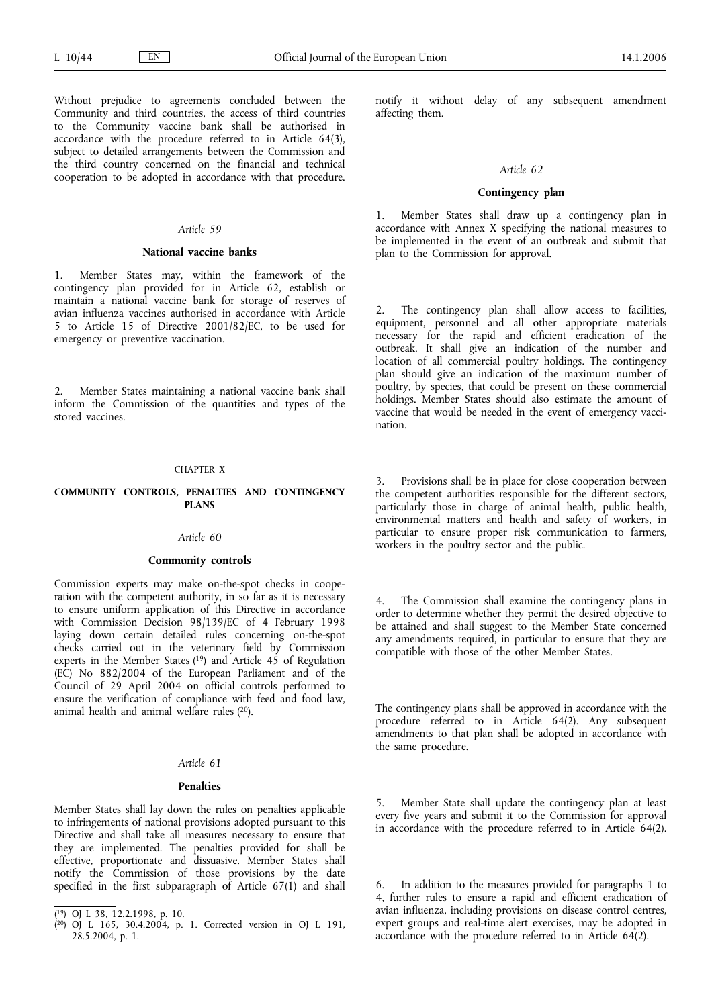Without prejudice to agreements concluded between the Community and third countries, the access of third countries to the Community vaccine bank shall be authorised in accordance with the procedure referred to in Article 64(3), subject to detailed arrangements between the Commission and the third country concerned on the financial and technical cooperation to be adopted in accordance with that procedure.

## *Article 59*

#### **National vaccine banks**

1. Member States may, within the framework of the contingency plan provided for in Article 62, establish or maintain a national vaccine bank for storage of reserves of avian influenza vaccines authorised in accordance with Article 5 to Article 15 of Directive 2001/82/EC, to be used for emergency or preventive vaccination.

2. Member States maintaining a national vaccine bank shall inform the Commission of the quantities and types of the stored vaccines.

#### CHAPTER X

### **COMMUNITY CONTROLS, PENALTIES AND CONTINGENCY PLANS**

## *Article 60*

#### **Community controls**

Commission experts may make on-the-spot checks in cooperation with the competent authority, in so far as it is necessary to ensure uniform application of this Directive in accordance with Commission Decision 98/139/EC of 4 February 1998 laying down certain detailed rules concerning on-the-spot checks carried out in the veterinary field by Commission experts in the Member States  $(19)$  and Article 45 of Regulation (EC) No 882/2004 of the European Parliament and of the Council of 29 April 2004 on official controls performed to ensure the verification of compliance with feed and food law, animal health and animal welfare rules (20).

#### *Article 61*

## **Penalties**

Member States shall lay down the rules on penalties applicable to infringements of national provisions adopted pursuant to this Directive and shall take all measures necessary to ensure that they are implemented. The penalties provided for shall be effective, proportionate and dissuasive. Member States shall notify the Commission of those provisions by the date specified in the first subparagraph of Article  $67(1)$  and shall

notify it without delay of any subsequent amendment affecting them.

#### *Article 62*

### **Contingency plan**

1. Member States shall draw up a contingency plan in accordance with Annex X specifying the national measures to be implemented in the event of an outbreak and submit that plan to the Commission for approval.

2. The contingency plan shall allow access to facilities, equipment, personnel and all other appropriate materials necessary for the rapid and efficient eradication of the outbreak. It shall give an indication of the number and location of all commercial poultry holdings. The contingency plan should give an indication of the maximum number of poultry, by species, that could be present on these commercial holdings. Member States should also estimate the amount of vaccine that would be needed in the event of emergency vaccination.

Provisions shall be in place for close cooperation between the competent authorities responsible for the different sectors, particularly those in charge of animal health, public health, environmental matters and health and safety of workers, in particular to ensure proper risk communication to farmers, workers in the poultry sector and the public.

The Commission shall examine the contingency plans in order to determine whether they permit the desired objective to be attained and shall suggest to the Member State concerned any amendments required, in particular to ensure that they are compatible with those of the other Member States.

The contingency plans shall be approved in accordance with the procedure referred to in Article 64(2). Any subsequent amendments to that plan shall be adopted in accordance with the same procedure.

5. Member State shall update the contingency plan at least every five years and submit it to the Commission for approval in accordance with the procedure referred to in Article 64(2).

In addition to the measures provided for paragraphs 1 to 4, further rules to ensure a rapid and efficient eradication of avian influenza, including provisions on disease control centres, expert groups and real-time alert exercises, may be adopted in accordance with the procedure referred to in Article 64(2).

<sup>(</sup> 19) OJ L 38, 12.2.1998, p. 10.

<sup>(</sup> 20) OJ L 165, 30.4.2004, p. 1. Corrected version in OJ L 191, 28.5.2004, p. 1.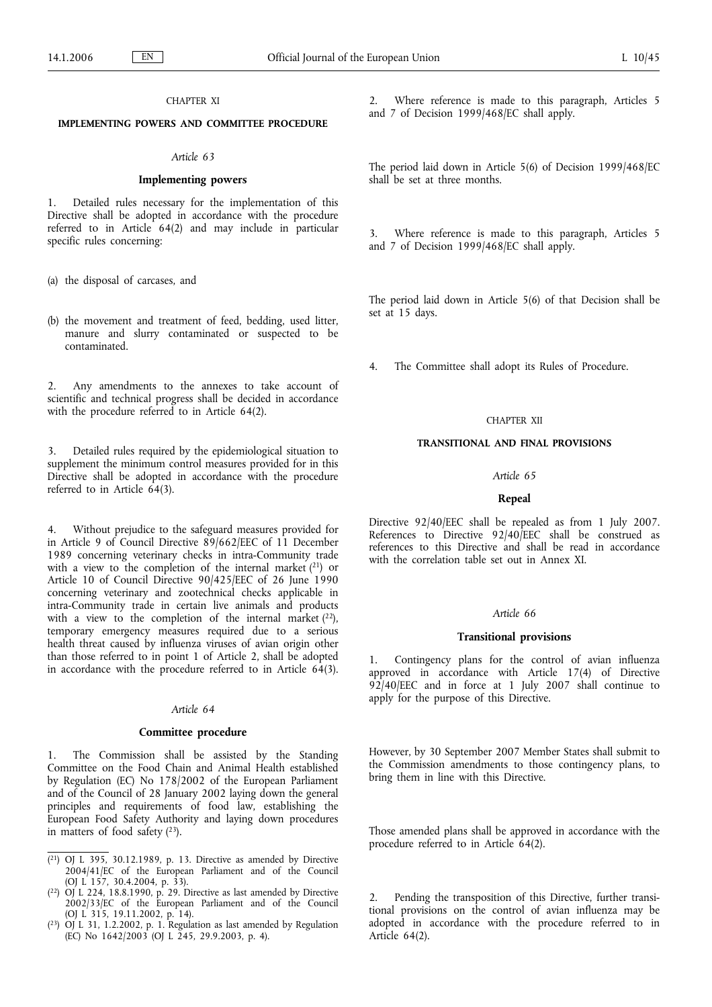## CHAPTER XI

# **IMPLEMENTING POWERS AND COMMITTEE PROCEDURE**

#### *Article 63*

## **Implementing powers**

1. Detailed rules necessary for the implementation of this Directive shall be adopted in accordance with the procedure referred to in Article 64(2) and may include in particular specific rules concerning:

(a) the disposal of carcases, and

(b) the movement and treatment of feed, bedding, used litter, manure and slurry contaminated or suspected to be contaminated.

2. Any amendments to the annexes to take account of scientific and technical progress shall be decided in accordance with the procedure referred to in Article 64(2).

3. Detailed rules required by the epidemiological situation to supplement the minimum control measures provided for in this Directive shall be adopted in accordance with the procedure referred to in Article  $64(3)$ .

4. Without prejudice to the safeguard measures provided for in Article 9 of Council Directive 89/662/EEC of 11 December 1989 concerning veterinary checks in intra-Community trade with a view to the completion of the internal market  $(21)$  or Article 10 of Council Directive 90/425/EEC of 26 June 1990 concerning veterinary and zootechnical checks applicable in intra-Community trade in certain live animals and products with a view to the completion of the internal market  $(22)$ , temporary emergency measures required due to a serious health threat caused by influenza viruses of avian origin other than those referred to in point 1 of Article 2, shall be adopted in accordance with the procedure referred to in Article 64(3).

#### *Article 64*

#### **Committee procedure**

The Commission shall be assisted by the Standing Committee on the Food Chain and Animal Health established by Regulation (EC) No 178/2002 of the European Parliament and of the Council of 28 January 2002 laying down the general principles and requirements of food law, establishing the European Food Safety Authority and laying down procedures in matters of food safety  $(2^3)$ .

2. Where reference is made to this paragraph, Articles 5 and 7 of Decision 1999/468/EC shall apply.

The period laid down in Article 5(6) of Decision 1999/468/EC shall be set at three months.

3. Where reference is made to this paragraph, Articles 5 and 7 of Decision 1999/468/EC shall apply.

The period laid down in Article 5(6) of that Decision shall be set at 15 days.

4. The Committee shall adopt its Rules of Procedure.

### CHAPTER XII

## **TRANSITIONAL AND FINAL PROVISIONS**

## *Article 65*

#### **Repeal**

Directive 92/40/EEC shall be repealed as from 1 July 2007. References to Directive 92/40/EEC shall be construed as references to this Directive and shall be read in accordance with the correlation table set out in Annex XI.

#### *Article 66*

#### **Transitional provisions**

1. Contingency plans for the control of avian influenza approved in accordance with Article 17(4) of Directive  $92/40$ /EEC and in force at 1 July 2007 shall continue to apply for the purpose of this Directive.

However, by 30 September 2007 Member States shall submit to the Commission amendments to those contingency plans, to bring them in line with this Directive.

Those amended plans shall be approved in accordance with the procedure referred to in Article 64(2).

2. Pending the transposition of this Directive, further transitional provisions on the control of avian influenza may be adopted in accordance with the procedure referred to in Article 64(2).

 $(21)$  OJ L 395, 30.12.1989, p. 13. Directive as amended by Directive 2004/41/EC of the European Parliament and of the Council (OJ  $\rm L^{2}$  157, 30.4.2004, p. 33).

 $(22)$  OJ L 224, 18.8.1990, p. 29. Directive as last amended by Directive 2002/33/EC of the European Parliament and of the Council (OJ L 315, 19.11.2002, p. 14).

 $(2^3)$  OJ L 31, 1.2.2002, p. 1. Regulation as last amended by Regulation (EC) No  $1642/2003$  (OJ L  $245$ , 29.9.2003, p. 4).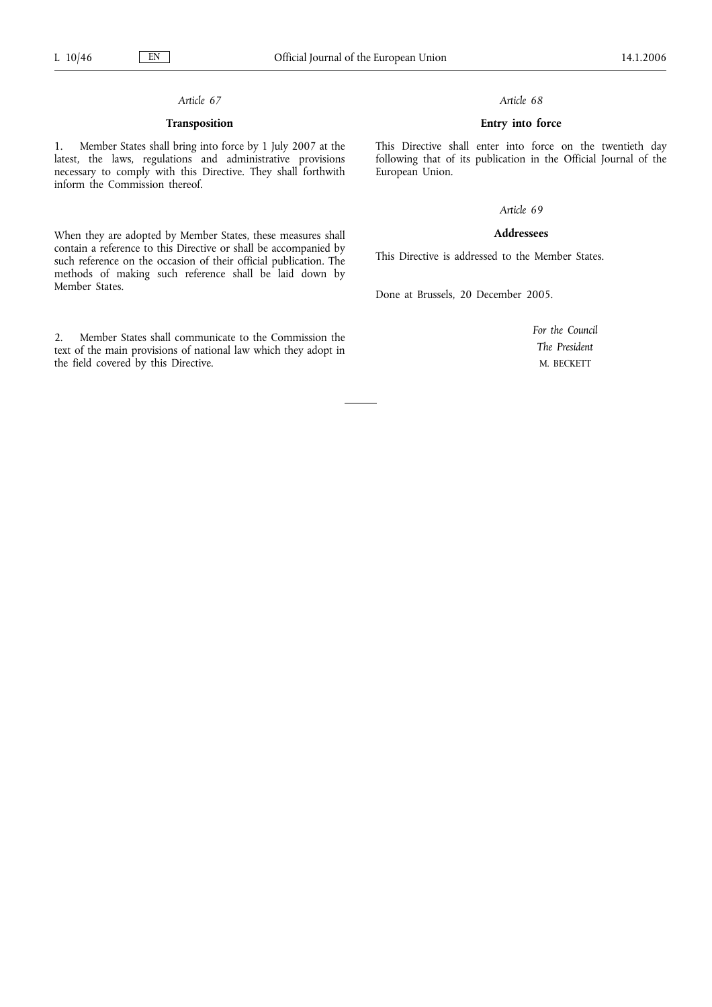# *Article 67*

# **Transposition**

1. Member States shall bring into force by 1 July 2007 at the latest, the laws, regulations and administrative provisions necessary to comply with this Directive. They shall forthwith inform the Commission thereof.

When they are adopted by Member States, these measures shall contain a reference to this Directive or shall be accompanied by such reference on the occasion of their official publication. The methods of making such reference shall be laid down by Member States.

2. Member States shall communicate to the Commission the text of the main provisions of national law which they adopt in the field covered by this Directive.

### *Article 68*

## **Entry into force**

This Directive shall enter into force on the twentieth day following that of its publication in the Official Journal of the European Union.

# *Article 69*

# **Addressees**

This Directive is addressed to the Member States.

Done at Brussels, 20 December 2005.

*For the Council The President* M. BECKETT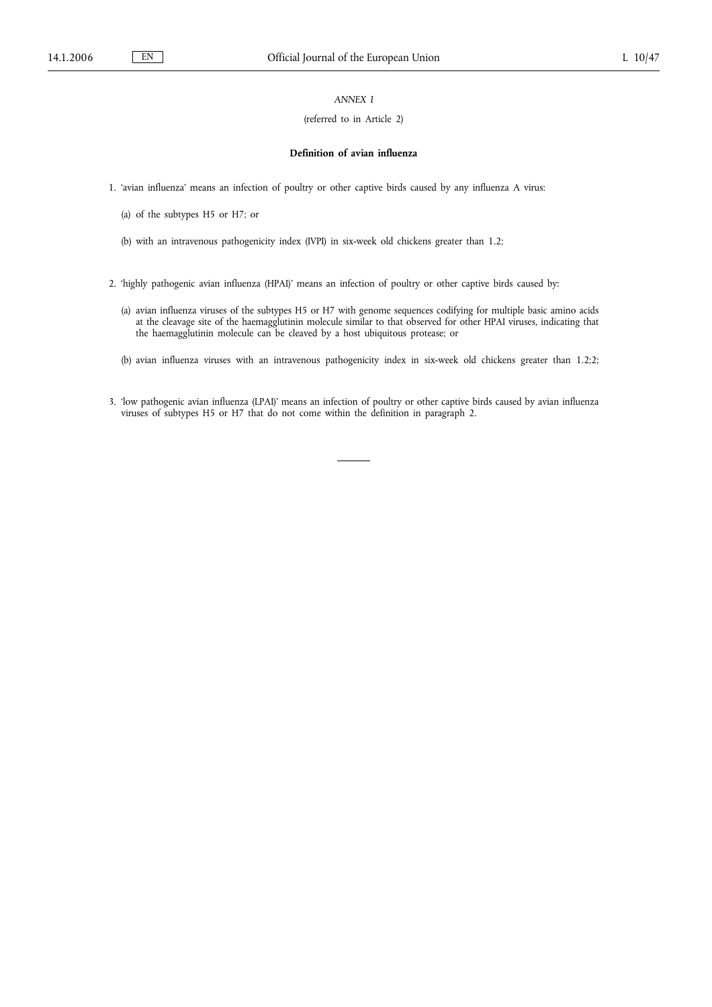# *ANNEX I*

## (referred to in Article 2)

#### **Definition of avian influenza**

1. 'avian influenza' means an infection of poultry or other captive birds caused by any influenza A virus:

- (a) of the subtypes H5 or H7; or
- (b) with an intravenous pathogenicity index (IVPI) in six-week old chickens greater than 1.2;
- 2. 'highly pathogenic avian influenza (HPAI)' means an infection of poultry or other captive birds caused by:
	- (a) avian influenza viruses of the subtypes H5 or H7 with genome sequences codifying for multiple basic amino acids at the cleavage site of the haemagglutinin molecule similar to that observed for other HPAI viruses, indicating that the haemagglutinin molecule can be cleaved by a host ubiquitous protease; or
	- (b) avian influenza viruses with an intravenous pathogenicity index in six-week old chickens greater than 1.2;2;
- 3. 'low pathogenic avian influenza (LPAI)' means an infection of poultry or other captive birds caused by avian influenza viruses of subtypes H5 or H7 that do not come within the definition in paragraph 2.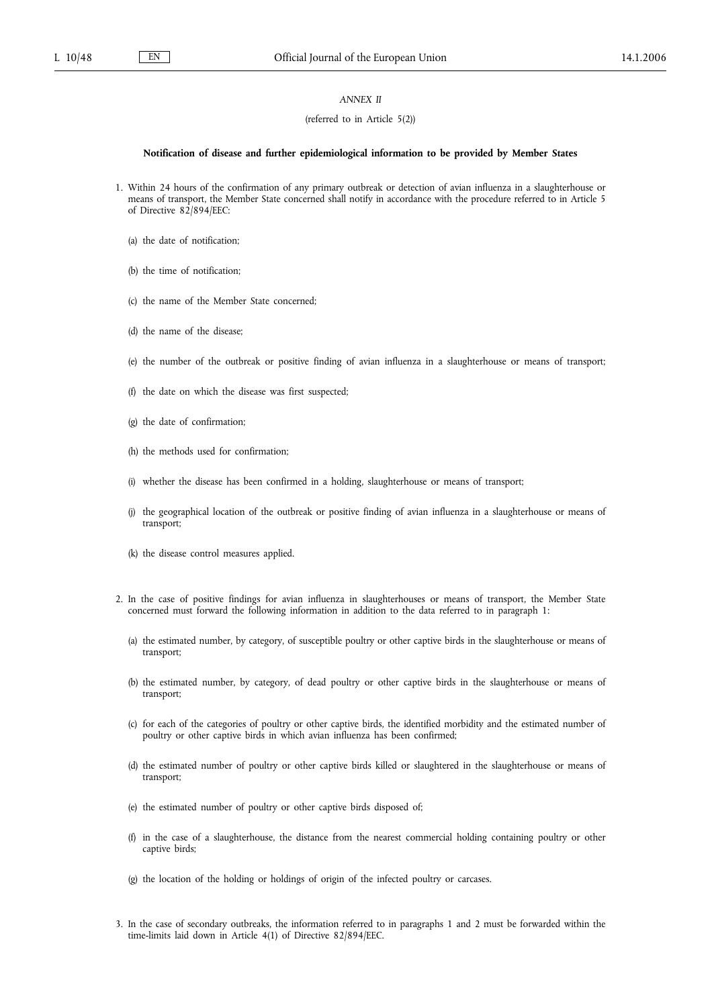## *ANNEX II*

#### (referred to in Article 5(2))

#### **Notification of disease and further epidemiological information to be provided by Member States**

- 1. Within 24 hours of the confirmation of any primary outbreak or detection of avian influenza in a slaughterhouse or means of transport, the Member State concerned shall notify in accordance with the procedure referred to in Article 5 of Directive 82/894/EEC:
	- (a) the date of notification;
	- (b) the time of notification;
	- (c) the name of the Member State concerned;
	- (d) the name of the disease;
	- (e) the number of the outbreak or positive finding of avian influenza in a slaughterhouse or means of transport;
	- (f) the date on which the disease was first suspected;
	- (g) the date of confirmation;
	- (h) the methods used for confirmation;
	- (i) whether the disease has been confirmed in a holding, slaughterhouse or means of transport;
	- (j) the geographical location of the outbreak or positive finding of avian influenza in a slaughterhouse or means of transport;
	- (k) the disease control measures applied.
- 2. In the case of positive findings for avian influenza in slaughterhouses or means of transport, the Member State concerned must forward the following information in addition to the data referred to in paragraph 1:
	- (a) the estimated number, by category, of susceptible poultry or other captive birds in the slaughterhouse or means of transport;
	- (b) the estimated number, by category, of dead poultry or other captive birds in the slaughterhouse or means of transport;
	- (c) for each of the categories of poultry or other captive birds, the identified morbidity and the estimated number of poultry or other captive birds in which avian influenza has been confirmed;
	- (d) the estimated number of poultry or other captive birds killed or slaughtered in the slaughterhouse or means of transport;
	- (e) the estimated number of poultry or other captive birds disposed of;
	- (f) in the case of a slaughterhouse, the distance from the nearest commercial holding containing poultry or other captive birds;
	- (g) the location of the holding or holdings of origin of the infected poultry or carcases.
- 3. In the case of secondary outbreaks, the information referred to in paragraphs 1 and 2 must be forwarded within the time-limits laid down in Article 4(1) of Directive 82/894/EEC.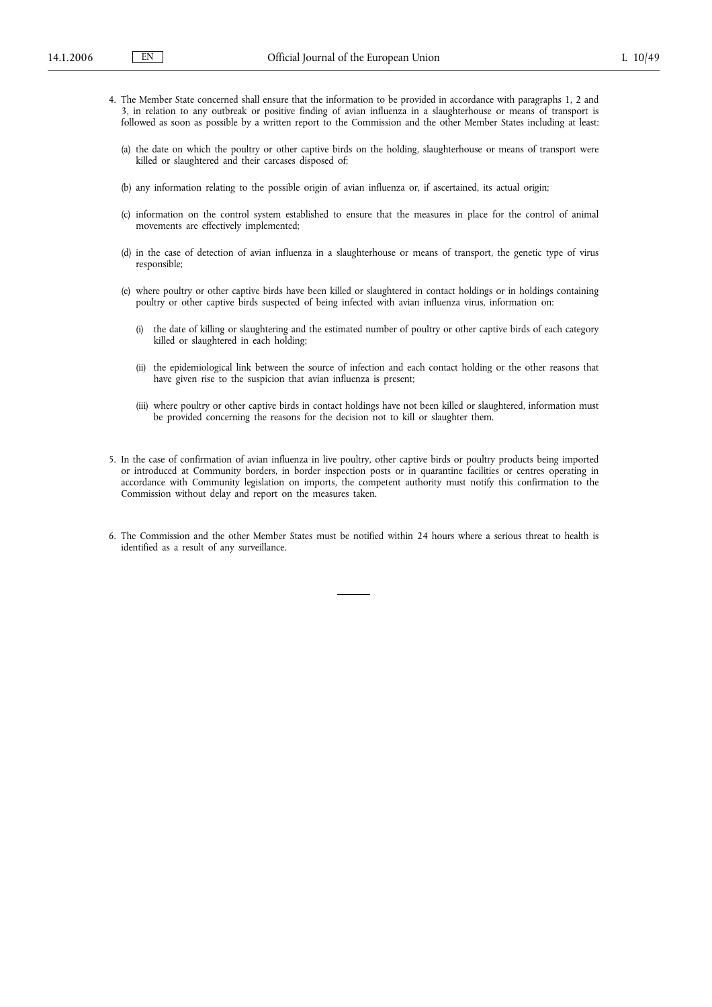- 4. The Member State concerned shall ensure that the information to be provided in accordance with paragraphs 1, 2 and 3, in relation to any outbreak or positive finding of avian influenza in a slaughterhouse or means of transport is followed as soon as possible by a written report to the Commission and the other Member States including at least:
	- (a) the date on which the poultry or other captive birds on the holding, slaughterhouse or means of transport were killed or slaughtered and their carcases disposed of;
	- (b) any information relating to the possible origin of avian influenza or, if ascertained, its actual origin;
	- (c) information on the control system established to ensure that the measures in place for the control of animal movements are effectively implemented;
	- (d) in the case of detection of avian influenza in a slaughterhouse or means of transport, the genetic type of virus responsible;
	- (e) where poultry or other captive birds have been killed or slaughtered in contact holdings or in holdings containing poultry or other captive birds suspected of being infected with avian influenza virus, information on:
		- (i) the date of killing or slaughtering and the estimated number of poultry or other captive birds of each category killed or slaughtered in each holding;
		- (ii) the epidemiological link between the source of infection and each contact holding or the other reasons that have given rise to the suspicion that avian influenza is present;
		- (iii) where poultry or other captive birds in contact holdings have not been killed or slaughtered, information must be provided concerning the reasons for the decision not to kill or slaughter them.
- 5. In the case of confirmation of avian influenza in live poultry, other captive birds or poultry products being imported or introduced at Community borders, in border inspection posts or in quarantine facilities or centres operating in accordance with Community legislation on imports, the competent authority must notify this confirmation to the Commission without delay and report on the measures taken.
- 6. The Commission and the other Member States must be notified within 24 hours where a serious threat to health is identified as a result of any surveillance.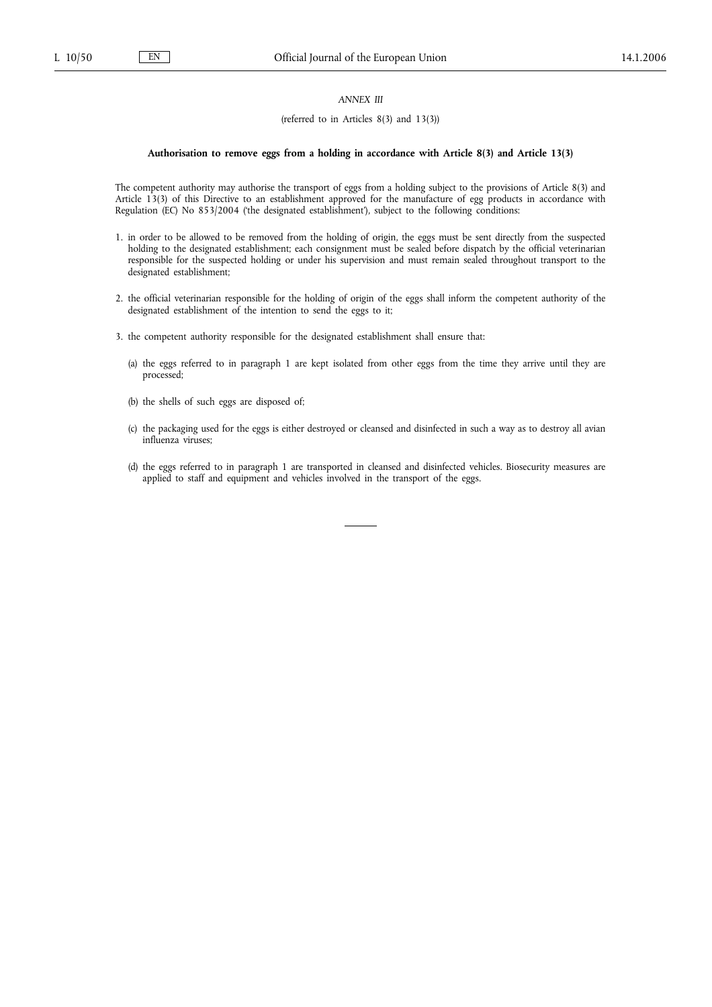# *ANNEX III*

## (referred to in Articles 8(3) and 13(3))

#### **Authorisation to remove eggs from a holding in accordance with Article 8(3) and Article 13(3)**

The competent authority may authorise the transport of eggs from a holding subject to the provisions of Article 8(3) and Article 13(3) of this Directive to an establishment approved for the manufacture of egg products in accordance with Regulation (EC) No 853/2004 ('the designated establishment'), subject to the following conditions:

- 1. in order to be allowed to be removed from the holding of origin, the eggs must be sent directly from the suspected holding to the designated establishment; each consignment must be sealed before dispatch by the official veterinarian responsible for the suspected holding or under his supervision and must remain sealed throughout transport to the designated establishment;
- 2. the official veterinarian responsible for the holding of origin of the eggs shall inform the competent authority of the designated establishment of the intention to send the eggs to it;
- 3. the competent authority responsible for the designated establishment shall ensure that:
	- (a) the eggs referred to in paragraph 1 are kept isolated from other eggs from the time they arrive until they are processed;
	- (b) the shells of such eggs are disposed of;
	- (c) the packaging used for the eggs is either destroyed or cleansed and disinfected in such a way as to destroy all avian influenza viruses;
	- (d) the eggs referred to in paragraph 1 are transported in cleansed and disinfected vehicles. Biosecurity measures are applied to staff and equipment and vehicles involved in the transport of the eggs.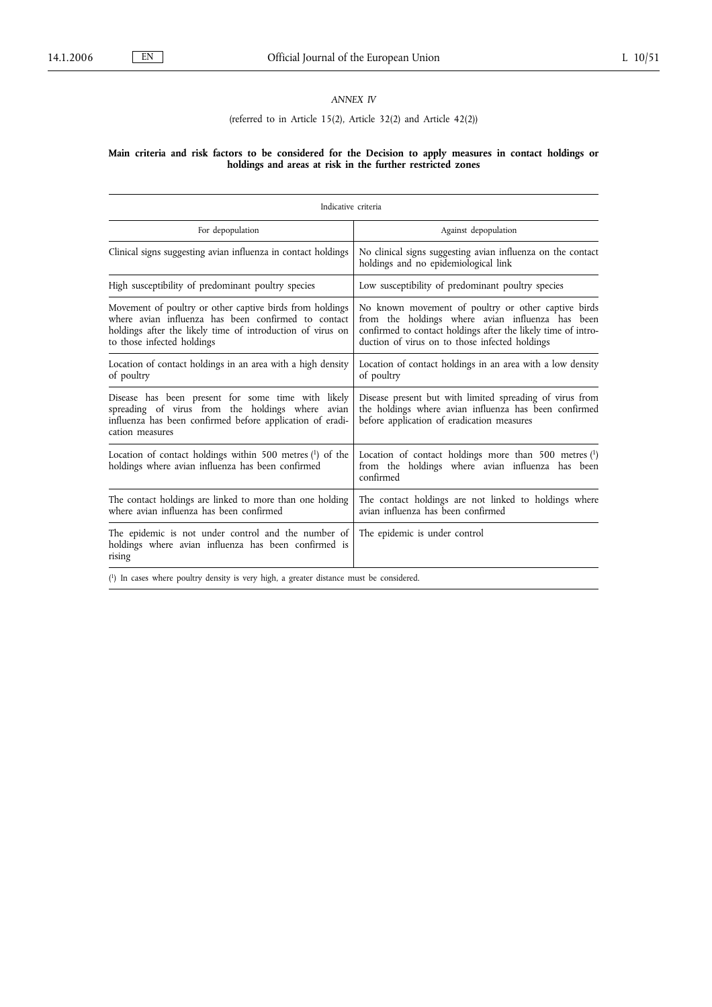# *ANNEX IV*

# (referred to in Article 15(2), Article 32(2) and Article 42(2))

#### **Main criteria and risk factors to be considered for the Decision to apply measures in contact holdings or holdings and areas at risk in the further restricted zones**

| Indicative criteria                                                                                                                                                                                         |                                                                                                                                                                                                                            |
|-------------------------------------------------------------------------------------------------------------------------------------------------------------------------------------------------------------|----------------------------------------------------------------------------------------------------------------------------------------------------------------------------------------------------------------------------|
| For depopulation                                                                                                                                                                                            | Against depopulation                                                                                                                                                                                                       |
| Clinical signs suggesting avian influenza in contact holdings                                                                                                                                               | No clinical signs suggesting avian influenza on the contact<br>holdings and no epidemiological link                                                                                                                        |
| High susceptibility of predominant poultry species                                                                                                                                                          | Low susceptibility of predominant poultry species                                                                                                                                                                          |
| Movement of poultry or other captive birds from holdings<br>where avian influenza has been confirmed to contact<br>holdings after the likely time of introduction of virus on<br>to those infected holdings | No known movement of poultry or other captive birds<br>from the holdings where avian influenza has been<br>confirmed to contact holdings after the likely time of intro-<br>duction of virus on to those infected holdings |
| Location of contact holdings in an area with a high density<br>of poultry                                                                                                                                   | Location of contact holdings in an area with a low density<br>of poultry                                                                                                                                                   |
| Disease has been present for some time with likely<br>spreading of virus from the holdings where avian<br>influenza has been confirmed before application of eradi-<br>cation measures                      | Disease present but with limited spreading of virus from<br>the holdings where avian influenza has been confirmed<br>before application of eradication measures                                                            |
| Location of contact holdings within 500 metres $(1)$ of the<br>holdings where avian influenza has been confirmed                                                                                            | Location of contact holdings more than $500$ metres $(1)$<br>from the holdings where avian influenza has been<br>confirmed                                                                                                 |
| The contact holdings are linked to more than one holding<br>where avian influenza has been confirmed                                                                                                        | The contact holdings are not linked to holdings where<br>avian influenza has been confirmed                                                                                                                                |
| The epidemic is not under control and the number of<br>holdings where avian influenza has been confirmed is<br>rising                                                                                       | The epidemic is under control                                                                                                                                                                                              |
| $(1)$ In cases where poultry density is very high, a greater distance must be considered.                                                                                                                   |                                                                                                                                                                                                                            |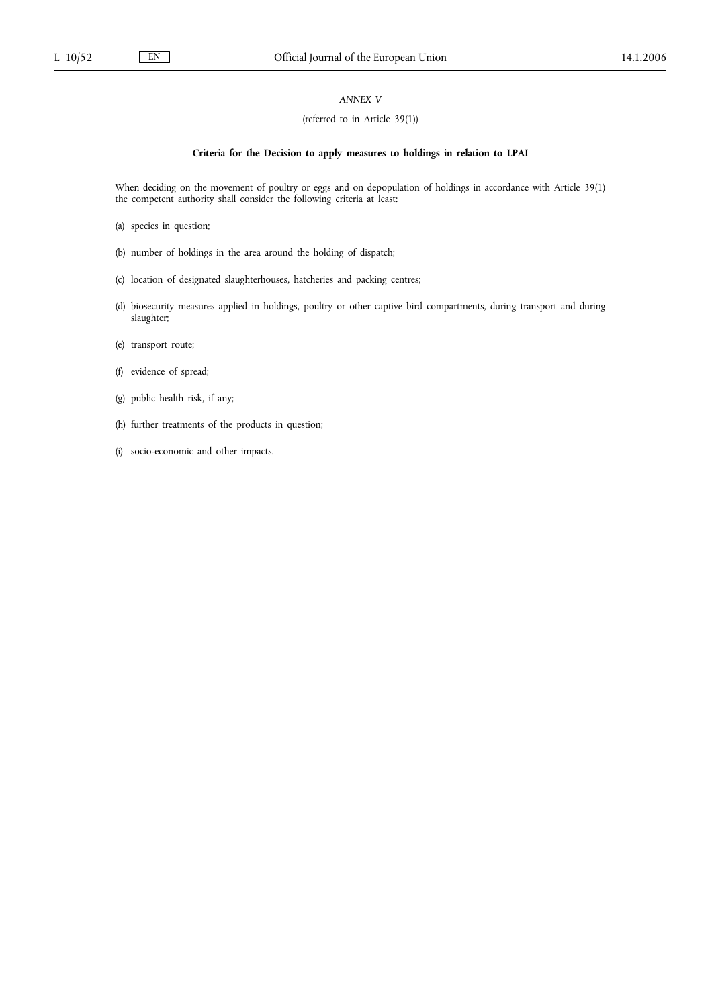# *ANNEX V*

## (referred to in Article 39(1))

## **Criteria for the Decision to apply measures to holdings in relation to LPAI**

When deciding on the movement of poultry or eggs and on depopulation of holdings in accordance with Article 39(1) the competent authority shall consider the following criteria at least:

- (a) species in question;
- (b) number of holdings in the area around the holding of dispatch;
- (c) location of designated slaughterhouses, hatcheries and packing centres;
- (d) biosecurity measures applied in holdings, poultry or other captive bird compartments, during transport and during slaughter;
- (e) transport route;
- (f) evidence of spread;
- (g) public health risk, if any;
- (h) further treatments of the products in question;
- (i) socio-economic and other impacts.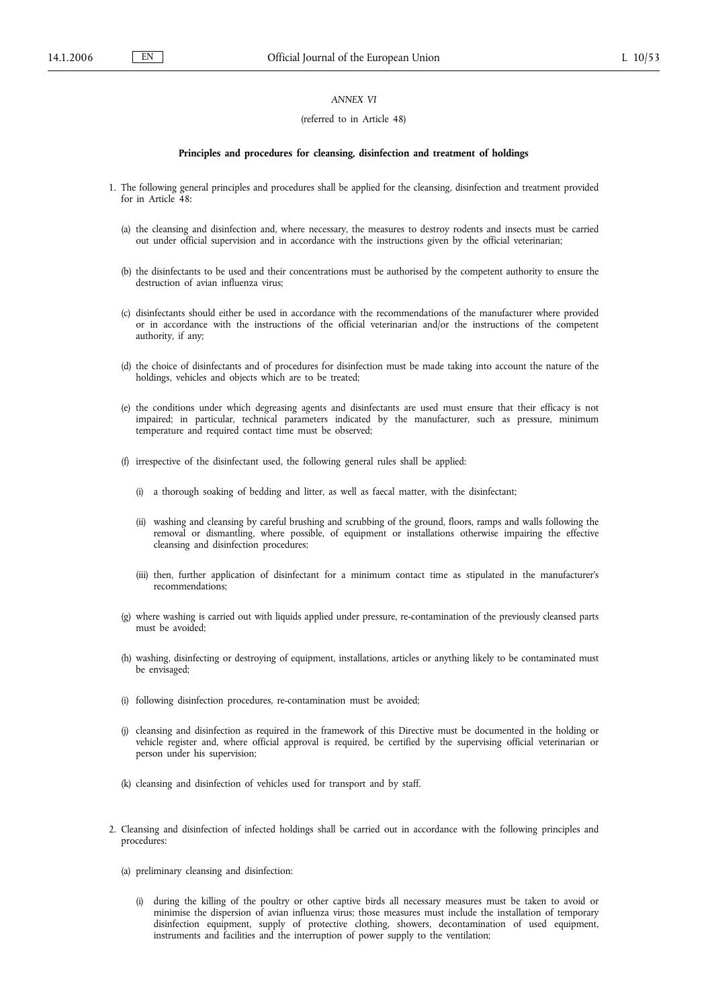## *ANNEX VI*

#### (referred to in Article 48)

#### **Principles and procedures for cleansing, disinfection and treatment of holdings**

- 1. The following general principles and procedures shall be applied for the cleansing, disinfection and treatment provided for in Article 48:
	- (a) the cleansing and disinfection and, where necessary, the measures to destroy rodents and insects must be carried out under official supervision and in accordance with the instructions given by the official veterinarian;
	- (b) the disinfectants to be used and their concentrations must be authorised by the competent authority to ensure the destruction of avian influenza virus;
	- (c) disinfectants should either be used in accordance with the recommendations of the manufacturer where provided or in accordance with the instructions of the official veterinarian and/or the instructions of the competent authority, if any;
	- (d) the choice of disinfectants and of procedures for disinfection must be made taking into account the nature of the holdings, vehicles and objects which are to be treated;
	- (e) the conditions under which degreasing agents and disinfectants are used must ensure that their efficacy is not impaired; in particular, technical parameters indicated by the manufacturer, such as pressure, minimum temperature and required contact time must be observed;
	- (f) irrespective of the disinfectant used, the following general rules shall be applied:
		- (i) a thorough soaking of bedding and litter, as well as faecal matter, with the disinfectant;
		- (ii) washing and cleansing by careful brushing and scrubbing of the ground, floors, ramps and walls following the removal or dismantling, where possible, of equipment or installations otherwise impairing the effective cleansing and disinfection procedures;
		- (iii) then, further application of disinfectant for a minimum contact time as stipulated in the manufacturer's recommendations;
	- (g) where washing is carried out with liquids applied under pressure, re-contamination of the previously cleansed parts must be avoided;
	- (h) washing, disinfecting or destroying of equipment, installations, articles or anything likely to be contaminated must be envisaged;
	- (i) following disinfection procedures, re-contamination must be avoided;
	- (j) cleansing and disinfection as required in the framework of this Directive must be documented in the holding or vehicle register and, where official approval is required, be certified by the supervising official veterinarian or person under his supervision;
	- (k) cleansing and disinfection of vehicles used for transport and by staff.
- 2. Cleansing and disinfection of infected holdings shall be carried out in accordance with the following principles and procedures:
	- (a) preliminary cleansing and disinfection:
		- (i) during the killing of the poultry or other captive birds all necessary measures must be taken to avoid or minimise the dispersion of avian influenza virus; those measures must include the installation of temporary disinfection equipment, supply of protective clothing, showers, decontamination of used equipment, instruments and facilities and the interruption of power supply to the ventilation;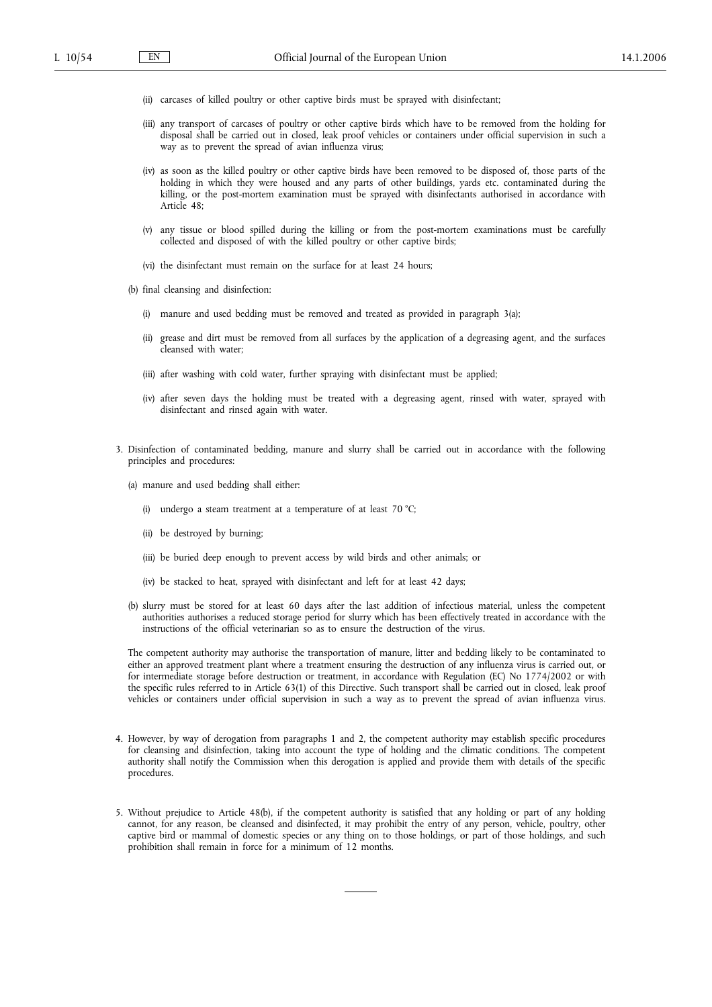- (ii) carcases of killed poultry or other captive birds must be sprayed with disinfectant;
- (iii) any transport of carcases of poultry or other captive birds which have to be removed from the holding for disposal shall be carried out in closed, leak proof vehicles or containers under official supervision in such a way as to prevent the spread of avian influenza virus;
- (iv) as soon as the killed poultry or other captive birds have been removed to be disposed of, those parts of the holding in which they were housed and any parts of other buildings, yards etc. contaminated during the killing, or the post-mortem examination must be sprayed with disinfectants authorised in accordance with Article 48;
- (v) any tissue or blood spilled during the killing or from the post-mortem examinations must be carefully collected and disposed of with the killed poultry or other captive birds;
- (vi) the disinfectant must remain on the surface for at least 24 hours;
- (b) final cleansing and disinfection:
	- (i) manure and used bedding must be removed and treated as provided in paragraph 3(a);
	- (ii) grease and dirt must be removed from all surfaces by the application of a degreasing agent, and the surfaces cleansed with water;
	- (iii) after washing with cold water, further spraying with disinfectant must be applied;
	- (iv) after seven days the holding must be treated with a degreasing agent, rinsed with water, sprayed with disinfectant and rinsed again with water.
- 3. Disinfection of contaminated bedding, manure and slurry shall be carried out in accordance with the following principles and procedures:
	- (a) manure and used bedding shall either:
		- (i) undergo a steam treatment at a temperature of at least 70 °C;
		- (ii) be destroyed by burning;
		- (iii) be buried deep enough to prevent access by wild birds and other animals; or
		- (iv) be stacked to heat, sprayed with disinfectant and left for at least 42 days;
	- (b) slurry must be stored for at least 60 days after the last addition of infectious material, unless the competent authorities authorises a reduced storage period for slurry which has been effectively treated in accordance with the instructions of the official veterinarian so as to ensure the destruction of the virus.

The competent authority may authorise the transportation of manure, litter and bedding likely to be contaminated to either an approved treatment plant where a treatment ensuring the destruction of any influenza virus is carried out, or for intermediate storage before destruction or treatment, in accordance with Regulation (EC) No 1774/2002 or with the specific rules referred to in Article 63(1) of this Directive. Such transport shall be carried out in closed, leak proof vehicles or containers under official supervision in such a way as to prevent the spread of avian influenza virus.

- 4. However, by way of derogation from paragraphs 1 and 2, the competent authority may establish specific procedures for cleansing and disinfection, taking into account the type of holding and the climatic conditions. The competent authority shall notify the Commission when this derogation is applied and provide them with details of the specific procedures.
- 5. Without prejudice to Article 48(b), if the competent authority is satisfied that any holding or part of any holding cannot, for any reason, be cleansed and disinfected, it may prohibit the entry of any person, vehicle, poultry, other captive bird or mammal of domestic species or any thing on to those holdings, or part of those holdings, and such prohibition shall remain in force for a minimum of 12 months.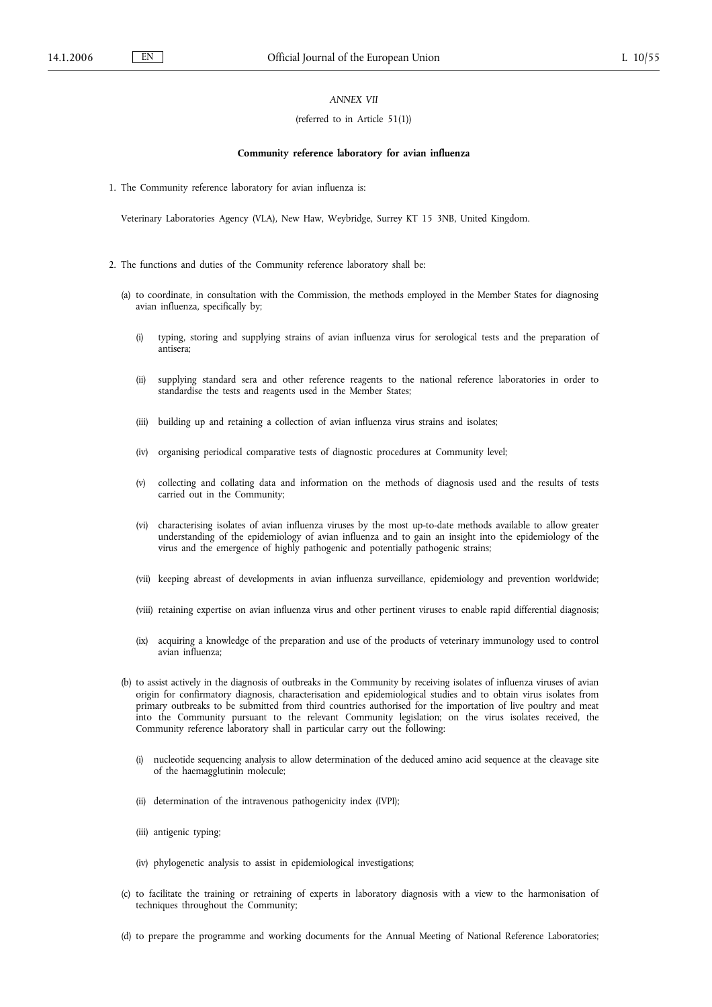## *ANNEX VII*

#### (referred to in Article 51(1))

#### **Community reference laboratory for avian influenza**

1. The Community reference laboratory for avian influenza is:

Veterinary Laboratories Agency (VLA), New Haw, Weybridge, Surrey KT 15 3NB, United Kingdom.

- 2. The functions and duties of the Community reference laboratory shall be:
	- (a) to coordinate, in consultation with the Commission, the methods employed in the Member States for diagnosing avian influenza, specifically by;
		- (i) typing, storing and supplying strains of avian influenza virus for serological tests and the preparation of antisera;
		- (ii) supplying standard sera and other reference reagents to the national reference laboratories in order to standardise the tests and reagents used in the Member States;
		- (iii) building up and retaining a collection of avian influenza virus strains and isolates;
		- (iv) organising periodical comparative tests of diagnostic procedures at Community level;
		- (v) collecting and collating data and information on the methods of diagnosis used and the results of tests carried out in the Community;
		- (vi) characterising isolates of avian influenza viruses by the most up-to-date methods available to allow greater understanding of the epidemiology of avian influenza and to gain an insight into the epidemiology of the virus and the emergence of highly pathogenic and potentially pathogenic strains;
		- (vii) keeping abreast of developments in avian influenza surveillance, epidemiology and prevention worldwide;
		- (viii) retaining expertise on avian influenza virus and other pertinent viruses to enable rapid differential diagnosis;
		- (ix) acquiring a knowledge of the preparation and use of the products of veterinary immunology used to control avian influenza;
	- (b) to assist actively in the diagnosis of outbreaks in the Community by receiving isolates of influenza viruses of avian origin for confirmatory diagnosis, characterisation and epidemiological studies and to obtain virus isolates from primary outbreaks to be submitted from third countries authorised for the importation of live poultry and meat into the Community pursuant to the relevant Community legislation; on the virus isolates received, the Community reference laboratory shall in particular carry out the following:
		- (i) nucleotide sequencing analysis to allow determination of the deduced amino acid sequence at the cleavage site of the haemagglutinin molecule;
		- (ii) determination of the intravenous pathogenicity index (IVPI);
		- (iii) antigenic typing;
		- (iv) phylogenetic analysis to assist in epidemiological investigations;
	- (c) to facilitate the training or retraining of experts in laboratory diagnosis with a view to the harmonisation of techniques throughout the Community;
	- (d) to prepare the programme and working documents for the Annual Meeting of National Reference Laboratories;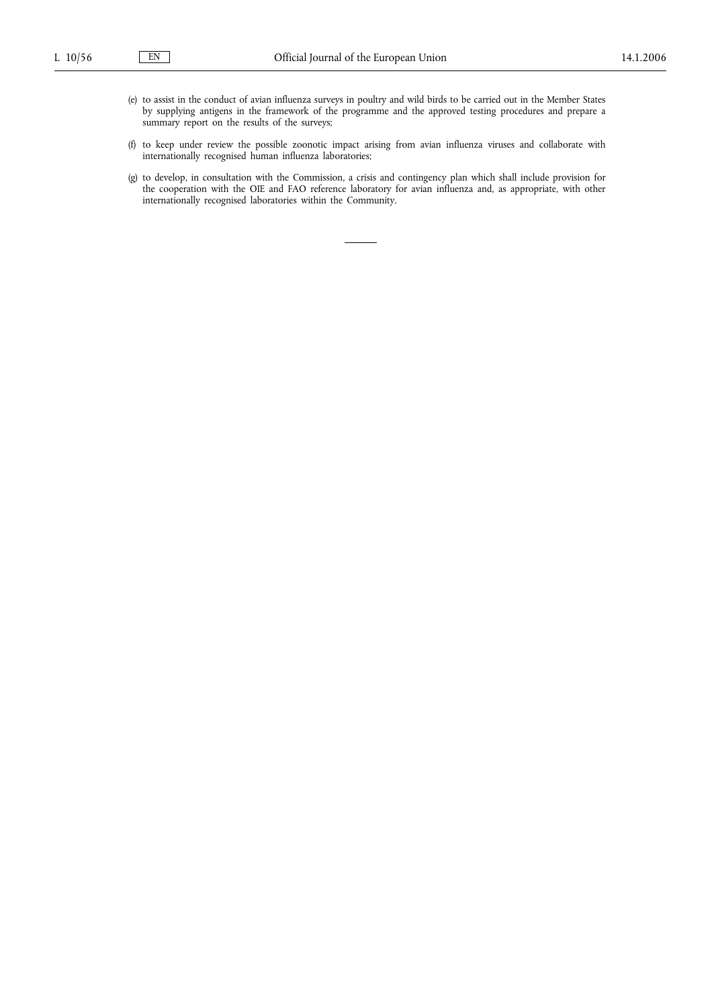- (e) to assist in the conduct of avian influenza surveys in poultry and wild birds to be carried out in the Member States by supplying antigens in the framework of the programme and the approved testing procedures and prepare a summary report on the results of the surveys;
- (f) to keep under review the possible zoonotic impact arising from avian influenza viruses and collaborate with internationally recognised human influenza laboratories;
- (g) to develop, in consultation with the Commission, a crisis and contingency plan which shall include provision for the cooperation with the OIE and FAO reference laboratory for avian influenza and, as appropriate, with other internationally recognised laboratories within the Community.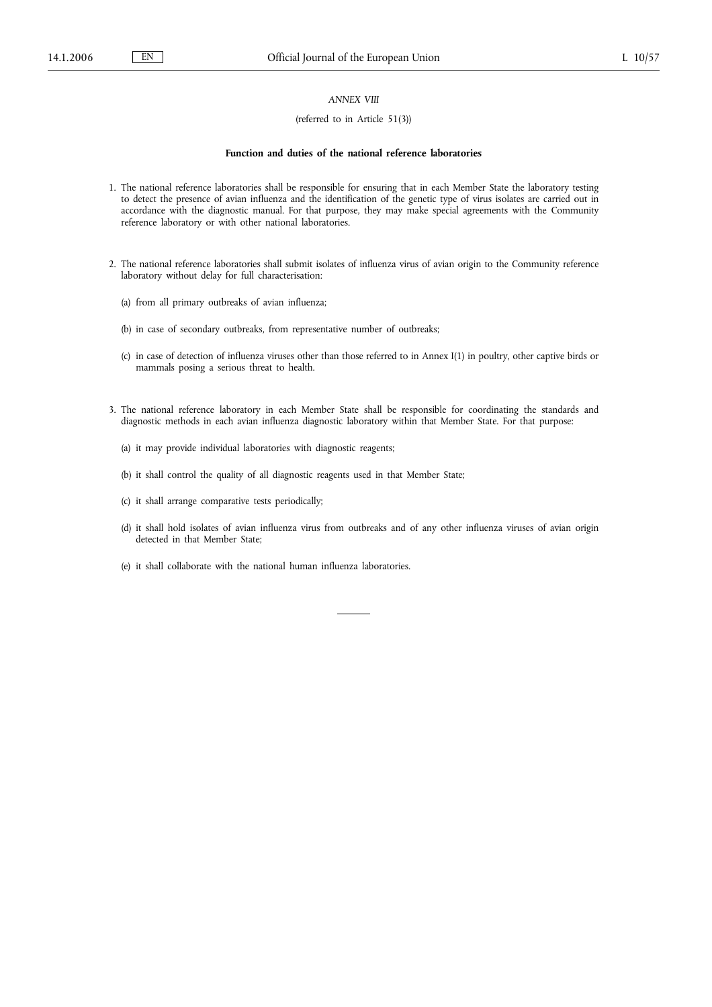# *ANNEX VIII*

## (referred to in Article 51(3))

### **Function and duties of the national reference laboratories**

- 1. The national reference laboratories shall be responsible for ensuring that in each Member State the laboratory testing to detect the presence of avian influenza and the identification of the genetic type of virus isolates are carried out in accordance with the diagnostic manual. For that purpose, they may make special agreements with the Community reference laboratory or with other national laboratories.
- 2. The national reference laboratories shall submit isolates of influenza virus of avian origin to the Community reference laboratory without delay for full characterisation:
	- (a) from all primary outbreaks of avian influenza;
	- (b) in case of secondary outbreaks, from representative number of outbreaks;
	- (c) in case of detection of influenza viruses other than those referred to in Annex I(1) in poultry, other captive birds or mammals posing a serious threat to health.
- 3. The national reference laboratory in each Member State shall be responsible for coordinating the standards and diagnostic methods in each avian influenza diagnostic laboratory within that Member State. For that purpose:
	- (a) it may provide individual laboratories with diagnostic reagents;
	- (b) it shall control the quality of all diagnostic reagents used in that Member State;
	- (c) it shall arrange comparative tests periodically;
	- (d) it shall hold isolates of avian influenza virus from outbreaks and of any other influenza viruses of avian origin detected in that Member State;
	- (e) it shall collaborate with the national human influenza laboratories.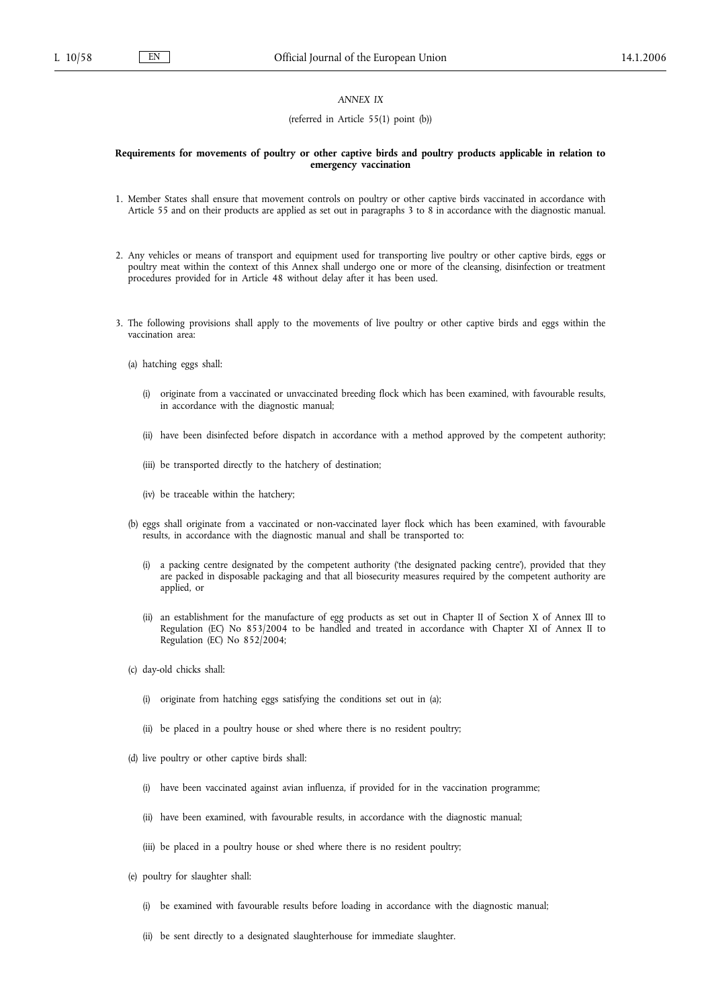# *ANNEX IX*

#### (referred in Article 55(1) point (b))

### **Requirements for movements of poultry or other captive birds and poultry products applicable in relation to emergency vaccination**

- 1. Member States shall ensure that movement controls on poultry or other captive birds vaccinated in accordance with Article 55 and on their products are applied as set out in paragraphs 3 to 8 in accordance with the diagnostic manual.
- 2. Any vehicles or means of transport and equipment used for transporting live poultry or other captive birds, eggs or poultry meat within the context of this Annex shall undergo one or more of the cleansing, disinfection or treatment procedures provided for in Article 48 without delay after it has been used.
- 3. The following provisions shall apply to the movements of live poultry or other captive birds and eggs within the vaccination area:
	- (a) hatching eggs shall:
		- (i) originate from a vaccinated or unvaccinated breeding flock which has been examined, with favourable results, in accordance with the diagnostic manual;
		- (ii) have been disinfected before dispatch in accordance with a method approved by the competent authority;
		- (iii) be transported directly to the hatchery of destination;
		- (iv) be traceable within the hatchery;
	- (b) eggs shall originate from a vaccinated or non-vaccinated layer flock which has been examined, with favourable results, in accordance with the diagnostic manual and shall be transported to:
		- (i) a packing centre designated by the competent authority ('the designated packing centre'), provided that they are packed in disposable packaging and that all biosecurity measures required by the competent authority are applied, or
		- (ii) an establishment for the manufacture of egg products as set out in Chapter II of Section X of Annex III to Regulation (EC) No 853/2004 to be handled and treated in accordance with Chapter XI of Annex II to Regulation (EC) No 852/2004;
	- (c) day-old chicks shall:
		- (i) originate from hatching eggs satisfying the conditions set out in (a);
		- (ii) be placed in a poultry house or shed where there is no resident poultry;
	- (d) live poultry or other captive birds shall:
		- (i) have been vaccinated against avian influenza, if provided for in the vaccination programme;
		- (ii) have been examined, with favourable results, in accordance with the diagnostic manual;
		- (iii) be placed in a poultry house or shed where there is no resident poultry;
	- (e) poultry for slaughter shall:
		- (i) be examined with favourable results before loading in accordance with the diagnostic manual;
		- (ii) be sent directly to a designated slaughterhouse for immediate slaughter.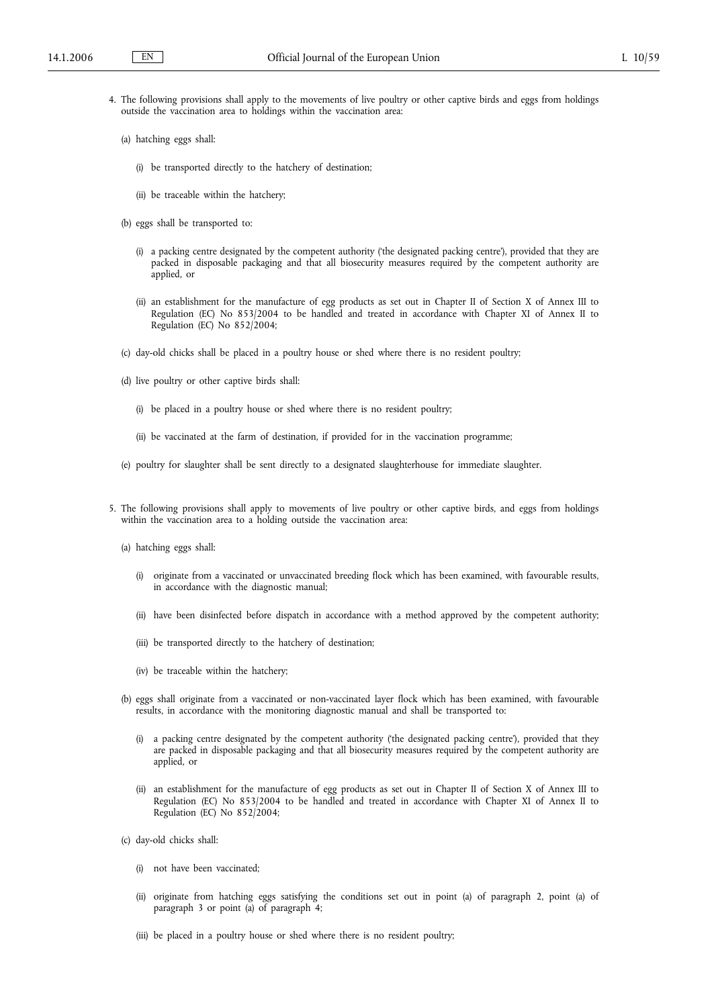- 4. The following provisions shall apply to the movements of live poultry or other captive birds and eggs from holdings outside the vaccination area to holdings within the vaccination area:
	- (a) hatching eggs shall:
		- (i) be transported directly to the hatchery of destination;
		- (ii) be traceable within the hatchery;
	- (b) eggs shall be transported to:
		- (i) a packing centre designated by the competent authority ('the designated packing centre'), provided that they are packed in disposable packaging and that all biosecurity measures required by the competent authority are applied, or
		- (ii) an establishment for the manufacture of egg products as set out in Chapter II of Section X of Annex III to Regulation (EC) No 853/2004 to be handled and treated in accordance with Chapter XI of Annex II to Regulation (EC) No 852/2004;
	- (c) day-old chicks shall be placed in a poultry house or shed where there is no resident poultry;
	- (d) live poultry or other captive birds shall:
		- (i) be placed in a poultry house or shed where there is no resident poultry;
		- (ii) be vaccinated at the farm of destination, if provided for in the vaccination programme;
	- (e) poultry for slaughter shall be sent directly to a designated slaughterhouse for immediate slaughter.
- 5. The following provisions shall apply to movements of live poultry or other captive birds, and eggs from holdings within the vaccination area to a holding outside the vaccination area:
	- (a) hatching eggs shall:
		- (i) originate from a vaccinated or unvaccinated breeding flock which has been examined, with favourable results, in accordance with the diagnostic manual;
		- (ii) have been disinfected before dispatch in accordance with a method approved by the competent authority;
		- (iii) be transported directly to the hatchery of destination;
		- (iv) be traceable within the hatchery;
	- (b) eggs shall originate from a vaccinated or non-vaccinated layer flock which has been examined, with favourable results, in accordance with the monitoring diagnostic manual and shall be transported to:
		- (i) a packing centre designated by the competent authority ('the designated packing centre'), provided that they are packed in disposable packaging and that all biosecurity measures required by the competent authority are applied, or
		- (ii) an establishment for the manufacture of egg products as set out in Chapter II of Section X of Annex III to Regulation (EC) No 853/2004 to be handled and treated in accordance with Chapter XI of Annex II to Regulation (EC) No 852/2004;
	- (c) day-old chicks shall:
		- (i) not have been vaccinated;
		- (ii) originate from hatching eggs satisfying the conditions set out in point (a) of paragraph 2, point (a) of paragraph 3 or point (a) of paragraph 4;
		- (iii) be placed in a poultry house or shed where there is no resident poultry;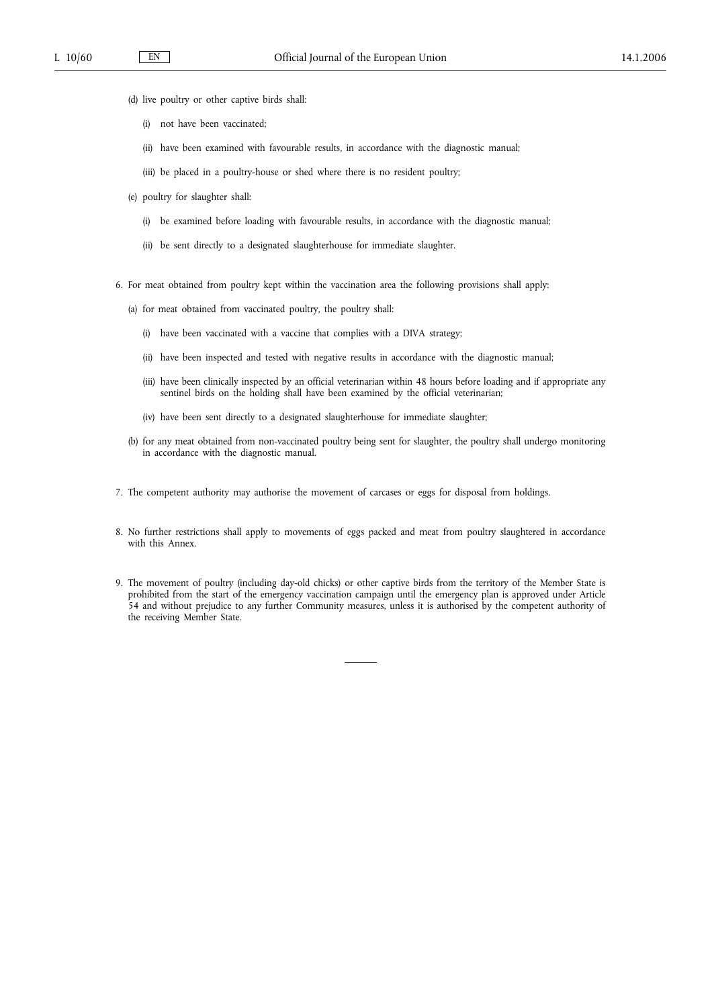- (d) live poultry or other captive birds shall:
	- (i) not have been vaccinated;
	- (ii) have been examined with favourable results, in accordance with the diagnostic manual;
	- (iii) be placed in a poultry-house or shed where there is no resident poultry;
- (e) poultry for slaughter shall:
	- (i) be examined before loading with favourable results, in accordance with the diagnostic manual;
	- (ii) be sent directly to a designated slaughterhouse for immediate slaughter.
- 6. For meat obtained from poultry kept within the vaccination area the following provisions shall apply:
	- (a) for meat obtained from vaccinated poultry, the poultry shall:
		- (i) have been vaccinated with a vaccine that complies with a DIVA strategy;
		- (ii) have been inspected and tested with negative results in accordance with the diagnostic manual;
		- (iii) have been clinically inspected by an official veterinarian within 48 hours before loading and if appropriate any sentinel birds on the holding shall have been examined by the official veterinarian;
		- (iv) have been sent directly to a designated slaughterhouse for immediate slaughter;
	- (b) for any meat obtained from non-vaccinated poultry being sent for slaughter, the poultry shall undergo monitoring in accordance with the diagnostic manual.
- 7. The competent authority may authorise the movement of carcases or eggs for disposal from holdings.
- 8. No further restrictions shall apply to movements of eggs packed and meat from poultry slaughtered in accordance with this Annex.
- 9. The movement of poultry (including day-old chicks) or other captive birds from the territory of the Member State is prohibited from the start of the emergency vaccination campaign until the emergency plan is approved under Article 54 and without prejudice to any further Community measures, unless it is authorised by the competent authority of the receiving Member State.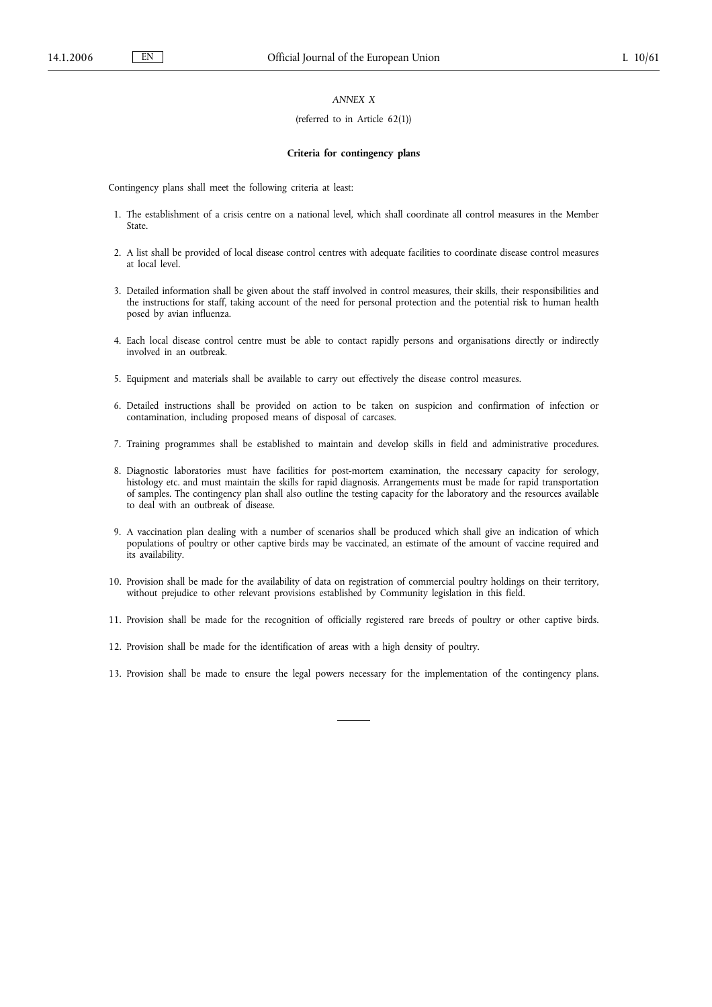## *ANNEX X*

#### (referred to in Article 62(1))

#### **Criteria for contingency plans**

Contingency plans shall meet the following criteria at least:

- 1. The establishment of a crisis centre on a national level, which shall coordinate all control measures in the Member State.
- 2. A list shall be provided of local disease control centres with adequate facilities to coordinate disease control measures at local level.
- 3. Detailed information shall be given about the staff involved in control measures, their skills, their responsibilities and the instructions for staff, taking account of the need for personal protection and the potential risk to human health posed by avian influenza.
- 4. Each local disease control centre must be able to contact rapidly persons and organisations directly or indirectly involved in an outbreak.
- 5. Equipment and materials shall be available to carry out effectively the disease control measures.
- 6. Detailed instructions shall be provided on action to be taken on suspicion and confirmation of infection or contamination, including proposed means of disposal of carcases.
- 7. Training programmes shall be established to maintain and develop skills in field and administrative procedures.
- 8. Diagnostic laboratories must have facilities for post-mortem examination, the necessary capacity for serology, histology etc. and must maintain the skills for rapid diagnosis. Arrangements must be made for rapid transportation of samples. The contingency plan shall also outline the testing capacity for the laboratory and the resources available to deal with an outbreak of disease.
- 9. A vaccination plan dealing with a number of scenarios shall be produced which shall give an indication of which populations of poultry or other captive birds may be vaccinated, an estimate of the amount of vaccine required and its availability.
- 10. Provision shall be made for the availability of data on registration of commercial poultry holdings on their territory, without prejudice to other relevant provisions established by Community legislation in this field.
- 11. Provision shall be made for the recognition of officially registered rare breeds of poultry or other captive birds.
- 12. Provision shall be made for the identification of areas with a high density of poultry.
- 13. Provision shall be made to ensure the legal powers necessary for the implementation of the contingency plans.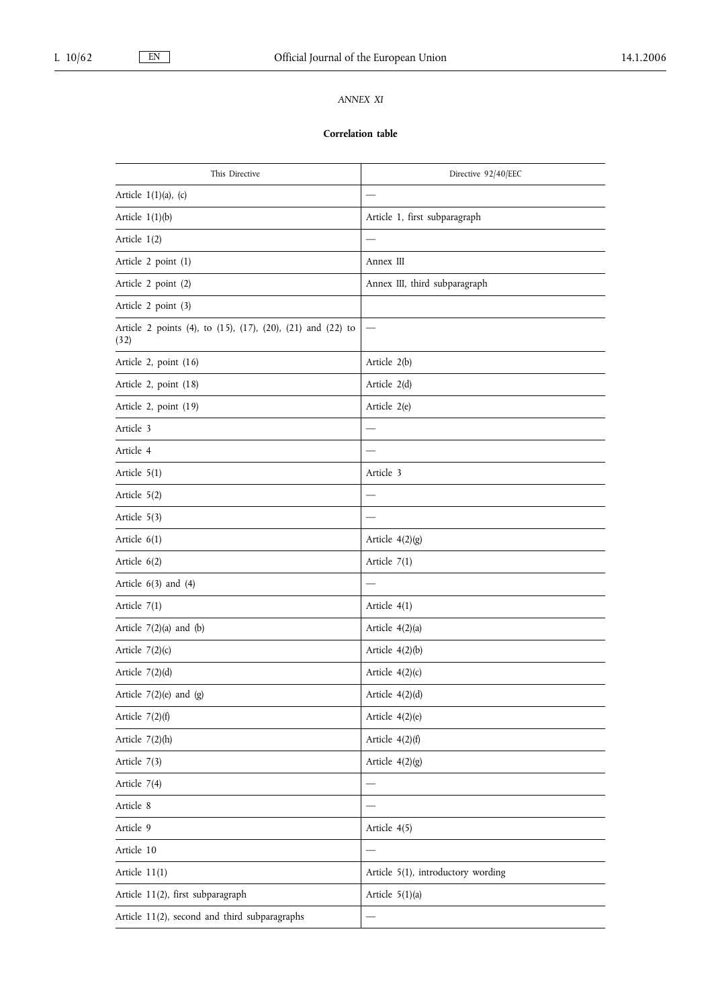# *ANNEX XI*

## **Correlation table**

| This Directive                                                      | Directive 92/40/EEC                |
|---------------------------------------------------------------------|------------------------------------|
| Article $1(1)(a)$ , (c)                                             |                                    |
| Article $1(1)(b)$                                                   | Article 1, first subparagraph      |
| Article $1(2)$                                                      |                                    |
| Article 2 point (1)                                                 | Annex III                          |
| Article 2 point (2)                                                 | Annex III, third subparagraph      |
| Article 2 point (3)                                                 |                                    |
| Article 2 points (4), to (15), (17), (20), (21) and (22) to<br>(32) |                                    |
| Article 2, point (16)                                               | Article 2(b)                       |
| Article 2, point (18)                                               | Article 2(d)                       |
| Article 2, point (19)                                               | Article 2(e)                       |
| Article 3                                                           |                                    |
| Article 4                                                           |                                    |
| Article $5(1)$                                                      | Article 3                          |
| Article 5(2)                                                        |                                    |
| Article 5(3)                                                        |                                    |
| Article $6(1)$                                                      | Article $4(2)(g)$                  |
| Article $6(2)$                                                      | Article $7(1)$                     |
| Article $6(3)$ and $(4)$                                            |                                    |
| Article $7(1)$                                                      | Article 4(1)                       |
| Article $7(2)(a)$ and $(b)$                                         | Article 4(2)(a)                    |
| Article $7(2)(c)$                                                   | Article $4(2)(b)$                  |
| Article $7(2)(d)$                                                   | Article $4(2)(c)$                  |
| Article $7(2)(e)$ and $(g)$                                         | Article $4(2)(d)$                  |
| Article $7(2)(f)$                                                   | Article $4(2)(e)$                  |
| Article $7(2)(h)$                                                   | Article $4(2)(f)$                  |
| Article 7(3)                                                        | Article $4(2)(g)$                  |
| Article 7(4)                                                        |                                    |
| Article 8                                                           |                                    |
| Article 9                                                           | Article 4(5)                       |
| Article 10                                                          |                                    |
| Article 11(1)                                                       | Article 5(1), introductory wording |
| Article 11(2), first subparagraph                                   | Article $5(1)(a)$                  |
| Article 11(2), second and third subparagraphs                       |                                    |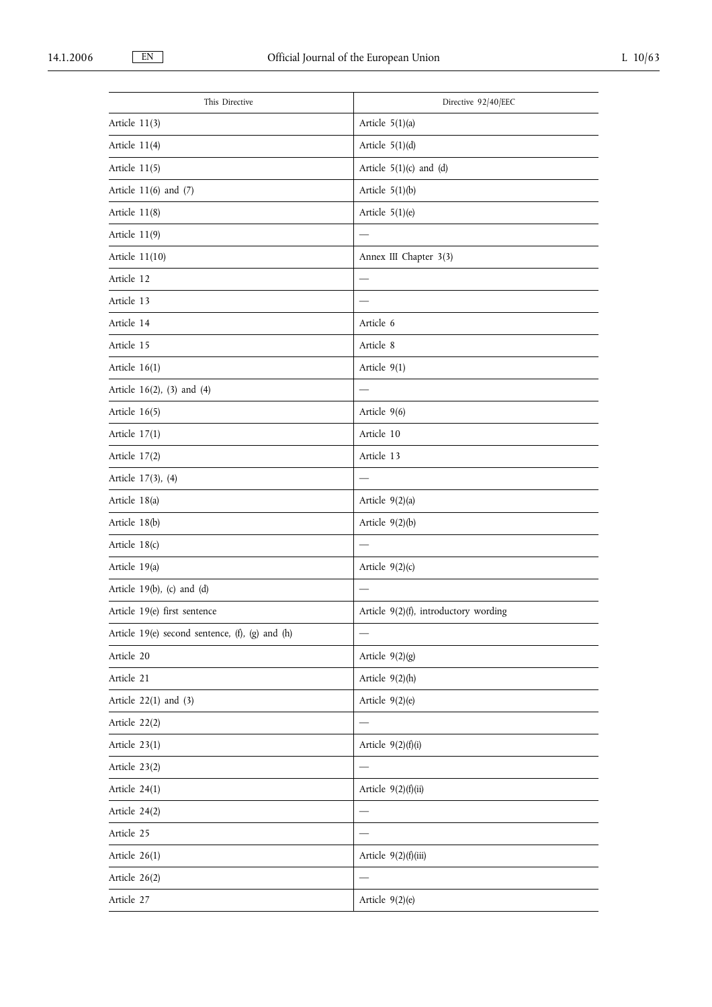| This Directive                                  | Directive 92/40/EEC                   |
|-------------------------------------------------|---------------------------------------|
| Article 11(3)                                   | Article 5(1)(a)                       |
| Article $11(4)$                                 | Article $5(1)(d)$                     |
| Article 11(5)                                   | Article $5(1)(c)$ and $(d)$           |
| Article $11(6)$ and $(7)$                       | Article $5(1)(b)$                     |
| Article 11(8)                                   | Article 5(1)(e)                       |
| Article 11(9)                                   |                                       |
| Article 11(10)                                  | Annex III Chapter 3(3)                |
| Article 12                                      |                                       |
| Article 13                                      |                                       |
| Article 14                                      | Article 6                             |
| Article 15                                      | Article 8                             |
| Article $16(1)$                                 | Article 9(1)                          |
| Article 16(2), (3) and (4)                      |                                       |
| Article $16(5)$                                 | Article 9(6)                          |
| Article 17(1)                                   | Article 10                            |
| Article 17(2)                                   | Article 13                            |
| Article 17(3), (4)                              |                                       |
| Article 18(a)                                   | Article 9(2)(a)                       |
| Article 18(b)                                   | Article $9(2)(b)$                     |
| Article 18(c)                                   |                                       |
| Article 19(a)                                   | Article $9(2)(c)$                     |
| Article 19(b), (c) and (d)                      |                                       |
| Article 19(e) first sentence                    | Article 9(2)(f), introductory wording |
| Article 19(e) second sentence, (f), (g) and (h) |                                       |
| Article 20                                      | Article $9(2)(g)$                     |
| Article 21                                      | Article $9(2)(h)$                     |
| Article $22(1)$ and $(3)$                       | Article $9(2)(e)$                     |
| Article 22(2)                                   |                                       |
| Article 23(1)                                   | Article $9(2)(f)(i)$                  |
| Article 23(2)                                   |                                       |
| Article 24(1)                                   | Article 9(2)(f)(ii)                   |
| Article 24(2)                                   |                                       |
| Article 25                                      |                                       |
| Article 26(1)                                   | Article 9(2)(f)(iii)                  |
| Article 26(2)                                   |                                       |
| Article 27                                      | Article 9(2)(e)                       |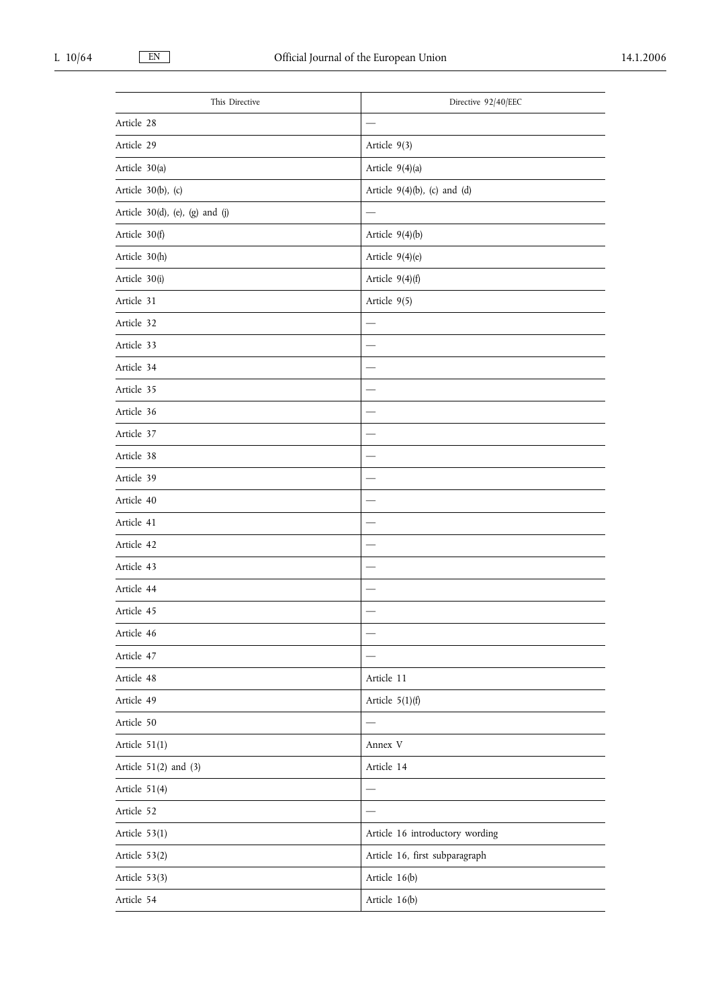| This Directive                     | Directive 92/40/EEC             |
|------------------------------------|---------------------------------|
| Article 28                         |                                 |
| Article 29                         | Article 9(3)                    |
| Article 30(a)                      | Article 9(4)(a)                 |
| Article $30(b)$ , (c)              | Article $9(4)(b)$ , (c) and (d) |
| Article $30(d)$ , (e), (g) and (j) |                                 |
| Article 30(f)                      | Article $9(4)(b)$               |
| Article 30(h)                      | Article 9(4)(e)                 |
| Article 30(i)                      | Article $9(4)(f)$               |
| Article 31                         | Article 9(5)                    |
| Article 32                         |                                 |
| Article 33                         |                                 |
| Article 34                         |                                 |
| Article 35                         |                                 |
| Article 36                         |                                 |
| Article 37                         |                                 |
| Article 38                         |                                 |
| Article 39                         |                                 |
| Article 40                         |                                 |
| Article 41                         |                                 |
| Article 42                         |                                 |
| Article 43                         |                                 |
| Article 44                         |                                 |
| Article 45                         |                                 |
| Article 46                         |                                 |
| Article 47                         |                                 |
| Article 48                         | Article 11                      |
| Article 49                         | Article $5(1)(f)$               |
| Article 50                         |                                 |
| Article 51(1)                      | Annex V                         |
| Article $51(2)$ and $(3)$          | Article 14                      |
| Article 51(4)                      |                                 |
| Article 52                         |                                 |
| Article 53(1)                      | Article 16 introductory wording |
| Article 53(2)                      | Article 16, first subparagraph  |
| Article 53(3)                      | Article 16(b)                   |
| Article 54                         | Article 16(b)                   |